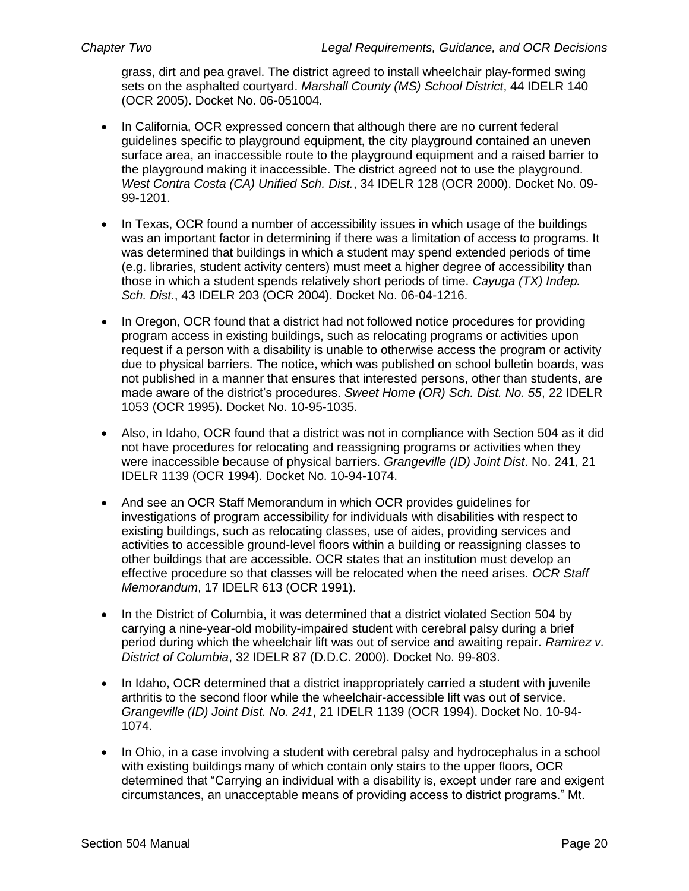grass, dirt and pea gravel. The district agreed to install wheelchair play-formed swing sets on the asphalted courtyard. *Marshall County (MS) School District*, 44 IDELR 140 (OCR 2005). Docket No. 06-051004.

- In California, OCR expressed concern that although there are no current federal guidelines specific to playground equipment, the city playground contained an uneven surface area, an inaccessible route to the playground equipment and a raised barrier to the playground making it inaccessible. The district agreed not to use the playground. *West Contra Costa (CA) Unified Sch. Dist.*, 34 IDELR 128 (OCR 2000). Docket No. 09- 99-1201.
- In Texas, OCR found a number of accessibility issues in which usage of the buildings was an important factor in determining if there was a limitation of access to programs. It was determined that buildings in which a student may spend extended periods of time (e.g. libraries, student activity centers) must meet a higher degree of accessibility than those in which a student spends relatively short periods of time. *Cayuga (TX) Indep. Sch. Dist*., 43 IDELR 203 (OCR 2004). Docket No. 06-04-1216.
- In Oregon, OCR found that a district had not followed notice procedures for providing program access in existing buildings, such as relocating programs or activities upon request if a person with a disability is unable to otherwise access the program or activity due to physical barriers. The notice, which was published on school bulletin boards, was not published in a manner that ensures that interested persons, other than students, are made aware of the district's procedures. *Sweet Home (OR) Sch. Dist. No. 55*, 22 IDELR 1053 (OCR 1995). Docket No. 10-95-1035.
- Also, in Idaho, OCR found that a district was not in compliance with Section 504 as it did not have procedures for relocating and reassigning programs or activities when they were inaccessible because of physical barriers. *Grangeville (ID) Joint Dist*. No. 241, 21 IDELR 1139 (OCR 1994). Docket No. 10-94-1074.
- And see an OCR Staff Memorandum in which OCR provides guidelines for investigations of program accessibility for individuals with disabilities with respect to existing buildings, such as relocating classes, use of aides, providing services and activities to accessible ground-level floors within a building or reassigning classes to other buildings that are accessible. OCR states that an institution must develop an effective procedure so that classes will be relocated when the need arises. *OCR Staff Memorandum*, 17 IDELR 613 (OCR 1991).
- In the District of Columbia, it was determined that a district violated Section 504 by carrying a nine-year-old mobility-impaired student with cerebral palsy during a brief period during which the wheelchair lift was out of service and awaiting repair. *Ramirez v. District of Columbia*, 32 IDELR 87 (D.D.C. 2000). Docket No. 99-803.
- In Idaho, OCR determined that a district inappropriately carried a student with juvenile arthritis to the second floor while the wheelchair-accessible lift was out of service. *Grangeville (ID) Joint Dist. No. 241*, 21 IDELR 1139 (OCR 1994). Docket No. 10-94- 1074.
- In Ohio, in a case involving a student with cerebral palsy and hydrocephalus in a school with existing buildings many of which contain only stairs to the upper floors, OCR determined that "Carrying an individual with a disability is, except under rare and exigent circumstances, an unacceptable means of providing access to district programs." Mt.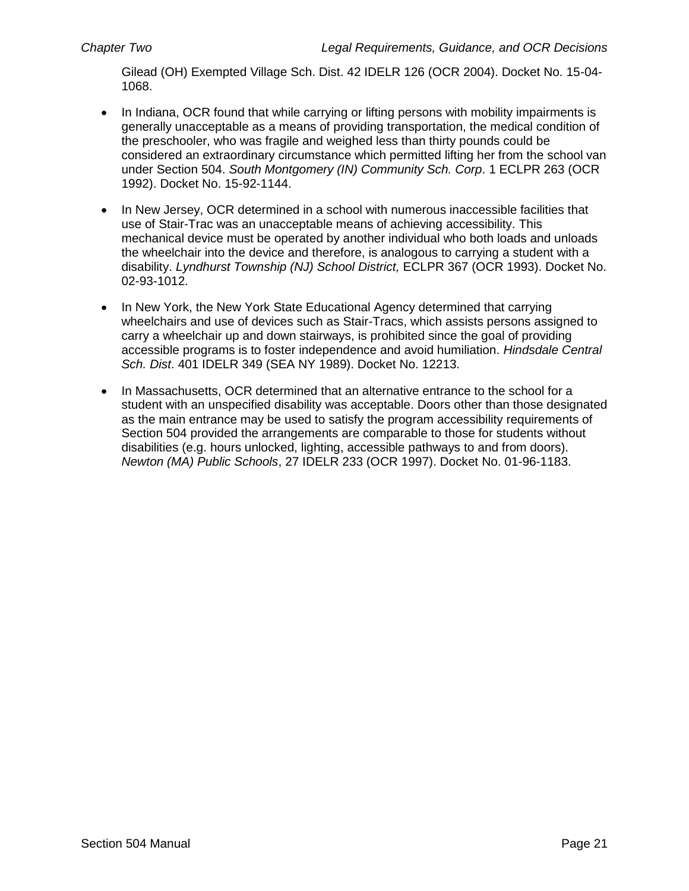Gilead (OH) Exempted Village Sch. Dist. 42 IDELR 126 (OCR 2004). Docket No. 15-04- 1068.

- In Indiana, OCR found that while carrying or lifting persons with mobility impairments is generally unacceptable as a means of providing transportation, the medical condition of the preschooler, who was fragile and weighed less than thirty pounds could be considered an extraordinary circumstance which permitted lifting her from the school van under Section 504. *South Montgomery (IN) Community Sch. Corp*. 1 ECLPR 263 (OCR 1992). Docket No. 15-92-1144.
- In New Jersey, OCR determined in a school with numerous inaccessible facilities that use of Stair-Trac was an unacceptable means of achieving accessibility. This mechanical device must be operated by another individual who both loads and unloads the wheelchair into the device and therefore, is analogous to carrying a student with a disability. *Lyndhurst Township (NJ) School District,* ECLPR 367 (OCR 1993). Docket No. 02-93-1012.
- In New York, the New York State Educational Agency determined that carrying wheelchairs and use of devices such as Stair-Tracs, which assists persons assigned to carry a wheelchair up and down stairways, is prohibited since the goal of providing accessible programs is to foster independence and avoid humiliation. *Hindsdale Central Sch. Dist*. 401 IDELR 349 (SEA NY 1989). Docket No. 12213.
- In Massachusetts, OCR determined that an alternative entrance to the school for a student with an unspecified disability was acceptable. Doors other than those designated as the main entrance may be used to satisfy the program accessibility requirements of Section 504 provided the arrangements are comparable to those for students without disabilities (e.g. hours unlocked, lighting, accessible pathways to and from doors). *Newton (MA) Public Schools*, 27 IDELR 233 (OCR 1997). Docket No. 01-96-1183.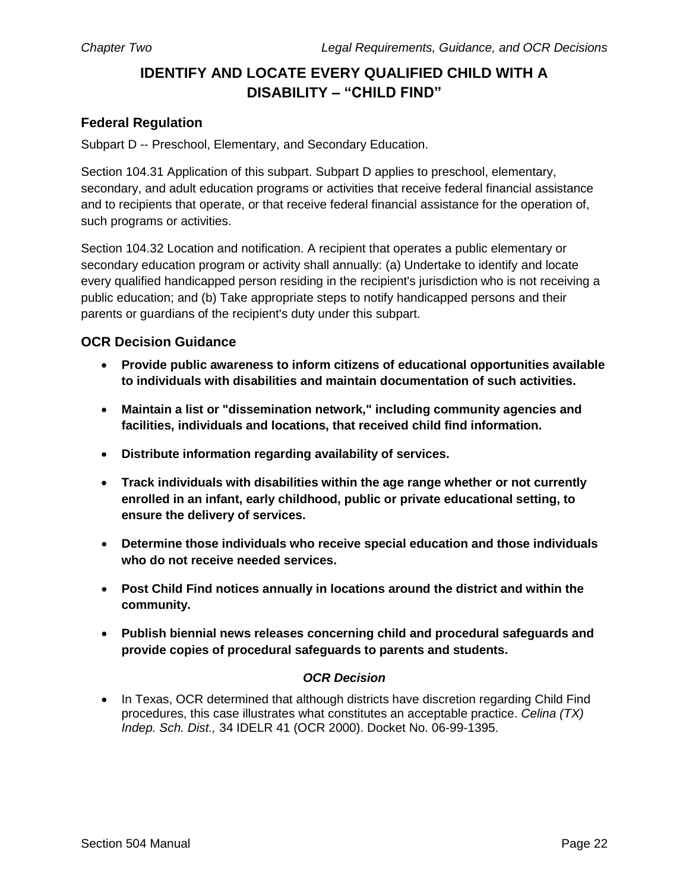# **IDENTIFY AND LOCATE EVERY QUALIFIED CHILD WITH A DISABILITY – "CHILD FIND"**

## **Federal Regulation**

Subpart D -- Preschool, Elementary, and Secondary Education.

Section 104.31 Application of this subpart. Subpart D applies to preschool, elementary, secondary, and adult education programs or activities that receive federal financial assistance and to recipients that operate, or that receive federal financial assistance for the operation of, such programs or activities.

Section 104.32 Location and notification. A recipient that operates a public elementary or secondary education program or activity shall annually: (a) Undertake to identify and locate every qualified handicapped person residing in the recipient's jurisdiction who is not receiving a public education; and (b) Take appropriate steps to notify handicapped persons and their parents or guardians of the recipient's duty under this subpart.

## **OCR Decision Guidance**

- **Provide public awareness to inform citizens of educational opportunities available to individuals with disabilities and maintain documentation of such activities.**
- **Maintain a list or "dissemination network," including community agencies and facilities, individuals and locations, that received child find information.**
- **Distribute information regarding availability of services.**
- **Track individuals with disabilities within the age range whether or not currently enrolled in an infant, early childhood, public or private educational setting, to ensure the delivery of services.**
- **Determine those individuals who receive special education and those individuals who do not receive needed services.**
- **Post Child Find notices annually in locations around the district and within the community.**
- **Publish biennial news releases concerning child and procedural safeguards and provide copies of procedural safeguards to parents and students.**

#### *OCR Decision*

• In Texas, OCR determined that although districts have discretion regarding Child Find procedures, this case illustrates what constitutes an acceptable practice. *Celina (TX) Indep. Sch. Dist.,* 34 IDELR 41 (OCR 2000). Docket No. 06-99-1395.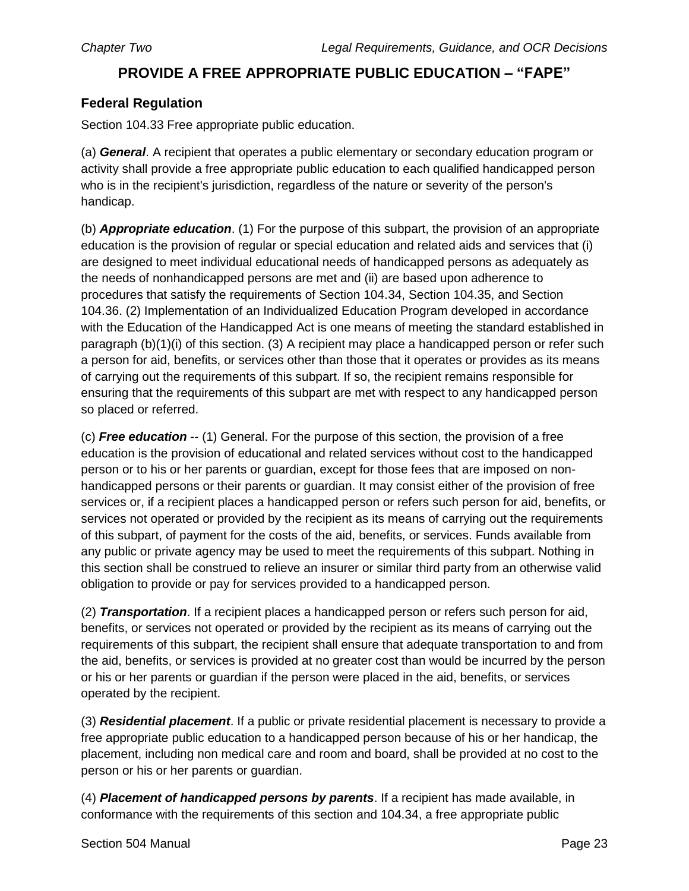## **PROVIDE A FREE APPROPRIATE PUBLIC EDUCATION – "FAPE"**

## **Federal Regulation**

Section 104.33 Free appropriate public education.

(a) *General*. A recipient that operates a public elementary or secondary education program or activity shall provide a free appropriate public education to each qualified handicapped person who is in the recipient's jurisdiction, regardless of the nature or severity of the person's handicap.

(b) *Appropriate education*. (1) For the purpose of this subpart, the provision of an appropriate education is the provision of regular or special education and related aids and services that (i) are designed to meet individual educational needs of handicapped persons as adequately as the needs of nonhandicapped persons are met and (ii) are based upon adherence to procedures that satisfy the requirements of Section 104.34, Section 104.35, and Section 104.36. (2) Implementation of an Individualized Education Program developed in accordance with the Education of the Handicapped Act is one means of meeting the standard established in paragraph (b)(1)(i) of this section. (3) A recipient may place a handicapped person or refer such a person for aid, benefits, or services other than those that it operates or provides as its means of carrying out the requirements of this subpart. If so, the recipient remains responsible for ensuring that the requirements of this subpart are met with respect to any handicapped person so placed or referred.

(c) *Free education* -- (1) General. For the purpose of this section, the provision of a free education is the provision of educational and related services without cost to the handicapped person or to his or her parents or guardian, except for those fees that are imposed on nonhandicapped persons or their parents or guardian. It may consist either of the provision of free services or, if a recipient places a handicapped person or refers such person for aid, benefits, or services not operated or provided by the recipient as its means of carrying out the requirements of this subpart, of payment for the costs of the aid, benefits, or services. Funds available from any public or private agency may be used to meet the requirements of this subpart. Nothing in this section shall be construed to relieve an insurer or similar third party from an otherwise valid obligation to provide or pay for services provided to a handicapped person.

(2) *Transportation*. If a recipient places a handicapped person or refers such person for aid, benefits, or services not operated or provided by the recipient as its means of carrying out the requirements of this subpart, the recipient shall ensure that adequate transportation to and from the aid, benefits, or services is provided at no greater cost than would be incurred by the person or his or her parents or guardian if the person were placed in the aid, benefits, or services operated by the recipient.

(3) *Residential placement*. If a public or private residential placement is necessary to provide a free appropriate public education to a handicapped person because of his or her handicap, the placement, including non medical care and room and board, shall be provided at no cost to the person or his or her parents or guardian.

(4) *Placement of handicapped persons by parents*. If a recipient has made available, in conformance with the requirements of this section and 104.34, a free appropriate public

Section 504 Manual Page 23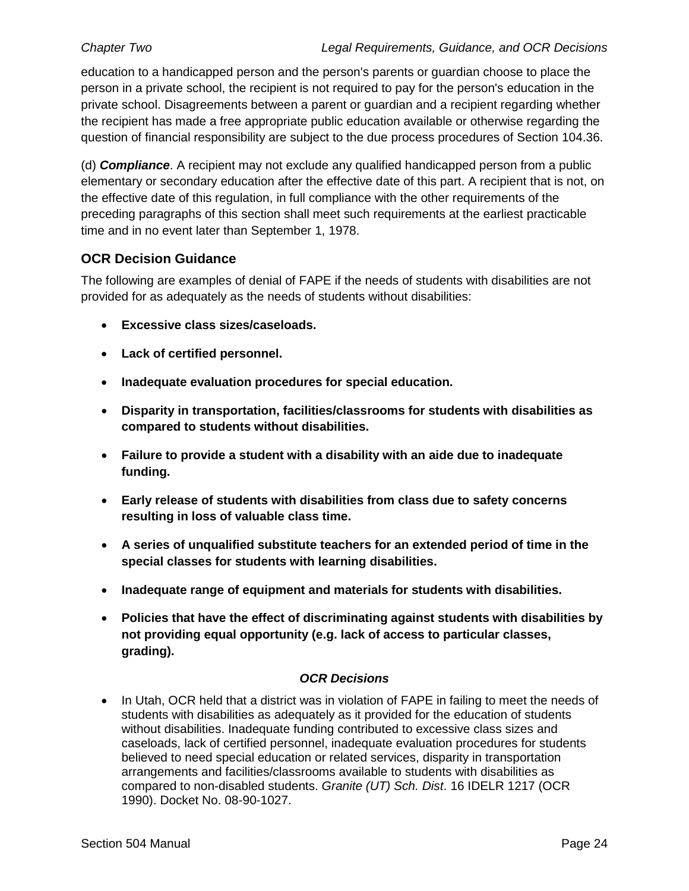education to a handicapped person and the person's parents or guardian choose to place the person in a private school, the recipient is not required to pay for the person's education in the private school. Disagreements between a parent or guardian and a recipient regarding whether the recipient has made a free appropriate public education available or otherwise regarding the question of financial responsibility are subject to the due process procedures of Section 104.36.

(d) *Compliance*. A recipient may not exclude any qualified handicapped person from a public elementary or secondary education after the effective date of this part. A recipient that is not, on the effective date of this regulation, in full compliance with the other requirements of the preceding paragraphs of this section shall meet such requirements at the earliest practicable time and in no event later than September 1, 1978.

## **OCR Decision Guidance**

The following are examples of denial of FAPE if the needs of students with disabilities are not provided for as adequately as the needs of students without disabilities:

- **Excessive class sizes/caseloads.**
- **Lack of certified personnel.**
- **Inadequate evaluation procedures for special education.**
- **Disparity in transportation, facilities/classrooms for students with disabilities as compared to students without disabilities.**
- **Failure to provide a student with a disability with an aide due to inadequate funding.**
- **Early release of students with disabilities from class due to safety concerns resulting in loss of valuable class time.**
- **A series of unqualified substitute teachers for an extended period of time in the special classes for students with learning disabilities.**
- **Inadequate range of equipment and materials for students with disabilities.**
- **Policies that have the effect of discriminating against students with disabilities by not providing equal opportunity (e.g. lack of access to particular classes, grading).**

#### *OCR Decisions*

• In Utah, OCR held that a district was in violation of FAPE in failing to meet the needs of students with disabilities as adequately as it provided for the education of students without disabilities. Inadequate funding contributed to excessive class sizes and caseloads, lack of certified personnel, inadequate evaluation procedures for students believed to need special education or related services, disparity in transportation arrangements and facilities/classrooms available to students with disabilities as compared to non-disabled students. *Granite (UT) Sch. Dist*. 16 IDELR 1217 (OCR 1990). Docket No. 08-90-1027.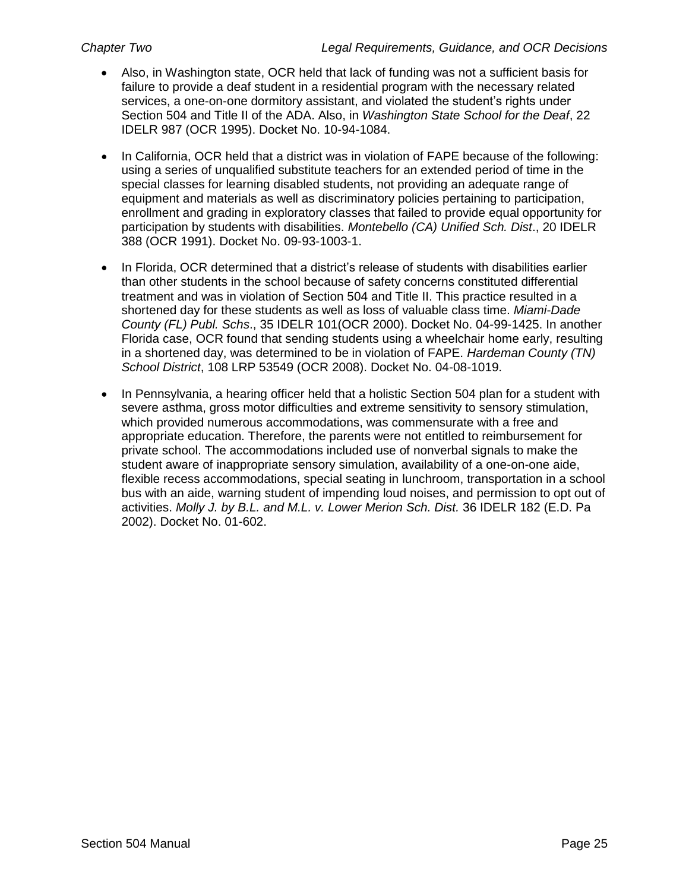- Also, in Washington state, OCR held that lack of funding was not a sufficient basis for failure to provide a deaf student in a residential program with the necessary related services, a one-on-one dormitory assistant, and violated the student's rights under Section 504 and Title II of the ADA. Also, in *Washington State School for the Deaf*, 22 IDELR 987 (OCR 1995). Docket No. 10-94-1084.
- In California, OCR held that a district was in violation of FAPE because of the following: using a series of unqualified substitute teachers for an extended period of time in the special classes for learning disabled students, not providing an adequate range of equipment and materials as well as discriminatory policies pertaining to participation, enrollment and grading in exploratory classes that failed to provide equal opportunity for participation by students with disabilities. *Montebello (CA) Unified Sch. Dist*., 20 IDELR 388 (OCR 1991). Docket No. 09-93-1003-1.
- In Florida, OCR determined that a district's release of students with disabilities earlier than other students in the school because of safety concerns constituted differential treatment and was in violation of Section 504 and Title II. This practice resulted in a shortened day for these students as well as loss of valuable class time. *Miami-Dade County (FL) Publ. Schs*., 35 IDELR 101(OCR 2000). Docket No. 04-99-1425. In another Florida case, OCR found that sending students using a wheelchair home early, resulting in a shortened day, was determined to be in violation of FAPE. *Hardeman County (TN) School District*, 108 LRP 53549 (OCR 2008). Docket No. 04-08-1019.
- In Pennsylvania, a hearing officer held that a holistic Section 504 plan for a student with severe asthma, gross motor difficulties and extreme sensitivity to sensory stimulation, which provided numerous accommodations, was commensurate with a free and appropriate education. Therefore, the parents were not entitled to reimbursement for private school. The accommodations included use of nonverbal signals to make the student aware of inappropriate sensory simulation, availability of a one-on-one aide, flexible recess accommodations, special seating in lunchroom, transportation in a school bus with an aide, warning student of impending loud noises, and permission to opt out of activities. *Molly J. by B.L. and M.L. v. Lower Merion Sch. Dist.* 36 IDELR 182 (E.D. Pa 2002). Docket No. 01-602.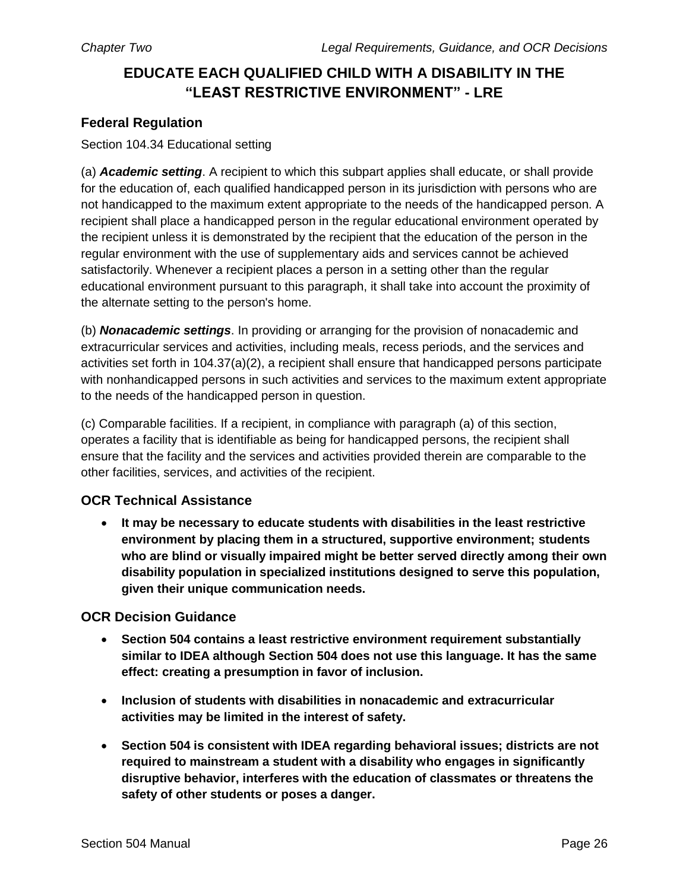# **EDUCATE EACH QUALIFIED CHILD WITH A DISABILITY IN THE "LEAST RESTRICTIVE ENVIRONMENT" - LRE**

## **Federal Regulation**

#### Section 104.34 Educational setting

(a) *Academic setting*. A recipient to which this subpart applies shall educate, or shall provide for the education of, each qualified handicapped person in its jurisdiction with persons who are not handicapped to the maximum extent appropriate to the needs of the handicapped person. A recipient shall place a handicapped person in the regular educational environment operated by the recipient unless it is demonstrated by the recipient that the education of the person in the regular environment with the use of supplementary aids and services cannot be achieved satisfactorily. Whenever a recipient places a person in a setting other than the regular educational environment pursuant to this paragraph, it shall take into account the proximity of the alternate setting to the person's home.

(b) *Nonacademic settings*. In providing or arranging for the provision of nonacademic and extracurricular services and activities, including meals, recess periods, and the services and activities set forth in 104.37(a)(2), a recipient shall ensure that handicapped persons participate with nonhandicapped persons in such activities and services to the maximum extent appropriate to the needs of the handicapped person in question.

(c) Comparable facilities. If a recipient, in compliance with paragraph (a) of this section, operates a facility that is identifiable as being for handicapped persons, the recipient shall ensure that the facility and the services and activities provided therein are comparable to the other facilities, services, and activities of the recipient.

## **OCR Technical Assistance**

 **It may be necessary to educate students with disabilities in the least restrictive environment by placing them in a structured, supportive environment; students who are blind or visually impaired might be better served directly among their own disability population in specialized institutions designed to serve this population, given their unique communication needs.** 

#### **OCR Decision Guidance**

- **Section 504 contains a least restrictive environment requirement substantially similar to IDEA although Section 504 does not use this language. It has the same effect: creating a presumption in favor of inclusion.**
- **Inclusion of students with disabilities in nonacademic and extracurricular activities may be limited in the interest of safety.**
- **Section 504 is consistent with IDEA regarding behavioral issues; districts are not required to mainstream a student with a disability who engages in significantly disruptive behavior, interferes with the education of classmates or threatens the safety of other students or poses a danger.**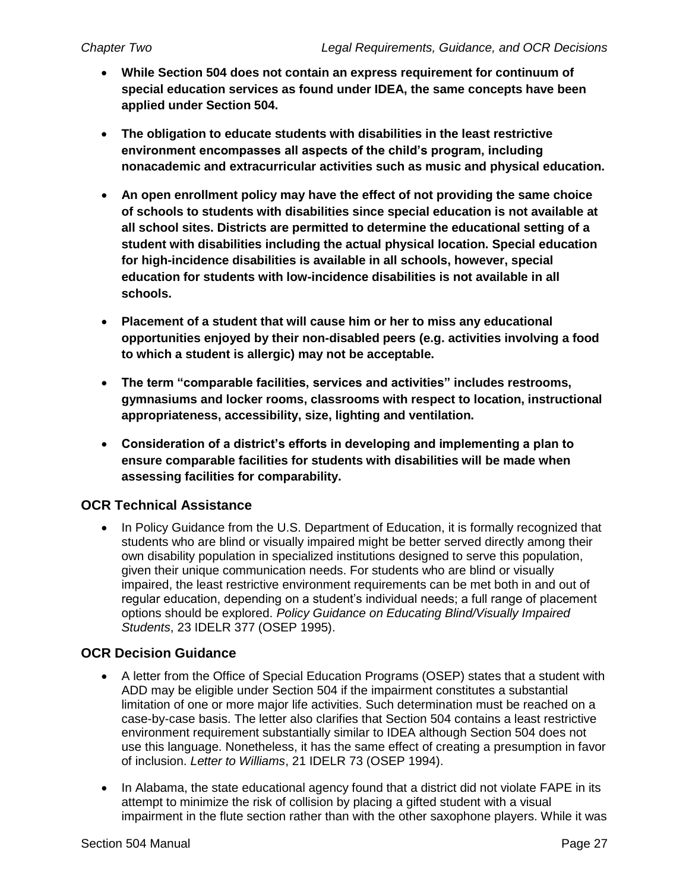- **While Section 504 does not contain an express requirement for continuum of special education services as found under IDEA, the same concepts have been applied under Section 504.**
- **The obligation to educate students with disabilities in the least restrictive environment encompasses all aspects of the child's program, including nonacademic and extracurricular activities such as music and physical education.**
- **An open enrollment policy may have the effect of not providing the same choice of schools to students with disabilities since special education is not available at all school sites. Districts are permitted to determine the educational setting of a student with disabilities including the actual physical location. Special education for high-incidence disabilities is available in all schools, however, special education for students with low-incidence disabilities is not available in all schools.**
- **Placement of a student that will cause him or her to miss any educational opportunities enjoyed by their non-disabled peers (e.g. activities involving a food to which a student is allergic) may not be acceptable.**
- **The term "comparable facilities, services and activities" includes restrooms, gymnasiums and locker rooms, classrooms with respect to location, instructional appropriateness, accessibility, size, lighting and ventilation.**
- **Consideration of a district's efforts in developing and implementing a plan to ensure comparable facilities for students with disabilities will be made when assessing facilities for comparability.**

## **OCR Technical Assistance**

• In Policy Guidance from the U.S. Department of Education, it is formally recognized that students who are blind or visually impaired might be better served directly among their own disability population in specialized institutions designed to serve this population, given their unique communication needs. For students who are blind or visually impaired, the least restrictive environment requirements can be met both in and out of regular education, depending on a student's individual needs; a full range of placement options should be explored. *Policy Guidance on Educating Blind/Visually Impaired Students*, 23 IDELR 377 (OSEP 1995).

## **OCR Decision Guidance**

- A letter from the Office of Special Education Programs (OSEP) states that a student with ADD may be eligible under Section 504 if the impairment constitutes a substantial limitation of one or more major life activities. Such determination must be reached on a case-by-case basis. The letter also clarifies that Section 504 contains a least restrictive environment requirement substantially similar to IDEA although Section 504 does not use this language. Nonetheless, it has the same effect of creating a presumption in favor of inclusion. *Letter to Williams*, 21 IDELR 73 (OSEP 1994).
- In Alabama, the state educational agency found that a district did not violate FAPE in its attempt to minimize the risk of collision by placing a gifted student with a visual impairment in the flute section rather than with the other saxophone players. While it was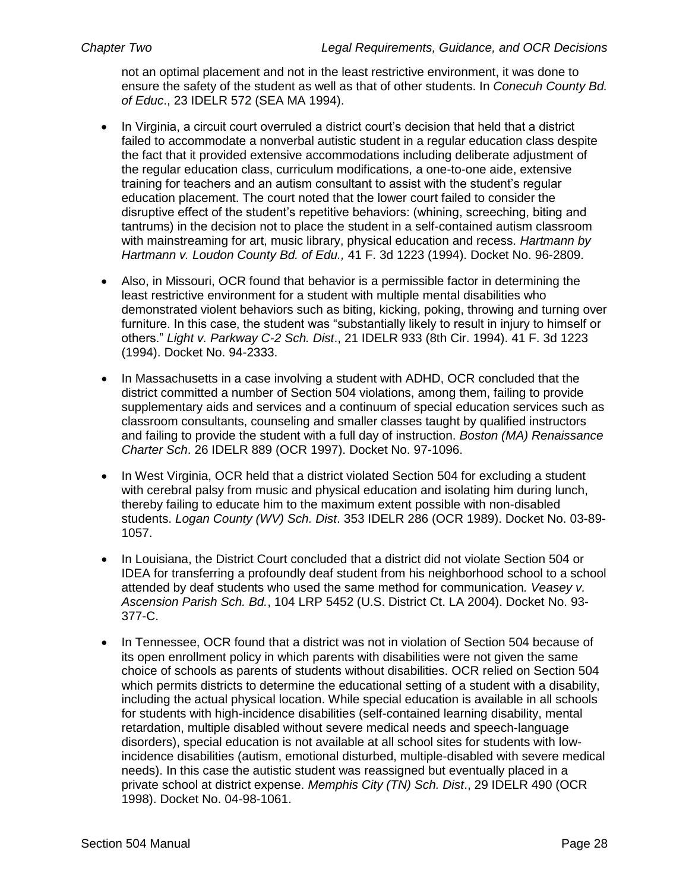not an optimal placement and not in the least restrictive environment, it was done to ensure the safety of the student as well as that of other students. In *Conecuh County Bd. of Educ*., 23 IDELR 572 (SEA MA 1994).

- In Virginia, a circuit court overruled a district court's decision that held that a district failed to accommodate a nonverbal autistic student in a regular education class despite the fact that it provided extensive accommodations including deliberate adjustment of the regular education class, curriculum modifications, a one-to-one aide, extensive training for teachers and an autism consultant to assist with the student's regular education placement. The court noted that the lower court failed to consider the disruptive effect of the student's repetitive behaviors: (whining, screeching, biting and tantrums) in the decision not to place the student in a self-contained autism classroom with mainstreaming for art, music library, physical education and recess. *Hartmann by Hartmann v. Loudon County Bd. of Edu.,* 41 F. 3d 1223 (1994). Docket No. 96-2809.
- Also, in Missouri, OCR found that behavior is a permissible factor in determining the least restrictive environment for a student with multiple mental disabilities who demonstrated violent behaviors such as biting, kicking, poking, throwing and turning over furniture. In this case, the student was "substantially likely to result in injury to himself or others." *Light v. Parkway C-2 Sch. Dist*., 21 IDELR 933 (8th Cir. 1994). 41 F. 3d 1223 (1994). Docket No. 94-2333.
- In Massachusetts in a case involving a student with ADHD, OCR concluded that the district committed a number of Section 504 violations, among them, failing to provide supplementary aids and services and a continuum of special education services such as classroom consultants, counseling and smaller classes taught by qualified instructors and failing to provide the student with a full day of instruction. *Boston (MA) Renaissance Charter Sch*. 26 IDELR 889 (OCR 1997). Docket No. 97-1096.
- In West Virginia, OCR held that a district violated Section 504 for excluding a student with cerebral palsy from music and physical education and isolating him during lunch, thereby failing to educate him to the maximum extent possible with non-disabled students. *Logan County (WV) Sch. Dist*. 353 IDELR 286 (OCR 1989). Docket No. 03-89- 1057.
- In Louisiana, the District Court concluded that a district did not violate Section 504 or IDEA for transferring a profoundly deaf student from his neighborhood school to a school attended by deaf students who used the same method for communication*. Veasey v. Ascension Parish Sch. Bd.*, 104 LRP 5452 (U.S. District Ct. LA 2004). Docket No. 93- 377-C.
- In Tennessee, OCR found that a district was not in violation of Section 504 because of its open enrollment policy in which parents with disabilities were not given the same choice of schools as parents of students without disabilities. OCR relied on Section 504 which permits districts to determine the educational setting of a student with a disability, including the actual physical location. While special education is available in all schools for students with high-incidence disabilities (self-contained learning disability, mental retardation, multiple disabled without severe medical needs and speech-language disorders), special education is not available at all school sites for students with lowincidence disabilities (autism, emotional disturbed, multiple-disabled with severe medical needs). In this case the autistic student was reassigned but eventually placed in a private school at district expense. *Memphis City (TN) Sch. Dist*., 29 IDELR 490 (OCR 1998). Docket No. 04-98-1061.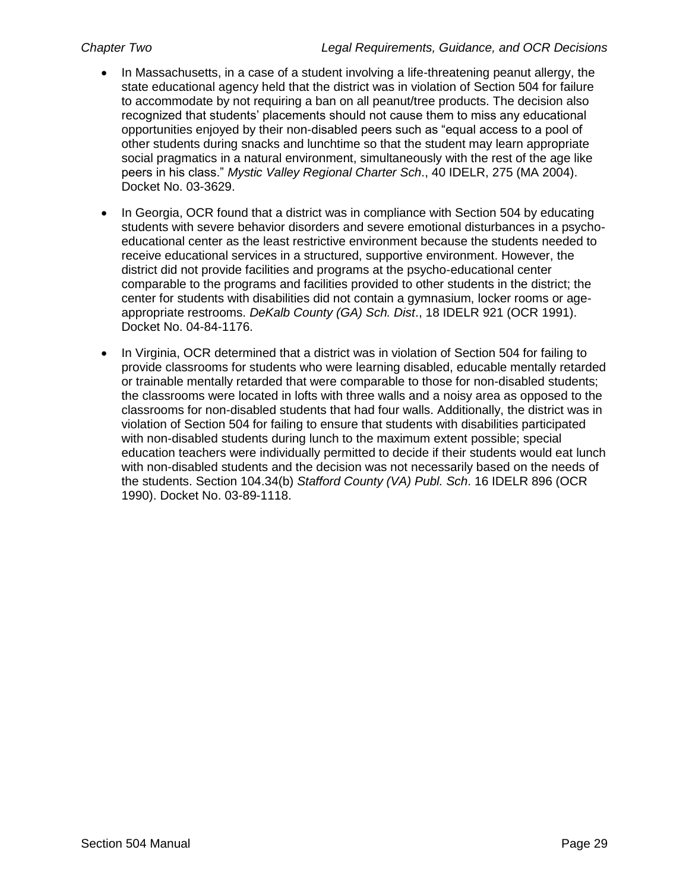- In Massachusetts, in a case of a student involving a life-threatening peanut allergy, the state educational agency held that the district was in violation of Section 504 for failure to accommodate by not requiring a ban on all peanut/tree products. The decision also recognized that students' placements should not cause them to miss any educational opportunities enjoyed by their non-disabled peers such as "equal access to a pool of other students during snacks and lunchtime so that the student may learn appropriate social pragmatics in a natural environment, simultaneously with the rest of the age like peers in his class." *Mystic Valley Regional Charter Sch*., 40 IDELR, 275 (MA 2004). Docket No. 03-3629.
- In Georgia, OCR found that a district was in compliance with Section 504 by educating students with severe behavior disorders and severe emotional disturbances in a psychoeducational center as the least restrictive environment because the students needed to receive educational services in a structured, supportive environment. However, the district did not provide facilities and programs at the psycho-educational center comparable to the programs and facilities provided to other students in the district; the center for students with disabilities did not contain a gymnasium, locker rooms or ageappropriate restrooms. *DeKalb County (GA) Sch. Dist*., 18 IDELR 921 (OCR 1991). Docket No. 04-84-1176.
- In Virginia, OCR determined that a district was in violation of Section 504 for failing to provide classrooms for students who were learning disabled, educable mentally retarded or trainable mentally retarded that were comparable to those for non-disabled students; the classrooms were located in lofts with three walls and a noisy area as opposed to the classrooms for non-disabled students that had four walls. Additionally, the district was in violation of Section 504 for failing to ensure that students with disabilities participated with non-disabled students during lunch to the maximum extent possible; special education teachers were individually permitted to decide if their students would eat lunch with non-disabled students and the decision was not necessarily based on the needs of the students. Section 104.34(b) *Stafford County (VA) Publ. Sch*. 16 IDELR 896 (OCR 1990). Docket No. 03-89-1118.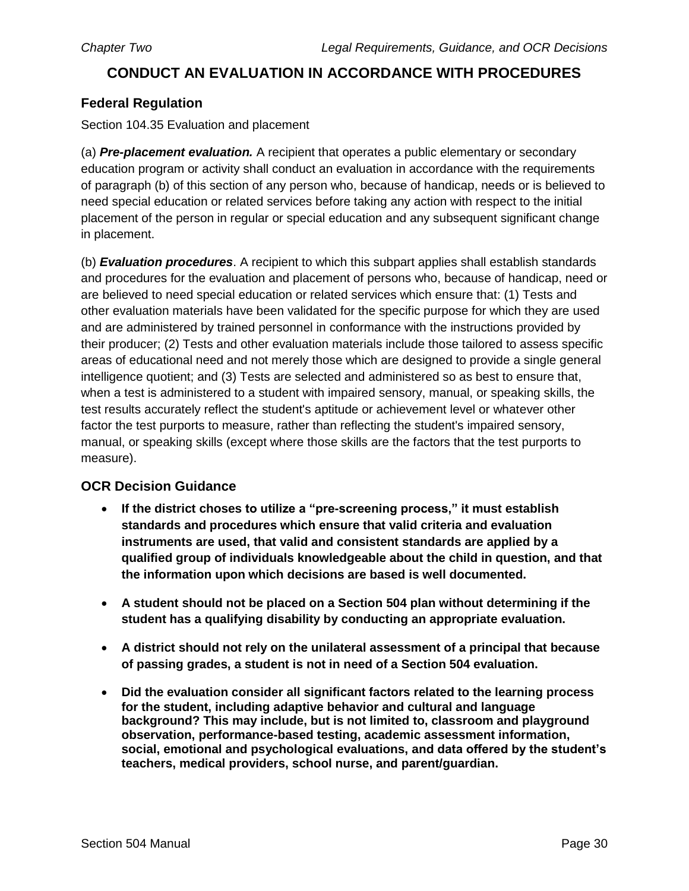## **CONDUCT AN EVALUATION IN ACCORDANCE WITH PROCEDURES**

### **Federal Regulation**

Section 104.35 Evaluation and placement

(a) *Pre-placement evaluation.* A recipient that operates a public elementary or secondary education program or activity shall conduct an evaluation in accordance with the requirements of paragraph (b) of this section of any person who, because of handicap, needs or is believed to need special education or related services before taking any action with respect to the initial placement of the person in regular or special education and any subsequent significant change in placement.

(b) *Evaluation procedures*. A recipient to which this subpart applies shall establish standards and procedures for the evaluation and placement of persons who, because of handicap, need or are believed to need special education or related services which ensure that: (1) Tests and other evaluation materials have been validated for the specific purpose for which they are used and are administered by trained personnel in conformance with the instructions provided by their producer; (2) Tests and other evaluation materials include those tailored to assess specific areas of educational need and not merely those which are designed to provide a single general intelligence quotient; and (3) Tests are selected and administered so as best to ensure that, when a test is administered to a student with impaired sensory, manual, or speaking skills, the test results accurately reflect the student's aptitude or achievement level or whatever other factor the test purports to measure, rather than reflecting the student's impaired sensory, manual, or speaking skills (except where those skills are the factors that the test purports to measure).

#### **OCR Decision Guidance**

- **If the district choses to utilize a "pre-screening process," it must establish standards and procedures which ensure that valid criteria and evaluation instruments are used, that valid and consistent standards are applied by a qualified group of individuals knowledgeable about the child in question, and that the information upon which decisions are based is well documented.**
- **A student should not be placed on a Section 504 plan without determining if the student has a qualifying disability by conducting an appropriate evaluation.**
- **A district should not rely on the unilateral assessment of a principal that because of passing grades, a student is not in need of a Section 504 evaluation.**
- **Did the evaluation consider all significant factors related to the learning process for the student, including adaptive behavior and cultural and language background? This may include, but is not limited to, classroom and playground observation, performance-based testing, academic assessment information, social, emotional and psychological evaluations, and data offered by the student's teachers, medical providers, school nurse, and parent/guardian.**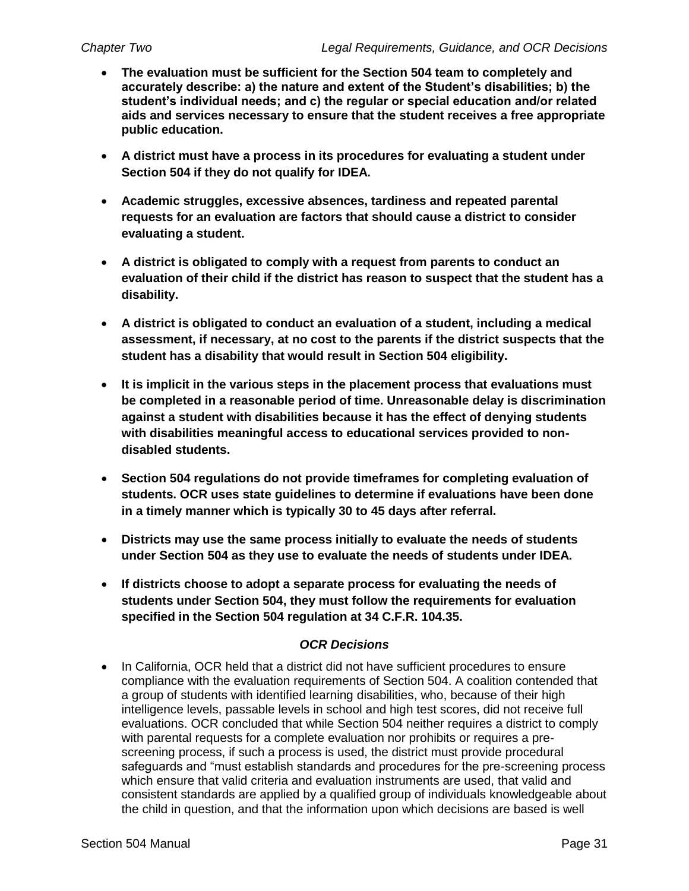- **The evaluation must be sufficient for the Section 504 team to completely and accurately describe: a) the nature and extent of the Student's disabilities; b) the student's individual needs; and c) the regular or special education and/or related aids and services necessary to ensure that the student receives a free appropriate public education.**
- **A district must have a process in its procedures for evaluating a student under Section 504 if they do not qualify for IDEA.**
- **Academic struggles, excessive absences, tardiness and repeated parental requests for an evaluation are factors that should cause a district to consider evaluating a student.**
- **A district is obligated to comply with a request from parents to conduct an evaluation of their child if the district has reason to suspect that the student has a disability.**
- **A district is obligated to conduct an evaluation of a student, including a medical assessment, if necessary, at no cost to the parents if the district suspects that the student has a disability that would result in Section 504 eligibility.**
- **It is implicit in the various steps in the placement process that evaluations must be completed in a reasonable period of time. Unreasonable delay is discrimination against a student with disabilities because it has the effect of denying students with disabilities meaningful access to educational services provided to nondisabled students.**
- **Section 504 regulations do not provide timeframes for completing evaluation of students. OCR uses state guidelines to determine if evaluations have been done in a timely manner which is typically 30 to 45 days after referral.**
- **Districts may use the same process initially to evaluate the needs of students under Section 504 as they use to evaluate the needs of students under IDEA.**
- **If districts choose to adopt a separate process for evaluating the needs of students under Section 504, they must follow the requirements for evaluation specified in the Section 504 regulation at 34 C.F.R. 104.35.**

## *OCR Decisions*

• In California, OCR held that a district did not have sufficient procedures to ensure compliance with the evaluation requirements of Section 504. A coalition contended that a group of students with identified learning disabilities, who, because of their high intelligence levels, passable levels in school and high test scores, did not receive full evaluations. OCR concluded that while Section 504 neither requires a district to comply with parental requests for a complete evaluation nor prohibits or requires a prescreening process, if such a process is used, the district must provide procedural safeguards and "must establish standards and procedures for the pre-screening process which ensure that valid criteria and evaluation instruments are used, that valid and consistent standards are applied by a qualified group of individuals knowledgeable about the child in question, and that the information upon which decisions are based is well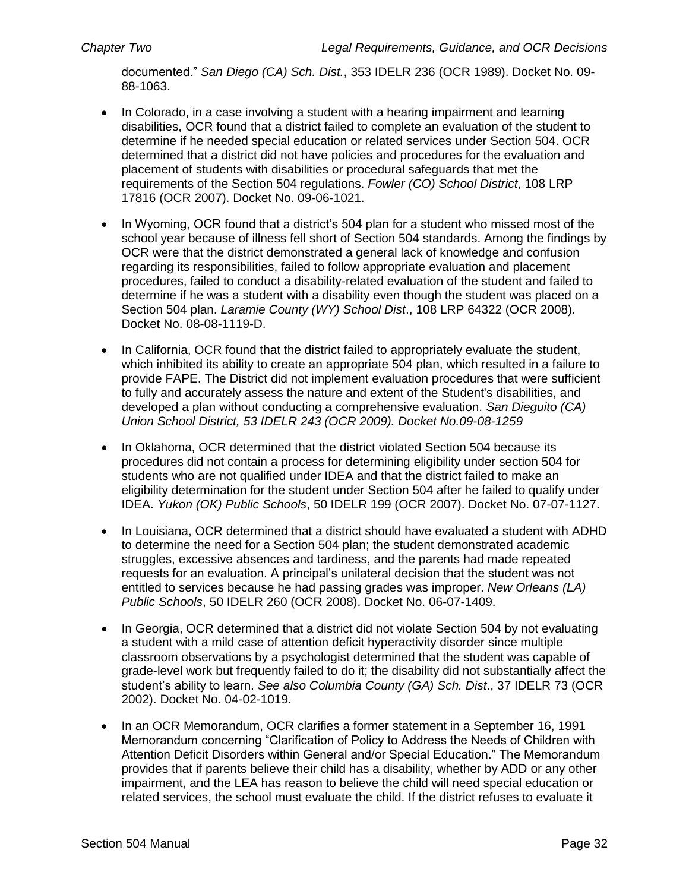documented." *San Diego (CA) Sch. Dist.*, 353 IDELR 236 (OCR 1989). Docket No. 09- 88-1063.

- In Colorado, in a case involving a student with a hearing impairment and learning disabilities, OCR found that a district failed to complete an evaluation of the student to determine if he needed special education or related services under Section 504. OCR determined that a district did not have policies and procedures for the evaluation and placement of students with disabilities or procedural safeguards that met the requirements of the Section 504 regulations. *Fowler (CO) School District*, 108 LRP 17816 (OCR 2007). Docket No. 09-06-1021.
- In Wyoming, OCR found that a district's 504 plan for a student who missed most of the school year because of illness fell short of Section 504 standards. Among the findings by OCR were that the district demonstrated a general lack of knowledge and confusion regarding its responsibilities, failed to follow appropriate evaluation and placement procedures, failed to conduct a disability-related evaluation of the student and failed to determine if he was a student with a disability even though the student was placed on a Section 504 plan. *Laramie County (WY) School Dist*., 108 LRP 64322 (OCR 2008). Docket No. 08-08-1119-D.
- In California, OCR found that the district failed to appropriately evaluate the student, which inhibited its ability to create an appropriate 504 plan, which resulted in a failure to provide FAPE. The District did not implement evaluation procedures that were sufficient to fully and accurately assess the nature and extent of the Student's disabilities, and developed a plan without conducting a comprehensive evaluation. *San Dieguito (CA) Union School District, 53 IDELR 243 (OCR 2009). Docket No.09-08-1259*
- In Oklahoma, OCR determined that the district violated Section 504 because its procedures did not contain a process for determining eligibility under section 504 for students who are not qualified under IDEA and that the district failed to make an eligibility determination for the student under Section 504 after he failed to qualify under IDEA. *Yukon (OK) Public Schools*, 50 IDELR 199 (OCR 2007). Docket No. 07-07-1127.
- In Louisiana, OCR determined that a district should have evaluated a student with ADHD to determine the need for a Section 504 plan; the student demonstrated academic struggles, excessive absences and tardiness, and the parents had made repeated requests for an evaluation. A principal's unilateral decision that the student was not entitled to services because he had passing grades was improper. *New Orleans (LA) Public Schools*, 50 IDELR 260 (OCR 2008). Docket No. 06-07-1409.
- In Georgia, OCR determined that a district did not violate Section 504 by not evaluating a student with a mild case of attention deficit hyperactivity disorder since multiple classroom observations by a psychologist determined that the student was capable of grade-level work but frequently failed to do it; the disability did not substantially affect the student's ability to learn. *See also Columbia County (GA) Sch. Dist*., 37 IDELR 73 (OCR 2002). Docket No. 04-02-1019.
- In an OCR Memorandum, OCR clarifies a former statement in a September 16, 1991 Memorandum concerning "Clarification of Policy to Address the Needs of Children with Attention Deficit Disorders within General and/or Special Education." The Memorandum provides that if parents believe their child has a disability, whether by ADD or any other impairment, and the LEA has reason to believe the child will need special education or related services, the school must evaluate the child. If the district refuses to evaluate it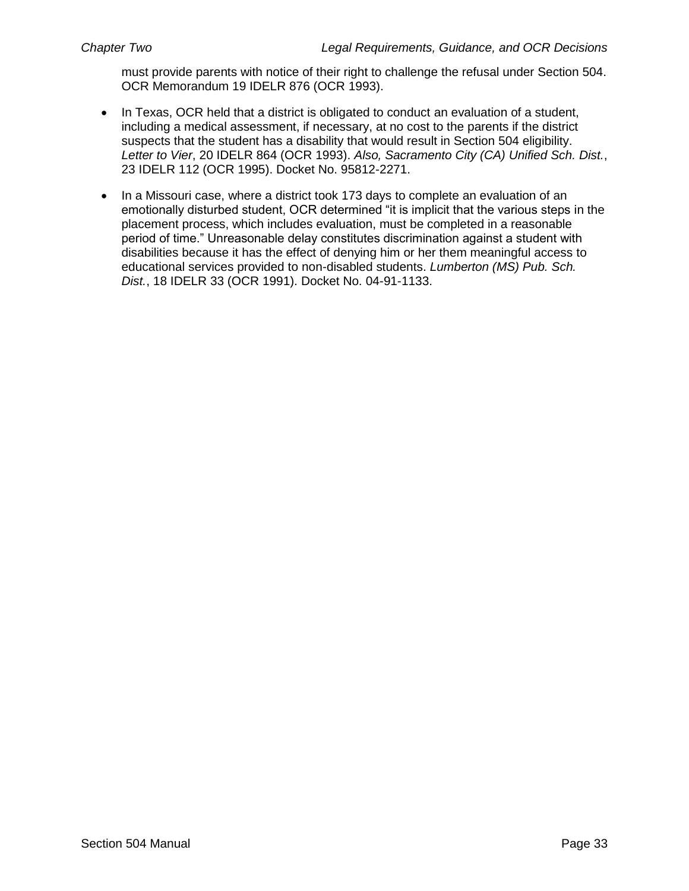must provide parents with notice of their right to challenge the refusal under Section 504. OCR Memorandum 19 IDELR 876 (OCR 1993).

- In Texas, OCR held that a district is obligated to conduct an evaluation of a student, including a medical assessment, if necessary, at no cost to the parents if the district suspects that the student has a disability that would result in Section 504 eligibility. *Letter to Vier*, 20 IDELR 864 (OCR 1993). *Also, Sacramento City (CA) Unified Sch. Dist.*, 23 IDELR 112 (OCR 1995). Docket No. 95812-2271.
- In a Missouri case, where a district took 173 days to complete an evaluation of an emotionally disturbed student, OCR determined "it is implicit that the various steps in the placement process, which includes evaluation, must be completed in a reasonable period of time." Unreasonable delay constitutes discrimination against a student with disabilities because it has the effect of denying him or her them meaningful access to educational services provided to non-disabled students. *Lumberton (MS) Pub. Sch. Dist.*, 18 IDELR 33 (OCR 1991). Docket No. 04-91-1133.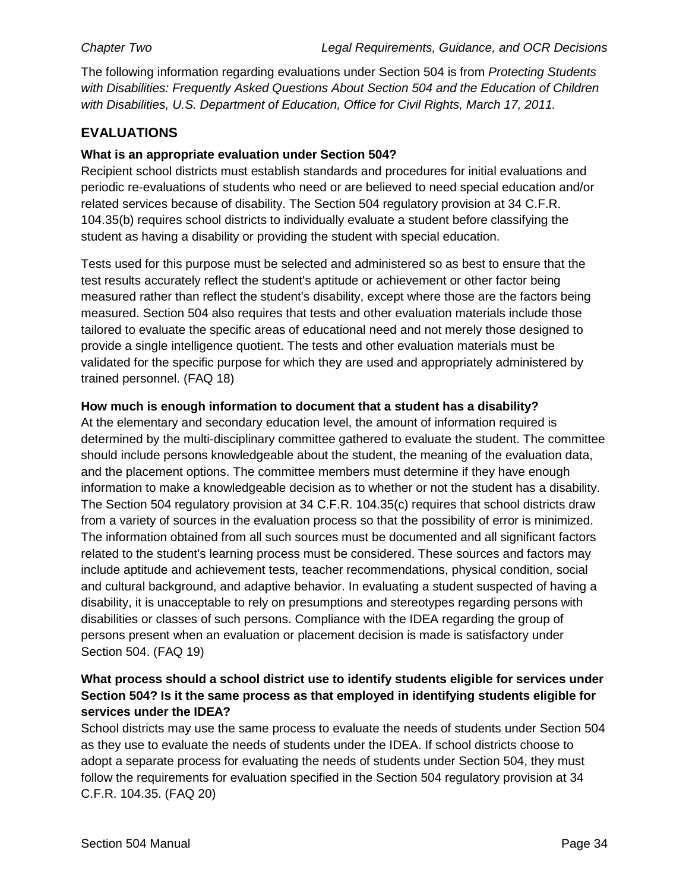The following information regarding evaluations under Section 504 is from *Protecting Students with Disabilities: Frequently Asked Questions About Section 504 and the Education of Children with Disabilities, U.S. Department of Education, Office for Civil Rights, March 17, 2011.* 

## **EVALUATIONS**

### **What is an appropriate evaluation under Section 504?**

Recipient school districts must establish standards and procedures for initial evaluations and periodic re-evaluations of students who need or are believed to need special education and/or related services because of disability. The Section 504 regulatory provision at 34 C.F.R. 104.35(b) requires school districts to individually evaluate a student before classifying the student as having a disability or providing the student with special education.

Tests used for this purpose must be selected and administered so as best to ensure that the test results accurately reflect the student's aptitude or achievement or other factor being measured rather than reflect the student's disability, except where those are the factors being measured. Section 504 also requires that tests and other evaluation materials include those tailored to evaluate the specific areas of educational need and not merely those designed to provide a single intelligence quotient. The tests and other evaluation materials must be validated for the specific purpose for which they are used and appropriately administered by trained personnel. (FAQ 18)

### **How much is enough information to document that a student has a disability?**

At the elementary and secondary education level, the amount of information required is determined by the multi-disciplinary committee gathered to evaluate the student. The committee should include persons knowledgeable about the student, the meaning of the evaluation data, and the placement options. The committee members must determine if they have enough information to make a knowledgeable decision as to whether or not the student has a disability. The Section 504 regulatory provision at 34 C.F.R. 104.35(c) requires that school districts draw from a variety of sources in the evaluation process so that the possibility of error is minimized. The information obtained from all such sources must be documented and all significant factors related to the student's learning process must be considered. These sources and factors may include aptitude and achievement tests, teacher recommendations, physical condition, social and cultural background, and adaptive behavior. In evaluating a student suspected of having a disability, it is unacceptable to rely on presumptions and stereotypes regarding persons with disabilities or classes of such persons. Compliance with the IDEA regarding the group of persons present when an evaluation or placement decision is made is satisfactory under Section 504. (FAQ 19)

## **What process should a school district use to identify students eligible for services under Section 504? Is it the same process as that employed in identifying students eligible for services under the IDEA?**

School districts may use the same process to evaluate the needs of students under Section 504 as they use to evaluate the needs of students under the IDEA. If school districts choose to adopt a separate process for evaluating the needs of students under Section 504, they must follow the requirements for evaluation specified in the Section 504 regulatory provision at 34 C.F.R. 104.35. (FAQ 20)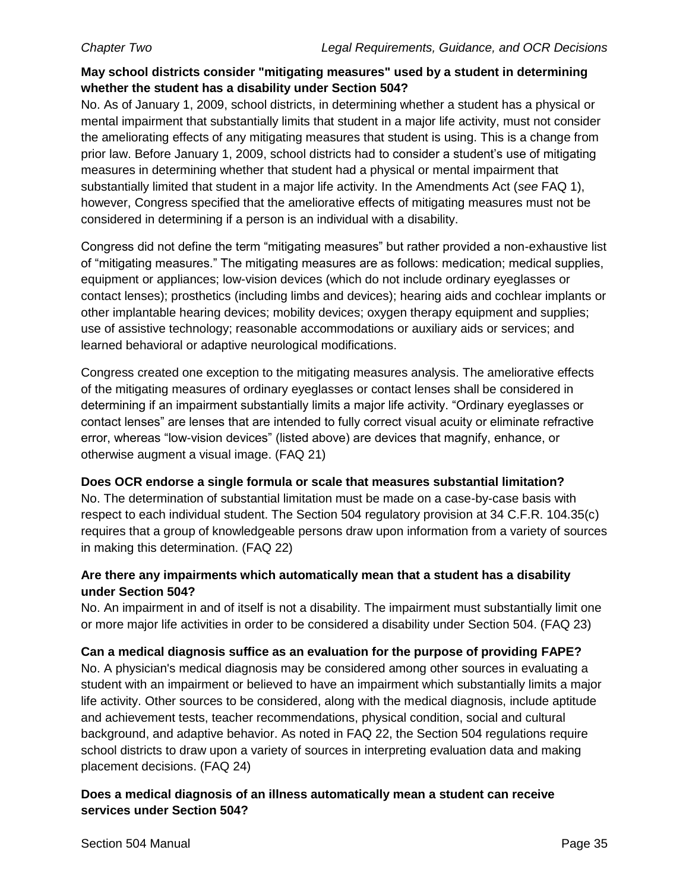## **May school districts consider "mitigating measures" used by a student in determining whether the student has a disability under Section 504?**

No. As of January 1, 2009, school districts, in determining whether a student has a physical or mental impairment that substantially limits that student in a major life activity, must not consider the ameliorating effects of any mitigating measures that student is using. This is a change from prior law. Before January 1, 2009, school districts had to consider a student's use of mitigating measures in determining whether that student had a physical or mental impairment that substantially limited that student in a major life activity. In the Amendments Act (*see* FAQ 1), however, Congress specified that the ameliorative effects of mitigating measures must not be considered in determining if a person is an individual with a disability.

Congress did not define the term "mitigating measures" but rather provided a non-exhaustive list of "mitigating measures." The mitigating measures are as follows: medication; medical supplies, equipment or appliances; low-vision devices (which do not include ordinary eyeglasses or contact lenses); prosthetics (including limbs and devices); hearing aids and cochlear implants or other implantable hearing devices; mobility devices; oxygen therapy equipment and supplies; use of assistive technology; reasonable accommodations or auxiliary aids or services; and learned behavioral or adaptive neurological modifications.

Congress created one exception to the mitigating measures analysis. The ameliorative effects of the mitigating measures of ordinary eyeglasses or contact lenses shall be considered in determining if an impairment substantially limits a major life activity. "Ordinary eyeglasses or contact lenses" are lenses that are intended to fully correct visual acuity or eliminate refractive error, whereas "low-vision devices" (listed above) are devices that magnify, enhance, or otherwise augment a visual image. (FAQ 21)

## **Does OCR endorse a single formula or scale that measures substantial limitation?**

No. The determination of substantial limitation must be made on a case-by-case basis with respect to each individual student. The Section 504 regulatory provision at 34 C.F.R. 104.35(c) requires that a group of knowledgeable persons draw upon information from a variety of sources in making this determination. (FAQ 22)

## **Are there any impairments which automatically mean that a student has a disability under Section 504?**

No. An impairment in and of itself is not a disability. The impairment must substantially limit one or more major life activities in order to be considered a disability under Section 504. (FAQ 23)

## **Can a medical diagnosis suffice as an evaluation for the purpose of providing FAPE?**

No. A physician's medical diagnosis may be considered among other sources in evaluating a student with an impairment or believed to have an impairment which substantially limits a major life activity. Other sources to be considered, along with the medical diagnosis, include aptitude and achievement tests, teacher recommendations, physical condition, social and cultural background, and adaptive behavior. As noted in FAQ 22, the Section 504 regulations require school districts to draw upon a variety of sources in interpreting evaluation data and making placement decisions. (FAQ 24)

## **Does a medical diagnosis of an illness automatically mean a student can receive services under Section 504?**

Section 504 Manual Page 35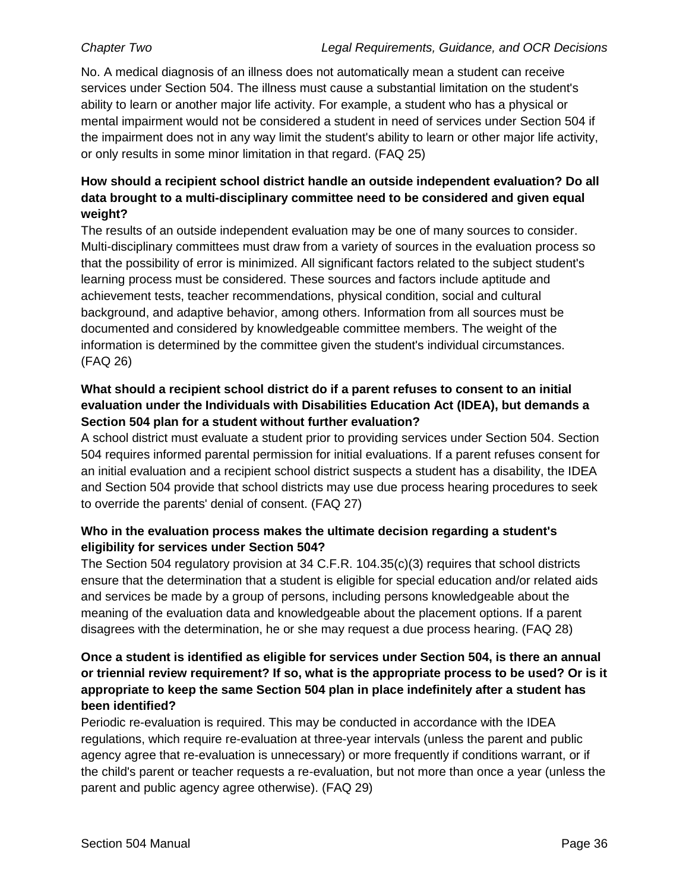No. A medical diagnosis of an illness does not automatically mean a student can receive services under Section 504. The illness must cause a substantial limitation on the student's ability to learn or another major life activity. For example, a student who has a physical or mental impairment would not be considered a student in need of services under Section 504 if the impairment does not in any way limit the student's ability to learn or other major life activity, or only results in some minor limitation in that regard. (FAQ 25)

## **How should a recipient school district handle an outside independent evaluation? Do all data brought to a multi-disciplinary committee need to be considered and given equal weight?**

The results of an outside independent evaluation may be one of many sources to consider. Multi-disciplinary committees must draw from a variety of sources in the evaluation process so that the possibility of error is minimized. All significant factors related to the subject student's learning process must be considered. These sources and factors include aptitude and achievement tests, teacher recommendations, physical condition, social and cultural background, and adaptive behavior, among others. Information from all sources must be documented and considered by knowledgeable committee members. The weight of the information is determined by the committee given the student's individual circumstances. (FAQ 26)

## **What should a recipient school district do if a parent refuses to consent to an initial evaluation under the Individuals with Disabilities Education Act (IDEA), but demands a Section 504 plan for a student without further evaluation?**

A school district must evaluate a student prior to providing services under Section 504. Section 504 requires informed parental permission for initial evaluations. If a parent refuses consent for an initial evaluation and a recipient school district suspects a student has a disability, the IDEA and Section 504 provide that school districts may use due process hearing procedures to seek to override the parents' denial of consent. (FAQ 27)

## **Who in the evaluation process makes the ultimate decision regarding a student's eligibility for services under Section 504?**

The Section 504 regulatory provision at 34 C.F.R. 104.35(c)(3) requires that school districts ensure that the determination that a student is eligible for special education and/or related aids and services be made by a group of persons, including persons knowledgeable about the meaning of the evaluation data and knowledgeable about the placement options. If a parent disagrees with the determination, he or she may request a due process hearing. (FAQ 28)

## **Once a student is identified as eligible for services under Section 504, is there an annual or triennial review requirement? If so, what is the appropriate process to be used? Or is it appropriate to keep the same Section 504 plan in place indefinitely after a student has been identified?**

Periodic re-evaluation is required. This may be conducted in accordance with the IDEA regulations, which require re-evaluation at three-year intervals (unless the parent and public agency agree that re-evaluation is unnecessary) or more frequently if conditions warrant, or if the child's parent or teacher requests a re-evaluation, but not more than once a year (unless the parent and public agency agree otherwise). (FAQ 29)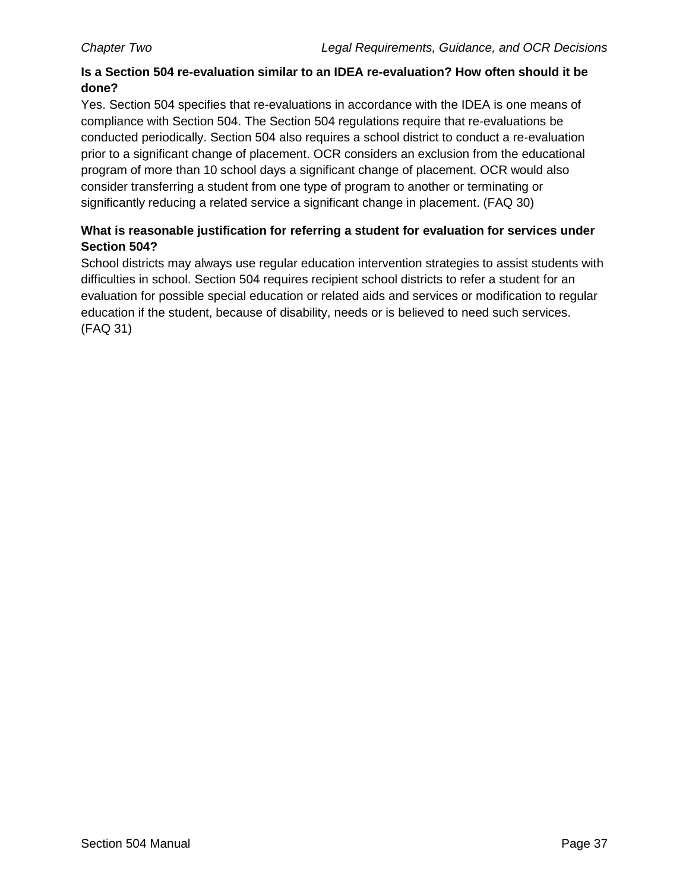## **Is a Section 504 re-evaluation similar to an IDEA re-evaluation? How often should it be done?**

Yes. Section 504 specifies that re-evaluations in accordance with the IDEA is one means of compliance with Section 504. The Section 504 regulations require that re-evaluations be conducted periodically. Section 504 also requires a school district to conduct a re-evaluation prior to a significant change of placement. OCR considers an exclusion from the educational program of more than 10 school days a significant change of placement. OCR would also consider transferring a student from one type of program to another or terminating or significantly reducing a related service a significant change in placement. (FAQ 30)

## **What is reasonable justification for referring a student for evaluation for services under Section 504?**

School districts may always use regular education intervention strategies to assist students with difficulties in school. Section 504 requires recipient school districts to refer a student for an evaluation for possible special education or related aids and services or modification to regular education if the student, because of disability, needs or is believed to need such services. (FAQ 31)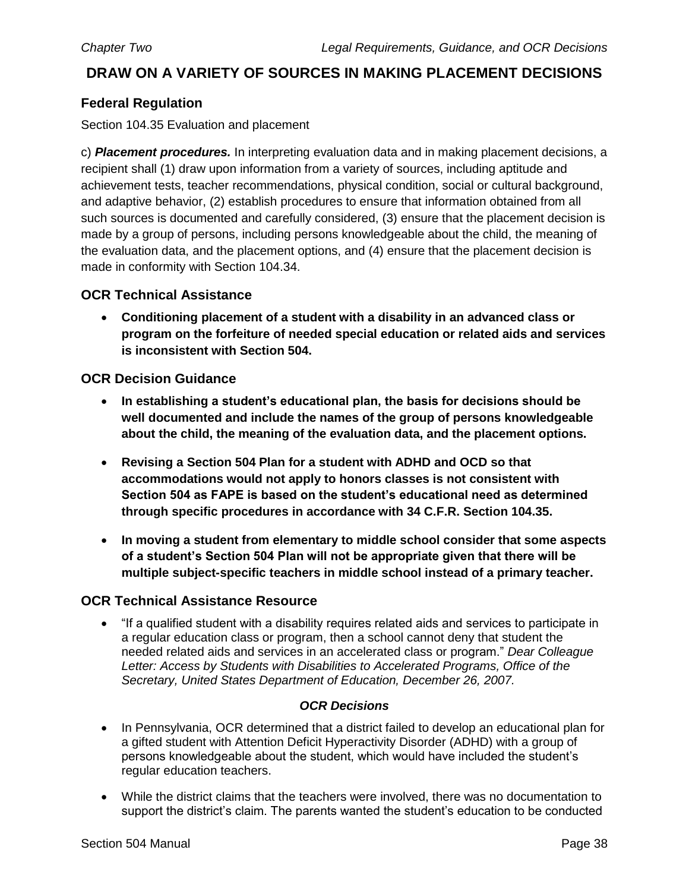# **DRAW ON A VARIETY OF SOURCES IN MAKING PLACEMENT DECISIONS**

## **Federal Regulation**

Section 104.35 Evaluation and placement

c) *Placement procedures.* In interpreting evaluation data and in making placement decisions, a recipient shall (1) draw upon information from a variety of sources, including aptitude and achievement tests, teacher recommendations, physical condition, social or cultural background, and adaptive behavior, (2) establish procedures to ensure that information obtained from all such sources is documented and carefully considered, (3) ensure that the placement decision is made by a group of persons, including persons knowledgeable about the child, the meaning of the evaluation data, and the placement options, and (4) ensure that the placement decision is made in conformity with Section 104.34.

## **OCR Technical Assistance**

 **Conditioning placement of a student with a disability in an advanced class or program on the forfeiture of needed special education or related aids and services is inconsistent with Section 504.** 

## **OCR Decision Guidance**

- **In establishing a student's educational plan, the basis for decisions should be well documented and include the names of the group of persons knowledgeable about the child, the meaning of the evaluation data, and the placement options.**
- **Revising a Section 504 Plan for a student with ADHD and OCD so that accommodations would not apply to honors classes is not consistent with Section 504 as FAPE is based on the student's educational need as determined through specific procedures in accordance with 34 C.F.R. Section 104.35.**
- **In moving a student from elementary to middle school consider that some aspects of a student's Section 504 Plan will not be appropriate given that there will be multiple subject-specific teachers in middle school instead of a primary teacher.**

#### **OCR Technical Assistance Resource**

• "If a qualified student with a disability requires related aids and services to participate in a regular education class or program, then a school cannot deny that student the needed related aids and services in an accelerated class or program." *Dear Colleague Letter: Access by Students with Disabilities to Accelerated Programs, Office of the Secretary, United States Department of Education, December 26, 2007.*

#### *OCR Decisions*

- In Pennsylvania, OCR determined that a district failed to develop an educational plan for a gifted student with Attention Deficit Hyperactivity Disorder (ADHD) with a group of persons knowledgeable about the student, which would have included the student's regular education teachers.
- While the district claims that the teachers were involved, there was no documentation to support the district's claim. The parents wanted the student's education to be conducted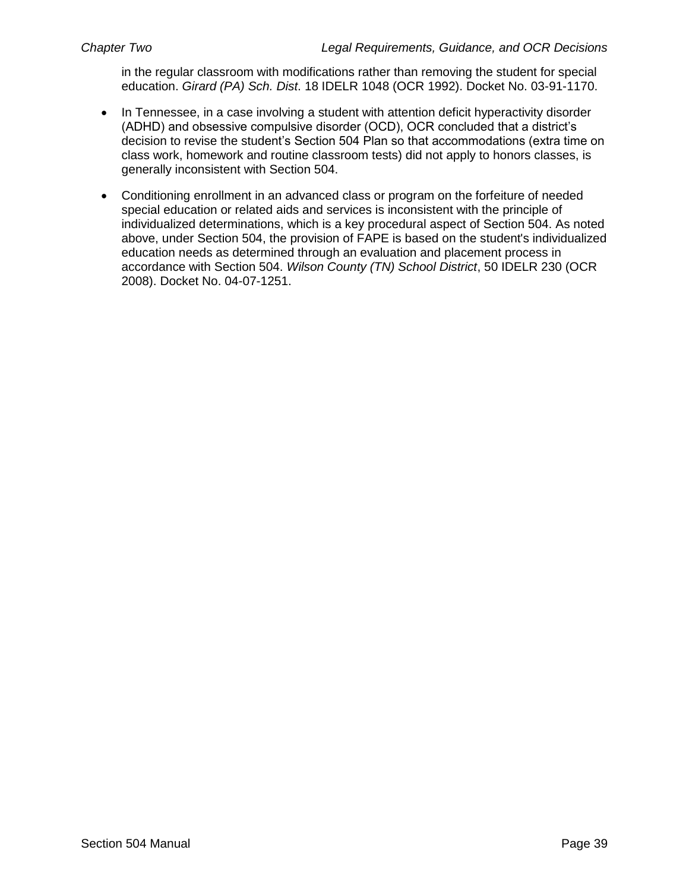in the regular classroom with modifications rather than removing the student for special education. *Girard (PA) Sch. Dist*. 18 IDELR 1048 (OCR 1992). Docket No. 03-91-1170.

- In Tennessee, in a case involving a student with attention deficit hyperactivity disorder (ADHD) and obsessive compulsive disorder (OCD), OCR concluded that a district's decision to revise the student's Section 504 Plan so that accommodations (extra time on class work, homework and routine classroom tests) did not apply to honors classes, is generally inconsistent with Section 504.
- Conditioning enrollment in an advanced class or program on the forfeiture of needed special education or related aids and services is inconsistent with the principle of individualized determinations, which is a key procedural aspect of Section 504. As noted above, under Section 504, the provision of FAPE is based on the student's individualized education needs as determined through an evaluation and placement process in accordance with Section 504. *Wilson County (TN) School District*, 50 IDELR 230 (OCR 2008). Docket No. 04-07-1251.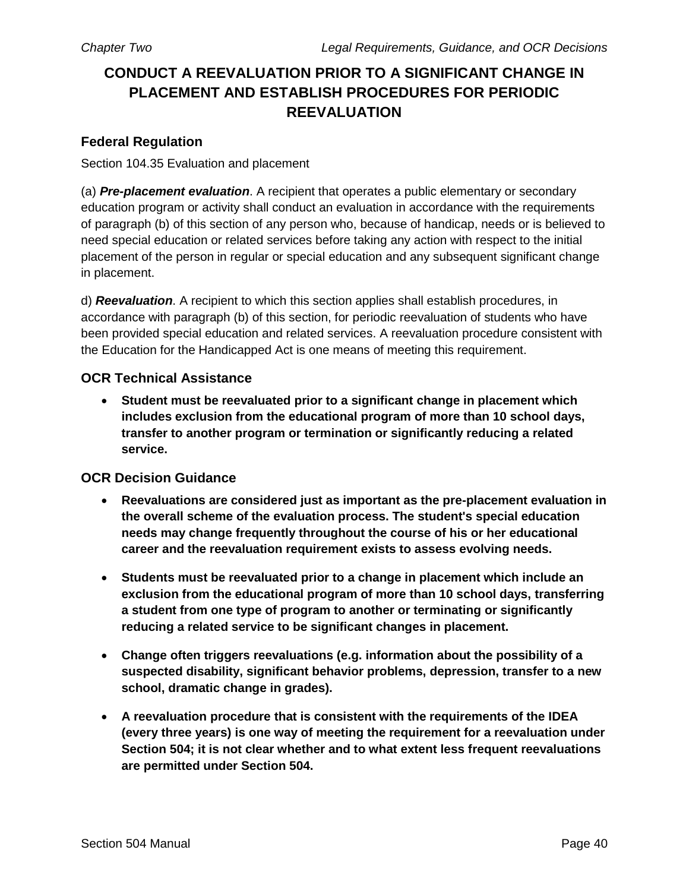# **CONDUCT A REEVALUATION PRIOR TO A SIGNIFICANT CHANGE IN PLACEMENT AND ESTABLISH PROCEDURES FOR PERIODIC REEVALUATION**

## **Federal Regulation**

Section 104.35 Evaluation and placement

(a) *Pre-placement evaluation*. A recipient that operates a public elementary or secondary education program or activity shall conduct an evaluation in accordance with the requirements of paragraph (b) of this section of any person who, because of handicap, needs or is believed to need special education or related services before taking any action with respect to the initial placement of the person in regular or special education and any subsequent significant change in placement.

d) *Reevaluation*. A recipient to which this section applies shall establish procedures, in accordance with paragraph (b) of this section, for periodic reevaluation of students who have been provided special education and related services. A reevaluation procedure consistent with the Education for the Handicapped Act is one means of meeting this requirement.

## **OCR Technical Assistance**

 **Student must be reevaluated prior to a significant change in placement which includes exclusion from the educational program of more than 10 school days, transfer to another program or termination or significantly reducing a related service.** 

#### **OCR Decision Guidance**

- **Reevaluations are considered just as important as the pre-placement evaluation in the overall scheme of the evaluation process. The student's special education needs may change frequently throughout the course of his or her educational career and the reevaluation requirement exists to assess evolving needs.**
- **Students must be reevaluated prior to a change in placement which include an exclusion from the educational program of more than 10 school days, transferring a student from one type of program to another or terminating or significantly reducing a related service to be significant changes in placement.**
- **Change often triggers reevaluations (e.g. information about the possibility of a suspected disability, significant behavior problems, depression, transfer to a new school, dramatic change in grades).**
- **A reevaluation procedure that is consistent with the requirements of the IDEA (every three years) is one way of meeting the requirement for a reevaluation under Section 504; it is not clear whether and to what extent less frequent reevaluations are permitted under Section 504.**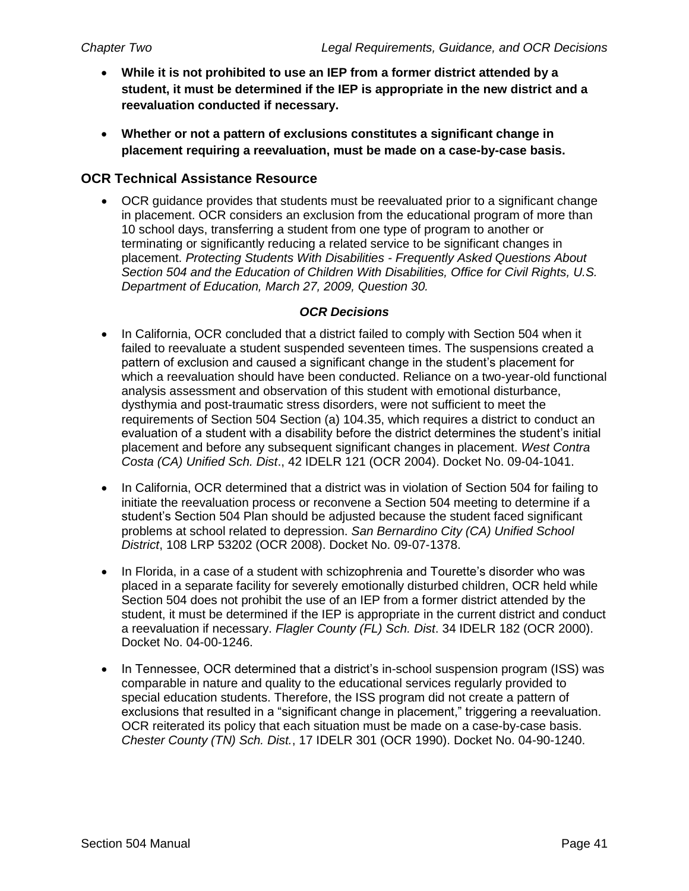- **While it is not prohibited to use an IEP from a former district attended by a student, it must be determined if the IEP is appropriate in the new district and a reevaluation conducted if necessary.**
- **Whether or not a pattern of exclusions constitutes a significant change in placement requiring a reevaluation, must be made on a case-by-case basis.**

## **OCR Technical Assistance Resource**

 OCR guidance provides that students must be reevaluated prior to a significant change in placement. OCR considers an exclusion from the educational program of more than 10 school days, transferring a student from one type of program to another or terminating or significantly reducing a related service to be significant changes in placement. *Protecting Students With Disabilities - Frequently Asked Questions About Section 504 and the Education of Children With Disabilities, Office for Civil Rights, U.S. Department of Education, March 27, 2009, Question 30.* 

#### *OCR Decisions*

- In California, OCR concluded that a district failed to comply with Section 504 when it failed to reevaluate a student suspended seventeen times. The suspensions created a pattern of exclusion and caused a significant change in the student's placement for which a reevaluation should have been conducted. Reliance on a two-year-old functional analysis assessment and observation of this student with emotional disturbance, dysthymia and post-traumatic stress disorders, were not sufficient to meet the requirements of Section 504 Section (a) 104.35, which requires a district to conduct an evaluation of a student with a disability before the district determines the student's initial placement and before any subsequent significant changes in placement. *West Contra Costa (CA) Unified Sch. Dist*., 42 IDELR 121 (OCR 2004). Docket No. 09-04-1041.
- In California, OCR determined that a district was in violation of Section 504 for failing to initiate the reevaluation process or reconvene a Section 504 meeting to determine if a student's Section 504 Plan should be adjusted because the student faced significant problems at school related to depression. *San Bernardino City (CA) Unified School District*, 108 LRP 53202 (OCR 2008). Docket No. 09-07-1378.
- In Florida, in a case of a student with schizophrenia and Tourette's disorder who was placed in a separate facility for severely emotionally disturbed children, OCR held while Section 504 does not prohibit the use of an IEP from a former district attended by the student, it must be determined if the IEP is appropriate in the current district and conduct a reevaluation if necessary. *Flagler County (FL) Sch. Dist*. 34 IDELR 182 (OCR 2000). Docket No. 04-00-1246.
- In Tennessee, OCR determined that a district's in-school suspension program (ISS) was comparable in nature and quality to the educational services regularly provided to special education students. Therefore, the ISS program did not create a pattern of exclusions that resulted in a "significant change in placement," triggering a reevaluation. OCR reiterated its policy that each situation must be made on a case-by-case basis. *Chester County (TN) Sch. Dist.*, 17 IDELR 301 (OCR 1990). Docket No. 04-90-1240.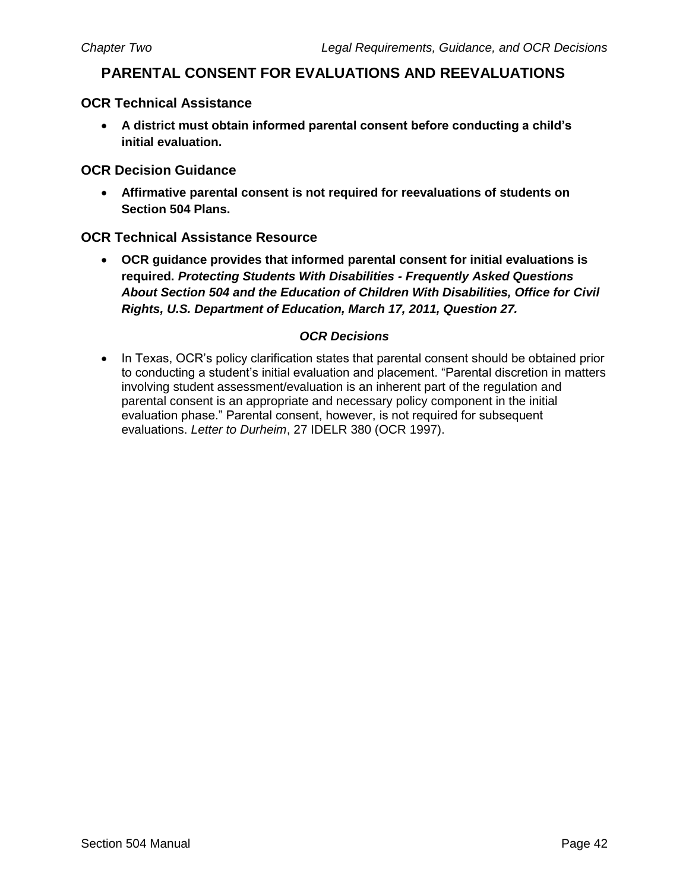## **PARENTAL CONSENT FOR EVALUATIONS AND REEVALUATIONS**

#### **OCR Technical Assistance**

 **A district must obtain informed parental consent before conducting a child's initial evaluation.** 

#### **OCR Decision Guidance**

 **Affirmative parental consent is not required for reevaluations of students on Section 504 Plans.** 

#### **OCR Technical Assistance Resource**

 **OCR guidance provides that informed parental consent for initial evaluations is required.** *Protecting Students With Disabilities - Frequently Asked Questions About Section 504 and the Education of Children With Disabilities, Office for Civil Rights, U.S. Department of Education, March 17, 2011, Question 27.* 

#### *OCR Decisions*

• In Texas, OCR's policy clarification states that parental consent should be obtained prior to conducting a student's initial evaluation and placement. "Parental discretion in matters involving student assessment/evaluation is an inherent part of the regulation and parental consent is an appropriate and necessary policy component in the initial evaluation phase." Parental consent, however, is not required for subsequent evaluations. *Letter to Durheim*, 27 IDELR 380 (OCR 1997).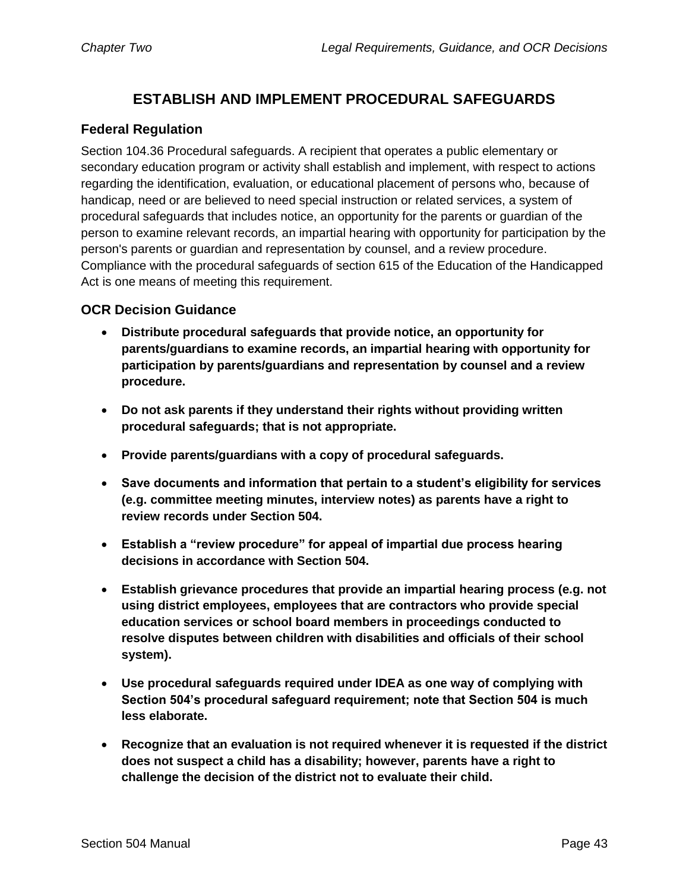# **ESTABLISH AND IMPLEMENT PROCEDURAL SAFEGUARDS**

## **Federal Regulation**

Section 104.36 Procedural safeguards. A recipient that operates a public elementary or secondary education program or activity shall establish and implement, with respect to actions regarding the identification, evaluation, or educational placement of persons who, because of handicap, need or are believed to need special instruction or related services, a system of procedural safeguards that includes notice, an opportunity for the parents or guardian of the person to examine relevant records, an impartial hearing with opportunity for participation by the person's parents or guardian and representation by counsel, and a review procedure. Compliance with the procedural safeguards of section 615 of the Education of the Handicapped Act is one means of meeting this requirement.

## **OCR Decision Guidance**

- **Distribute procedural safeguards that provide notice, an opportunity for parents/guardians to examine records, an impartial hearing with opportunity for participation by parents/guardians and representation by counsel and a review procedure.**
- **Do not ask parents if they understand their rights without providing written procedural safeguards; that is not appropriate.**
- **Provide parents/guardians with a copy of procedural safeguards.**
- **Save documents and information that pertain to a student's eligibility for services (e.g. committee meeting minutes, interview notes) as parents have a right to review records under Section 504.**
- **Establish a "review procedure" for appeal of impartial due process hearing decisions in accordance with Section 504.**
- **Establish grievance procedures that provide an impartial hearing process (e.g. not using district employees, employees that are contractors who provide special education services or school board members in proceedings conducted to resolve disputes between children with disabilities and officials of their school system).**
- **Use procedural safeguards required under IDEA as one way of complying with Section 504's procedural safeguard requirement; note that Section 504 is much less elaborate.**
- **Recognize that an evaluation is not required whenever it is requested if the district does not suspect a child has a disability; however, parents have a right to challenge the decision of the district not to evaluate their child.**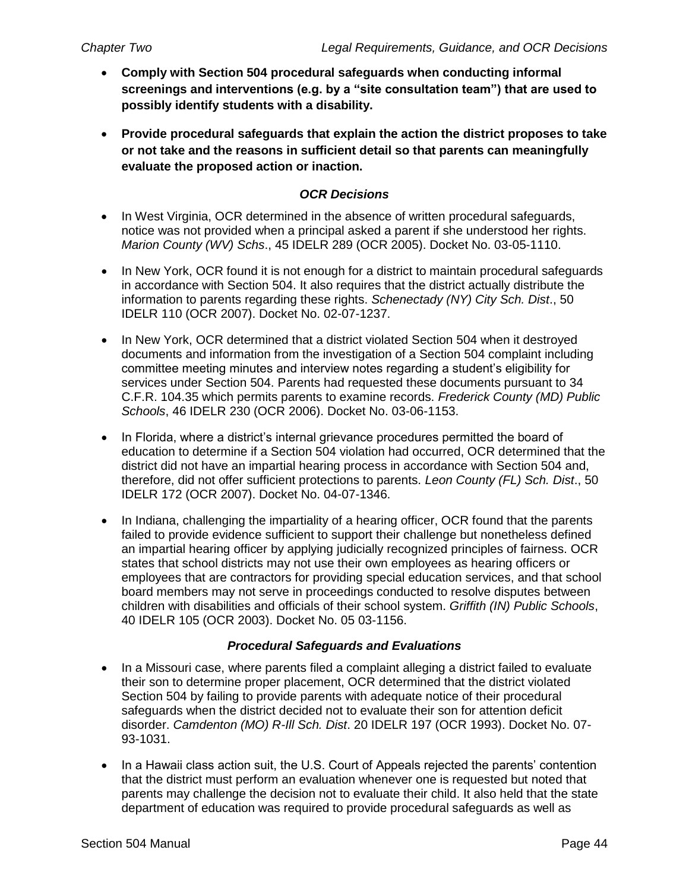- **Comply with Section 504 procedural safeguards when conducting informal screenings and interventions (e.g. by a "site consultation team") that are used to possibly identify students with a disability.**
- **Provide procedural safeguards that explain the action the district proposes to take or not take and the reasons in sufficient detail so that parents can meaningfully evaluate the proposed action or inaction.**

## *OCR Decisions*

- In West Virginia, OCR determined in the absence of written procedural safeguards, notice was not provided when a principal asked a parent if she understood her rights. *Marion County (WV) Schs*., 45 IDELR 289 (OCR 2005). Docket No. 03-05-1110.
- In New York, OCR found it is not enough for a district to maintain procedural safeguards in accordance with Section 504. It also requires that the district actually distribute the information to parents regarding these rights. *Schenectady (NY) City Sch. Dist*., 50 IDELR 110 (OCR 2007). Docket No. 02-07-1237.
- In New York, OCR determined that a district violated Section 504 when it destroyed documents and information from the investigation of a Section 504 complaint including committee meeting minutes and interview notes regarding a student's eligibility for services under Section 504. Parents had requested these documents pursuant to 34 C.F.R. 104.35 which permits parents to examine records. *Frederick County (MD) Public Schools*, 46 IDELR 230 (OCR 2006). Docket No. 03-06-1153.
- In Florida, where a district's internal grievance procedures permitted the board of education to determine if a Section 504 violation had occurred, OCR determined that the district did not have an impartial hearing process in accordance with Section 504 and, therefore, did not offer sufficient protections to parents. *Leon County (FL) Sch. Dist*., 50 IDELR 172 (OCR 2007). Docket No. 04-07-1346.
- In Indiana, challenging the impartiality of a hearing officer, OCR found that the parents failed to provide evidence sufficient to support their challenge but nonetheless defined an impartial hearing officer by applying judicially recognized principles of fairness. OCR states that school districts may not use their own employees as hearing officers or employees that are contractors for providing special education services, and that school board members may not serve in proceedings conducted to resolve disputes between children with disabilities and officials of their school system. *Griffith (IN) Public Schools*, 40 IDELR 105 (OCR 2003). Docket No. 05 03-1156.

#### *Procedural Safeguards and Evaluations*

- In a Missouri case, where parents filed a complaint alleging a district failed to evaluate their son to determine proper placement, OCR determined that the district violated Section 504 by failing to provide parents with adequate notice of their procedural safeguards when the district decided not to evaluate their son for attention deficit disorder. *Camdenton (MO) R-Ill Sch. Dist*. 20 IDELR 197 (OCR 1993). Docket No. 07- 93-1031.
- In a Hawaii class action suit, the U.S. Court of Appeals rejected the parents' contention that the district must perform an evaluation whenever one is requested but noted that parents may challenge the decision not to evaluate their child. It also held that the state department of education was required to provide procedural safeguards as well as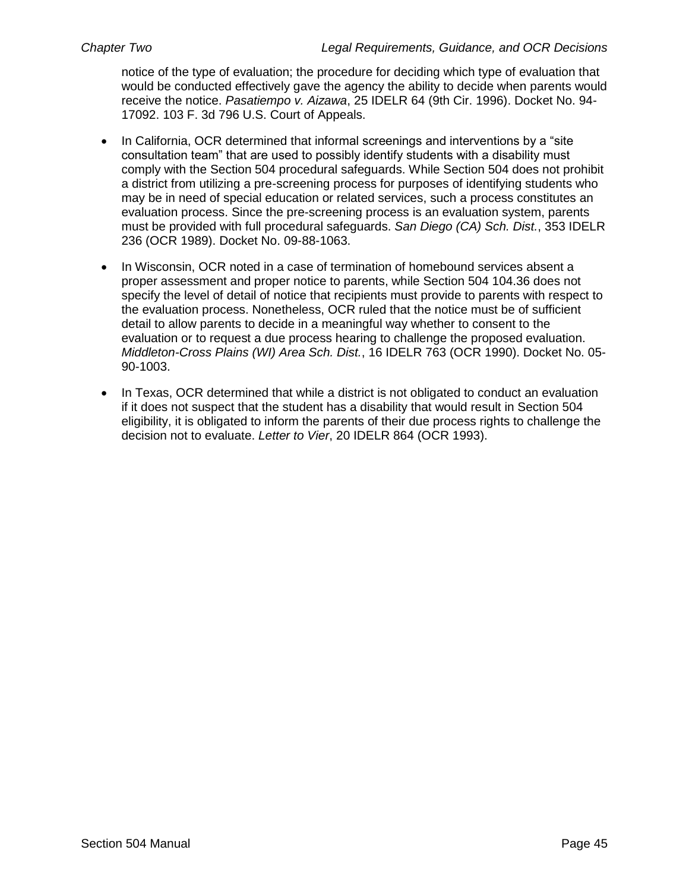notice of the type of evaluation; the procedure for deciding which type of evaluation that would be conducted effectively gave the agency the ability to decide when parents would receive the notice. *Pasatiempo v. Aizawa*, 25 IDELR 64 (9th Cir. 1996). Docket No. 94- 17092. 103 F. 3d 796 U.S. Court of Appeals.

- In California, OCR determined that informal screenings and interventions by a "site" consultation team" that are used to possibly identify students with a disability must comply with the Section 504 procedural safeguards. While Section 504 does not prohibit a district from utilizing a pre-screening process for purposes of identifying students who may be in need of special education or related services, such a process constitutes an evaluation process. Since the pre-screening process is an evaluation system, parents must be provided with full procedural safeguards. *San Diego (CA) Sch. Dist.*, 353 IDELR 236 (OCR 1989). Docket No. 09-88-1063.
- In Wisconsin, OCR noted in a case of termination of homebound services absent a proper assessment and proper notice to parents, while Section 504 104.36 does not specify the level of detail of notice that recipients must provide to parents with respect to the evaluation process. Nonetheless, OCR ruled that the notice must be of sufficient detail to allow parents to decide in a meaningful way whether to consent to the evaluation or to request a due process hearing to challenge the proposed evaluation. *Middleton-Cross Plains (WI) Area Sch. Dist.*, 16 IDELR 763 (OCR 1990). Docket No. 05- 90-1003.
- In Texas, OCR determined that while a district is not obligated to conduct an evaluation if it does not suspect that the student has a disability that would result in Section 504 eligibility, it is obligated to inform the parents of their due process rights to challenge the decision not to evaluate. *Letter to Vier*, 20 IDELR 864 (OCR 1993).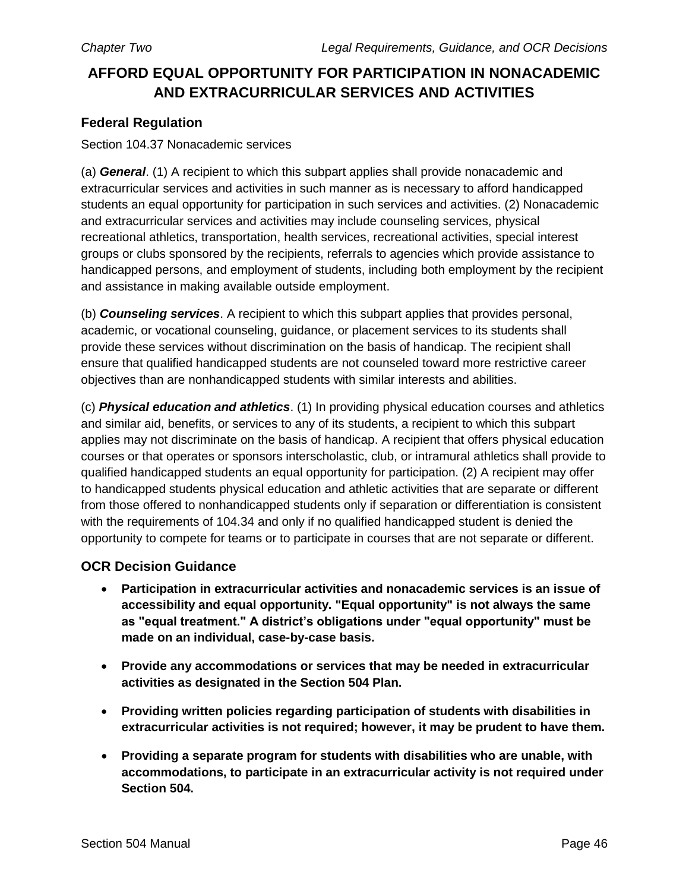# **AFFORD EQUAL OPPORTUNITY FOR PARTICIPATION IN NONACADEMIC AND EXTRACURRICULAR SERVICES AND ACTIVITIES**

## **Federal Regulation**

#### Section 104.37 Nonacademic services

(a) *General*. (1) A recipient to which this subpart applies shall provide nonacademic and extracurricular services and activities in such manner as is necessary to afford handicapped students an equal opportunity for participation in such services and activities. (2) Nonacademic and extracurricular services and activities may include counseling services, physical recreational athletics, transportation, health services, recreational activities, special interest groups or clubs sponsored by the recipients, referrals to agencies which provide assistance to handicapped persons, and employment of students, including both employment by the recipient and assistance in making available outside employment.

(b) *Counseling services*. A recipient to which this subpart applies that provides personal, academic, or vocational counseling, guidance, or placement services to its students shall provide these services without discrimination on the basis of handicap. The recipient shall ensure that qualified handicapped students are not counseled toward more restrictive career objectives than are nonhandicapped students with similar interests and abilities.

(c) *Physical education and athletics*. (1) In providing physical education courses and athletics and similar aid, benefits, or services to any of its students, a recipient to which this subpart applies may not discriminate on the basis of handicap. A recipient that offers physical education courses or that operates or sponsors interscholastic, club, or intramural athletics shall provide to qualified handicapped students an equal opportunity for participation. (2) A recipient may offer to handicapped students physical education and athletic activities that are separate or different from those offered to nonhandicapped students only if separation or differentiation is consistent with the requirements of 104.34 and only if no qualified handicapped student is denied the opportunity to compete for teams or to participate in courses that are not separate or different.

## **OCR Decision Guidance**

- **Participation in extracurricular activities and nonacademic services is an issue of accessibility and equal opportunity. "Equal opportunity" is not always the same as "equal treatment." A district's obligations under "equal opportunity" must be made on an individual, case-by-case basis.**
- **Provide any accommodations or services that may be needed in extracurricular activities as designated in the Section 504 Plan.**
- **Providing written policies regarding participation of students with disabilities in extracurricular activities is not required; however, it may be prudent to have them.**
- **Providing a separate program for students with disabilities who are unable, with accommodations, to participate in an extracurricular activity is not required under Section 504.**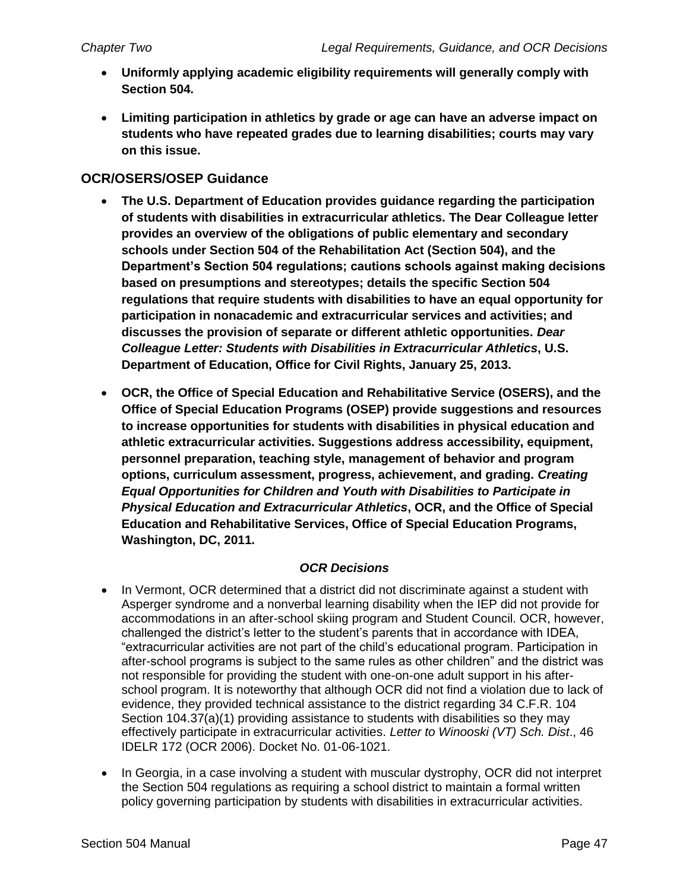- **Uniformly applying academic eligibility requirements will generally comply with Section 504.**
- **Limiting participation in athletics by grade or age can have an adverse impact on students who have repeated grades due to learning disabilities; courts may vary on this issue.**

## **OCR/OSERS/OSEP Guidance**

- **The U.S. Department of Education provides guidance regarding the participation of students with disabilities in extracurricular athletics. The Dear Colleague letter provides an overview of the obligations of public elementary and secondary schools under Section 504 of the Rehabilitation Act (Section 504), and the Department's Section 504 regulations; cautions schools against making decisions based on presumptions and stereotypes; details the specific Section 504 regulations that require students with disabilities to have an equal opportunity for participation in nonacademic and extracurricular services and activities; and discusses the provision of separate or different athletic opportunities.** *Dear Colleague Letter: Students with Disabilities in Extracurricular Athletics***, U.S. Department of Education, Office for Civil Rights, January 25, 2013.**
- **OCR, the Office of Special Education and Rehabilitative Service (OSERS), and the Office of Special Education Programs (OSEP) provide suggestions and resources to increase opportunities for students with disabilities in physical education and athletic extracurricular activities. Suggestions address accessibility, equipment, personnel preparation, teaching style, management of behavior and program options, curriculum assessment, progress, achievement, and grading.** *Creating Equal Opportunities for Children and Youth with Disabilities to Participate in Physical Education and Extracurricular Athletics***, OCR, and the Office of Special Education and Rehabilitative Services, Office of Special Education Programs, Washington, DC, 2011.**

## *OCR Decisions*

- In Vermont, OCR determined that a district did not discriminate against a student with Asperger syndrome and a nonverbal learning disability when the IEP did not provide for accommodations in an after-school skiing program and Student Council. OCR, however, challenged the district's letter to the student's parents that in accordance with IDEA, "extracurricular activities are not part of the child's educational program. Participation in after-school programs is subject to the same rules as other children" and the district was not responsible for providing the student with one-on-one adult support in his afterschool program. It is noteworthy that although OCR did not find a violation due to lack of evidence, they provided technical assistance to the district regarding 34 C.F.R. 104 Section 104.37(a)(1) providing assistance to students with disabilities so they may effectively participate in extracurricular activities. *Letter to Winooski (VT) Sch. Dist*., 46 IDELR 172 (OCR 2006). Docket No. 01-06-1021.
- In Georgia, in a case involving a student with muscular dystrophy, OCR did not interpret the Section 504 regulations as requiring a school district to maintain a formal written policy governing participation by students with disabilities in extracurricular activities.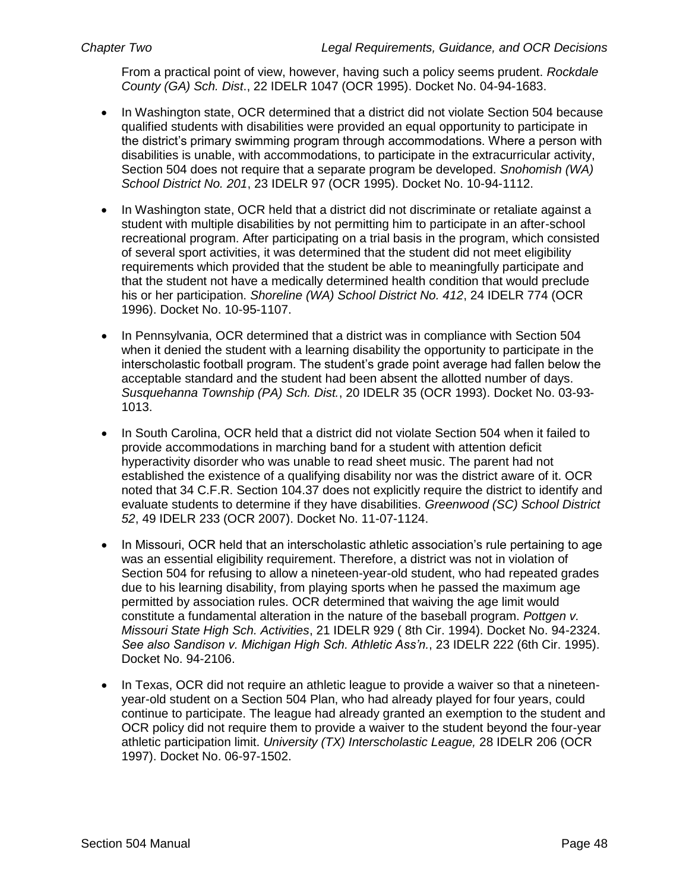From a practical point of view, however, having such a policy seems prudent. *Rockdale County (GA) Sch. Dist*., 22 IDELR 1047 (OCR 1995). Docket No. 04-94-1683.

- In Washington state, OCR determined that a district did not violate Section 504 because qualified students with disabilities were provided an equal opportunity to participate in the district's primary swimming program through accommodations. Where a person with disabilities is unable, with accommodations, to participate in the extracurricular activity, Section 504 does not require that a separate program be developed. *Snohomish (WA) School District No. 201*, 23 IDELR 97 (OCR 1995). Docket No. 10-94-1112.
- In Washington state, OCR held that a district did not discriminate or retaliate against a student with multiple disabilities by not permitting him to participate in an after-school recreational program. After participating on a trial basis in the program, which consisted of several sport activities, it was determined that the student did not meet eligibility requirements which provided that the student be able to meaningfully participate and that the student not have a medically determined health condition that would preclude his or her participation. *Shoreline (WA) School District No. 412*, 24 IDELR 774 (OCR 1996). Docket No. 10-95-1107.
- In Pennsylvania, OCR determined that a district was in compliance with Section 504 when it denied the student with a learning disability the opportunity to participate in the interscholastic football program. The student's grade point average had fallen below the acceptable standard and the student had been absent the allotted number of days. *Susquehanna Township (PA) Sch. Dist.*, 20 IDELR 35 (OCR 1993). Docket No. 03-93- 1013.
- In South Carolina, OCR held that a district did not violate Section 504 when it failed to provide accommodations in marching band for a student with attention deficit hyperactivity disorder who was unable to read sheet music. The parent had not established the existence of a qualifying disability nor was the district aware of it. OCR noted that 34 C.F.R. Section 104.37 does not explicitly require the district to identify and evaluate students to determine if they have disabilities. *Greenwood (SC) School District 52*, 49 IDELR 233 (OCR 2007). Docket No. 11-07-1124.
- In Missouri, OCR held that an interscholastic athletic association's rule pertaining to age was an essential eligibility requirement. Therefore, a district was not in violation of Section 504 for refusing to allow a nineteen-year-old student, who had repeated grades due to his learning disability, from playing sports when he passed the maximum age permitted by association rules. OCR determined that waiving the age limit would constitute a fundamental alteration in the nature of the baseball program. *Pottgen v. Missouri State High Sch. Activities*, 21 IDELR 929 ( 8th Cir. 1994). Docket No. 94-2324. *See also Sandison v. Michigan High Sch. Athletic Ass'n.*, 23 IDELR 222 (6th Cir. 1995). Docket No. 94-2106.
- In Texas, OCR did not require an athletic league to provide a waiver so that a nineteenyear-old student on a Section 504 Plan, who had already played for four years, could continue to participate. The league had already granted an exemption to the student and OCR policy did not require them to provide a waiver to the student beyond the four-year athletic participation limit. *University (TX) Interscholastic League,* 28 IDELR 206 (OCR 1997). Docket No. 06-97-1502.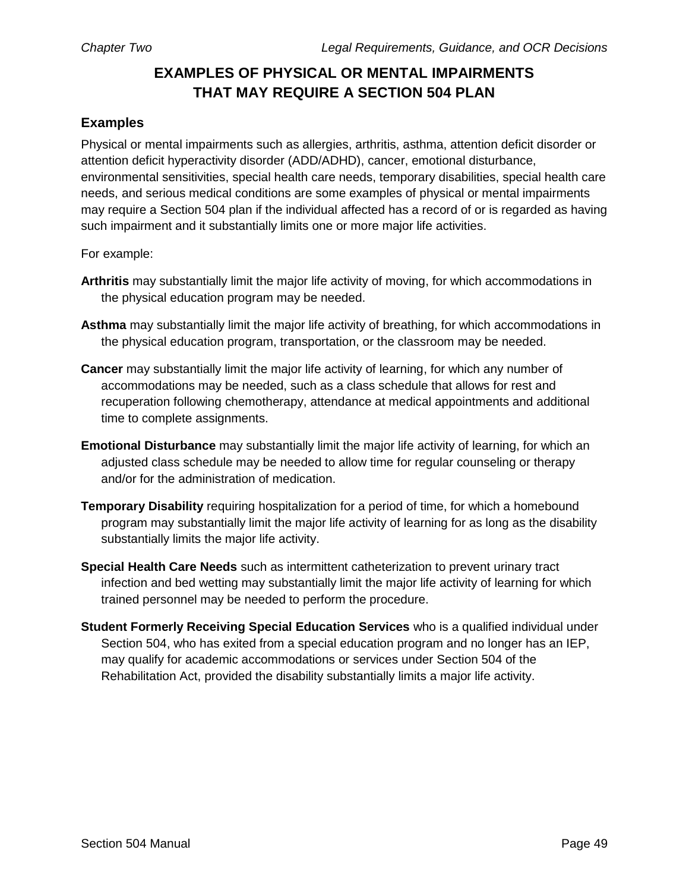# **EXAMPLES OF PHYSICAL OR MENTAL IMPAIRMENTS THAT MAY REQUIRE A SECTION 504 PLAN**

## **Examples**

Physical or mental impairments such as allergies, arthritis, asthma, attention deficit disorder or attention deficit hyperactivity disorder (ADD/ADHD), cancer, emotional disturbance, environmental sensitivities, special health care needs, temporary disabilities, special health care needs, and serious medical conditions are some examples of physical or mental impairments may require a Section 504 plan if the individual affected has a record of or is regarded as having such impairment and it substantially limits one or more major life activities.

#### For example:

- **Arthritis** may substantially limit the major life activity of moving, for which accommodations in the physical education program may be needed.
- **Asthma** may substantially limit the major life activity of breathing, for which accommodations in the physical education program, transportation, or the classroom may be needed.
- **Cancer** may substantially limit the major life activity of learning, for which any number of accommodations may be needed, such as a class schedule that allows for rest and recuperation following chemotherapy, attendance at medical appointments and additional time to complete assignments.
- **Emotional Disturbance** may substantially limit the major life activity of learning, for which an adjusted class schedule may be needed to allow time for regular counseling or therapy and/or for the administration of medication.
- **Temporary Disability** requiring hospitalization for a period of time, for which a homebound program may substantially limit the major life activity of learning for as long as the disability substantially limits the major life activity.
- **Special Health Care Needs** such as intermittent catheterization to prevent urinary tract infection and bed wetting may substantially limit the major life activity of learning for which trained personnel may be needed to perform the procedure.
- **Student Formerly Receiving Special Education Services** who is a qualified individual under Section 504, who has exited from a special education program and no longer has an IEP, may qualify for academic accommodations or services under Section 504 of the Rehabilitation Act, provided the disability substantially limits a major life activity.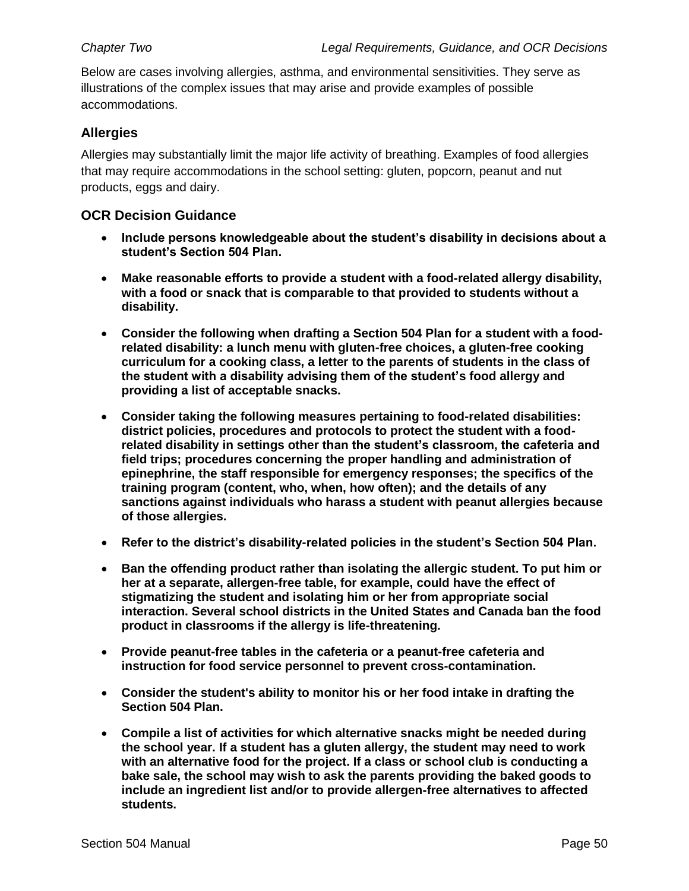Below are cases involving allergies, asthma, and environmental sensitivities. They serve as illustrations of the complex issues that may arise and provide examples of possible accommodations.

## **Allergies**

Allergies may substantially limit the major life activity of breathing. Examples of food allergies that may require accommodations in the school setting: gluten, popcorn, peanut and nut products, eggs and dairy.

## **OCR Decision Guidance**

- **Include persons knowledgeable about the student's disability in decisions about a student's Section 504 Plan.**
- **Make reasonable efforts to provide a student with a food-related allergy disability, with a food or snack that is comparable to that provided to students without a disability.**
- **Consider the following when drafting a Section 504 Plan for a student with a foodrelated disability: a lunch menu with gluten-free choices, a gluten-free cooking curriculum for a cooking class, a letter to the parents of students in the class of the student with a disability advising them of the student's food allergy and providing a list of acceptable snacks.**
- **Consider taking the following measures pertaining to food-related disabilities: district policies, procedures and protocols to protect the student with a foodrelated disability in settings other than the student's classroom, the cafeteria and field trips; procedures concerning the proper handling and administration of epinephrine, the staff responsible for emergency responses; the specifics of the training program (content, who, when, how often); and the details of any sanctions against individuals who harass a student with peanut allergies because of those allergies.**
- **Refer to the district's disability-related policies in the student's Section 504 Plan.**
- **Ban the offending product rather than isolating the allergic student. To put him or her at a separate, allergen-free table, for example, could have the effect of stigmatizing the student and isolating him or her from appropriate social interaction. Several school districts in the United States and Canada ban the food product in classrooms if the allergy is life-threatening.**
- **Provide peanut-free tables in the cafeteria or a peanut-free cafeteria and instruction for food service personnel to prevent cross-contamination.**
- **Consider the student's ability to monitor his or her food intake in drafting the Section 504 Plan.**
- **Compile a list of activities for which alternative snacks might be needed during the school year. If a student has a gluten allergy, the student may need to work with an alternative food for the project. If a class or school club is conducting a bake sale, the school may wish to ask the parents providing the baked goods to include an ingredient list and/or to provide allergen-free alternatives to affected students.**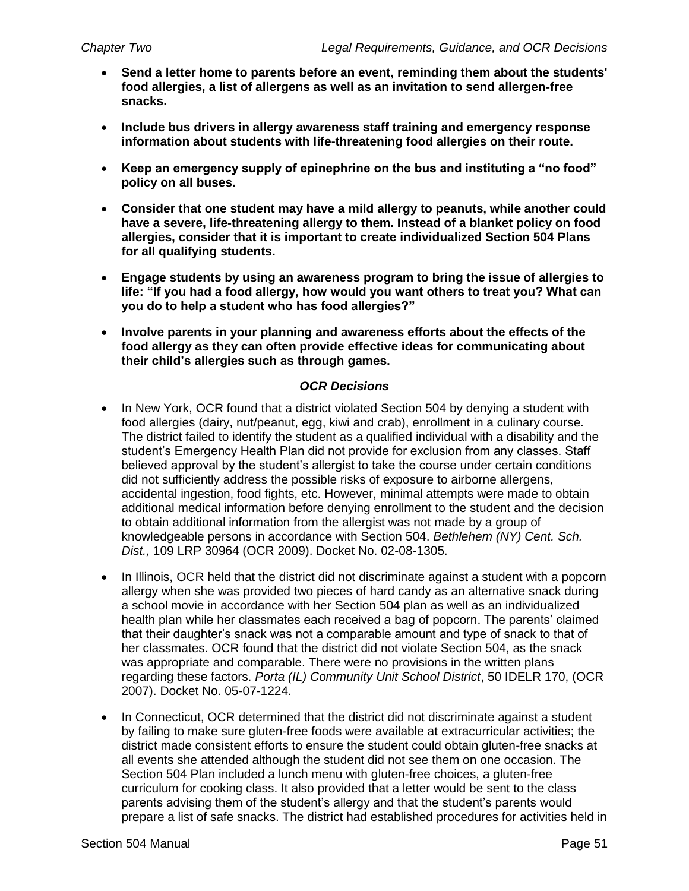- **Send a letter home to parents before an event, reminding them about the students' food allergies, a list of allergens as well as an invitation to send allergen-free snacks.**
- **Include bus drivers in allergy awareness staff training and emergency response information about students with life-threatening food allergies on their route.**
- **Keep an emergency supply of epinephrine on the bus and instituting a "no food" policy on all buses.**
- **Consider that one student may have a mild allergy to peanuts, while another could have a severe, life-threatening allergy to them. Instead of a blanket policy on food allergies, consider that it is important to create individualized Section 504 Plans for all qualifying students.**
- **Engage students by using an awareness program to bring the issue of allergies to life: "If you had a food allergy, how would you want others to treat you? What can you do to help a student who has food allergies?"**
- **Involve parents in your planning and awareness efforts about the effects of the food allergy as they can often provide effective ideas for communicating about their child's allergies such as through games.**

#### *OCR Decisions*

- In New York, OCR found that a district violated Section 504 by denying a student with food allergies (dairy, nut/peanut, egg, kiwi and crab), enrollment in a culinary course. The district failed to identify the student as a qualified individual with a disability and the student's Emergency Health Plan did not provide for exclusion from any classes. Staff believed approval by the student's allergist to take the course under certain conditions did not sufficiently address the possible risks of exposure to airborne allergens, accidental ingestion, food fights, etc. However, minimal attempts were made to obtain additional medical information before denying enrollment to the student and the decision to obtain additional information from the allergist was not made by a group of knowledgeable persons in accordance with Section 504. *Bethlehem (NY) Cent. Sch. Dist.,* 109 LRP 30964 (OCR 2009). Docket No. 02-08-1305.
- In Illinois, OCR held that the district did not discriminate against a student with a popcorn allergy when she was provided two pieces of hard candy as an alternative snack during a school movie in accordance with her Section 504 plan as well as an individualized health plan while her classmates each received a bag of popcorn. The parents' claimed that their daughter's snack was not a comparable amount and type of snack to that of her classmates. OCR found that the district did not violate Section 504, as the snack was appropriate and comparable. There were no provisions in the written plans regarding these factors. *Porta (IL) Community Unit School District*, 50 IDELR 170, (OCR 2007). Docket No. 05-07-1224.
- In Connecticut, OCR determined that the district did not discriminate against a student by failing to make sure gluten-free foods were available at extracurricular activities; the district made consistent efforts to ensure the student could obtain gluten-free snacks at all events she attended although the student did not see them on one occasion. The Section 504 Plan included a lunch menu with gluten-free choices, a gluten-free curriculum for cooking class. It also provided that a letter would be sent to the class parents advising them of the student's allergy and that the student's parents would prepare a list of safe snacks. The district had established procedures for activities held in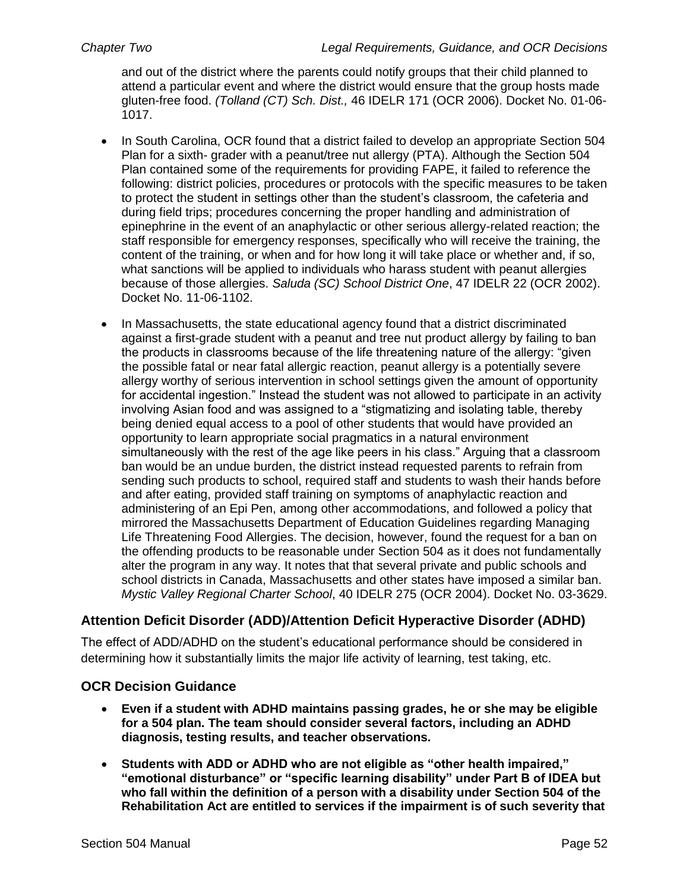and out of the district where the parents could notify groups that their child planned to attend a particular event and where the district would ensure that the group hosts made gluten-free food. *(Tolland (CT) Sch. Dist.,* 46 IDELR 171 (OCR 2006). Docket No. 01-06- 1017.

- In South Carolina, OCR found that a district failed to develop an appropriate Section 504 Plan for a sixth- grader with a peanut/tree nut allergy (PTA). Although the Section 504 Plan contained some of the requirements for providing FAPE, it failed to reference the following: district policies, procedures or protocols with the specific measures to be taken to protect the student in settings other than the student's classroom, the cafeteria and during field trips; procedures concerning the proper handling and administration of epinephrine in the event of an anaphylactic or other serious allergy-related reaction; the staff responsible for emergency responses, specifically who will receive the training, the content of the training, or when and for how long it will take place or whether and, if so, what sanctions will be applied to individuals who harass student with peanut allergies because of those allergies. *Saluda (SC) School District One*, 47 IDELR 22 (OCR 2002). Docket No. 11-06-1102.
- In Massachusetts, the state educational agency found that a district discriminated against a first-grade student with a peanut and tree nut product allergy by failing to ban the products in classrooms because of the life threatening nature of the allergy: "given the possible fatal or near fatal allergic reaction, peanut allergy is a potentially severe allergy worthy of serious intervention in school settings given the amount of opportunity for accidental ingestion." Instead the student was not allowed to participate in an activity involving Asian food and was assigned to a "stigmatizing and isolating table, thereby being denied equal access to a pool of other students that would have provided an opportunity to learn appropriate social pragmatics in a natural environment simultaneously with the rest of the age like peers in his class." Arguing that a classroom ban would be an undue burden, the district instead requested parents to refrain from sending such products to school, required staff and students to wash their hands before and after eating, provided staff training on symptoms of anaphylactic reaction and administering of an Epi Pen, among other accommodations, and followed a policy that mirrored the Massachusetts Department of Education Guidelines regarding Managing Life Threatening Food Allergies. The decision, however, found the request for a ban on the offending products to be reasonable under Section 504 as it does not fundamentally alter the program in any way. It notes that that several private and public schools and school districts in Canada, Massachusetts and other states have imposed a similar ban. *Mystic Valley Regional Charter School*, 40 IDELR 275 (OCR 2004). Docket No. 03-3629.

## **Attention Deficit Disorder (ADD)/Attention Deficit Hyperactive Disorder (ADHD)**

The effect of ADD/ADHD on the student's educational performance should be considered in determining how it substantially limits the major life activity of learning, test taking, etc.

## **OCR Decision Guidance**

- **Even if a student with ADHD maintains passing grades, he or she may be eligible for a 504 plan. The team should consider several factors, including an ADHD diagnosis, testing results, and teacher observations.**
- **Students with ADD or ADHD who are not eligible as "other health impaired," "emotional disturbance" or "specific learning disability" under Part B of IDEA but who fall within the definition of a person with a disability under Section 504 of the Rehabilitation Act are entitled to services if the impairment is of such severity that**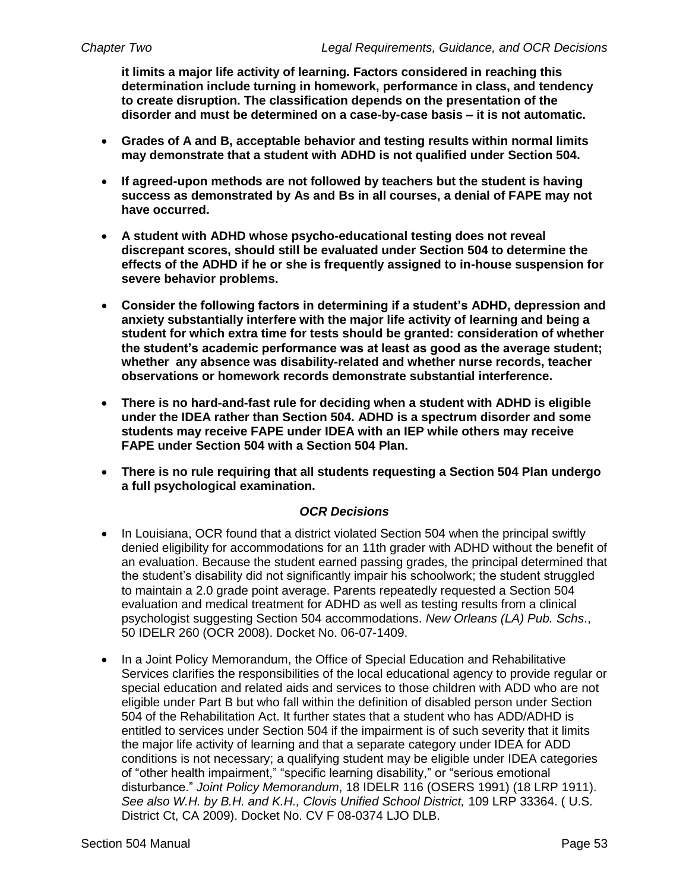**it limits a major life activity of learning. Factors considered in reaching this determination include turning in homework, performance in class, and tendency to create disruption. The classification depends on the presentation of the disorder and must be determined on a case-by-case basis – it is not automatic.** 

- **Grades of A and B, acceptable behavior and testing results within normal limits may demonstrate that a student with ADHD is not qualified under Section 504.**
- **If agreed-upon methods are not followed by teachers but the student is having success as demonstrated by As and Bs in all courses, a denial of FAPE may not have occurred.**
- **A student with ADHD whose psycho-educational testing does not reveal discrepant scores, should still be evaluated under Section 504 to determine the effects of the ADHD if he or she is frequently assigned to in-house suspension for severe behavior problems.**
- **Consider the following factors in determining if a student's ADHD, depression and anxiety substantially interfere with the major life activity of learning and being a student for which extra time for tests should be granted: consideration of whether the student's academic performance was at least as good as the average student; whether any absence was disability-related and whether nurse records, teacher observations or homework records demonstrate substantial interference.**
- **There is no hard-and-fast rule for deciding when a student with ADHD is eligible under the IDEA rather than Section 504. ADHD is a spectrum disorder and some students may receive FAPE under IDEA with an IEP while others may receive FAPE under Section 504 with a Section 504 Plan.**
- **There is no rule requiring that all students requesting a Section 504 Plan undergo a full psychological examination.**

#### *OCR Decisions*

- In Louisiana, OCR found that a district violated Section 504 when the principal swiftly denied eligibility for accommodations for an 11th grader with ADHD without the benefit of an evaluation. Because the student earned passing grades, the principal determined that the student's disability did not significantly impair his schoolwork; the student struggled to maintain a 2.0 grade point average. Parents repeatedly requested a Section 504 evaluation and medical treatment for ADHD as well as testing results from a clinical psychologist suggesting Section 504 accommodations. *New Orleans (LA) Pub. Schs*., 50 IDELR 260 (OCR 2008). Docket No. 06-07-1409.
- In a Joint Policy Memorandum, the Office of Special Education and Rehabilitative Services clarifies the responsibilities of the local educational agency to provide regular or special education and related aids and services to those children with ADD who are not eligible under Part B but who fall within the definition of disabled person under Section 504 of the Rehabilitation Act. It further states that a student who has ADD/ADHD is entitled to services under Section 504 if the impairment is of such severity that it limits the major life activity of learning and that a separate category under IDEA for ADD conditions is not necessary; a qualifying student may be eligible under IDEA categories of "other health impairment," "specific learning disability," or "serious emotional disturbance." *Joint Policy Memorandum*, 18 IDELR 116 (OSERS 1991) (18 LRP 1911). *See also W.H. by B.H. and K.H., Clovis Unified School District,* 109 LRP 33364. ( U.S. District Ct, CA 2009). Docket No. CV F 08-0374 LJO DLB.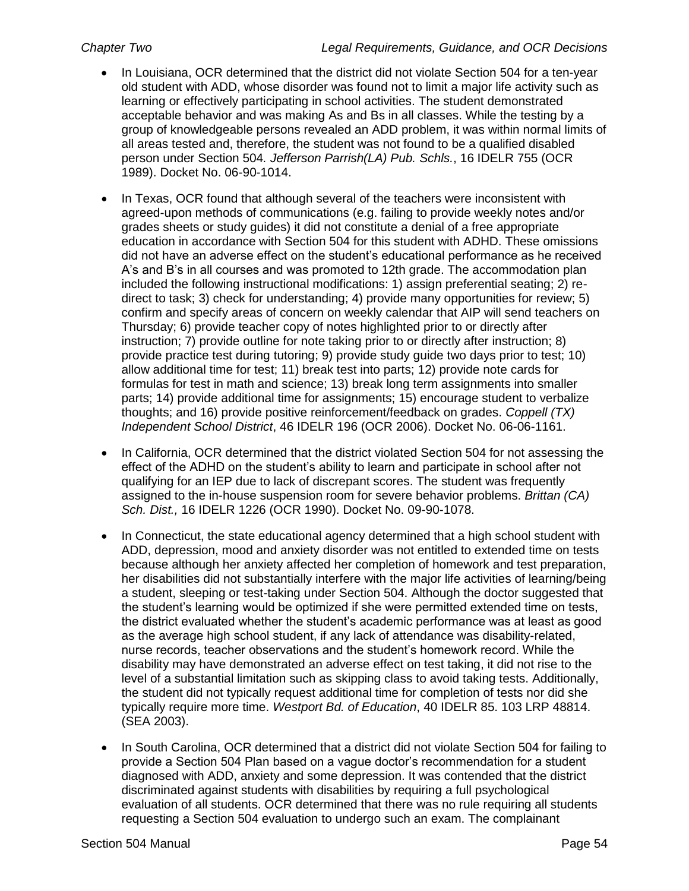- In Louisiana, OCR determined that the district did not violate Section 504 for a ten-year old student with ADD, whose disorder was found not to limit a major life activity such as learning or effectively participating in school activities. The student demonstrated acceptable behavior and was making As and Bs in all classes. While the testing by a group of knowledgeable persons revealed an ADD problem, it was within normal limits of all areas tested and, therefore, the student was not found to be a qualified disabled person under Section 504*. Jefferson Parrish(LA) Pub. Schls.*, 16 IDELR 755 (OCR 1989). Docket No. 06-90-1014.
- In Texas, OCR found that although several of the teachers were inconsistent with agreed-upon methods of communications (e.g. failing to provide weekly notes and/or grades sheets or study guides) it did not constitute a denial of a free appropriate education in accordance with Section 504 for this student with ADHD. These omissions did not have an adverse effect on the student's educational performance as he received A's and B's in all courses and was promoted to 12th grade. The accommodation plan included the following instructional modifications: 1) assign preferential seating; 2) redirect to task; 3) check for understanding; 4) provide many opportunities for review; 5) confirm and specify areas of concern on weekly calendar that AIP will send teachers on Thursday; 6) provide teacher copy of notes highlighted prior to or directly after instruction; 7) provide outline for note taking prior to or directly after instruction; 8) provide practice test during tutoring; 9) provide study guide two days prior to test; 10) allow additional time for test; 11) break test into parts; 12) provide note cards for formulas for test in math and science; 13) break long term assignments into smaller parts; 14) provide additional time for assignments; 15) encourage student to verbalize thoughts; and 16) provide positive reinforcement/feedback on grades. *Coppell (TX) Independent School District*, 46 IDELR 196 (OCR 2006). Docket No. 06-06-1161.
- In California, OCR determined that the district violated Section 504 for not assessing the effect of the ADHD on the student's ability to learn and participate in school after not qualifying for an IEP due to lack of discrepant scores. The student was frequently assigned to the in-house suspension room for severe behavior problems. *Brittan (CA) Sch. Dist.,* 16 IDELR 1226 (OCR 1990). Docket No. 09-90-1078.
- In Connecticut, the state educational agency determined that a high school student with ADD, depression, mood and anxiety disorder was not entitled to extended time on tests because although her anxiety affected her completion of homework and test preparation, her disabilities did not substantially interfere with the major life activities of learning/being a student, sleeping or test-taking under Section 504. Although the doctor suggested that the student's learning would be optimized if she were permitted extended time on tests, the district evaluated whether the student's academic performance was at least as good as the average high school student, if any lack of attendance was disability-related, nurse records, teacher observations and the student's homework record. While the disability may have demonstrated an adverse effect on test taking, it did not rise to the level of a substantial limitation such as skipping class to avoid taking tests. Additionally, the student did not typically request additional time for completion of tests nor did she typically require more time. *Westport Bd. of Education*, 40 IDELR 85. 103 LRP 48814. (SEA 2003).
- In South Carolina, OCR determined that a district did not violate Section 504 for failing to provide a Section 504 Plan based on a vague doctor's recommendation for a student diagnosed with ADD, anxiety and some depression. It was contended that the district discriminated against students with disabilities by requiring a full psychological evaluation of all students. OCR determined that there was no rule requiring all students requesting a Section 504 evaluation to undergo such an exam. The complainant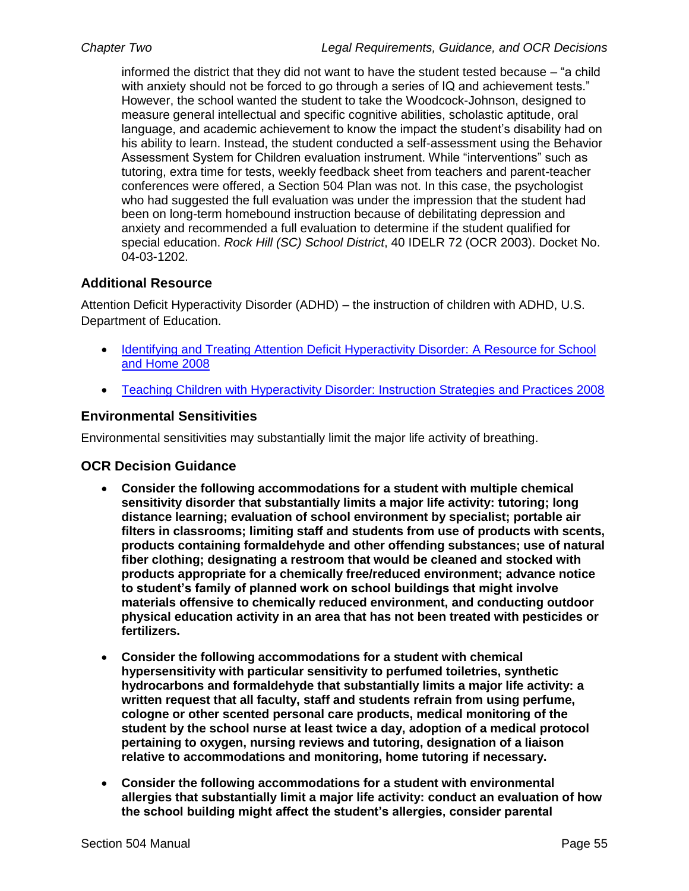informed the district that they did not want to have the student tested because – "a child with anxiety should not be forced to go through a series of IQ and achievement tests." However, the school wanted the student to take the Woodcock-Johnson, designed to measure general intellectual and specific cognitive abilities, scholastic aptitude, oral language, and academic achievement to know the impact the student's disability had on his ability to learn. Instead, the student conducted a self-assessment using the Behavior Assessment System for Children evaluation instrument. While "interventions" such as tutoring, extra time for tests, weekly feedback sheet from teachers and parent-teacher conferences were offered, a Section 504 Plan was not. In this case, the psychologist who had suggested the full evaluation was under the impression that the student had been on long-term homebound instruction because of debilitating depression and anxiety and recommended a full evaluation to determine if the student qualified for special education. *Rock Hill (SC) School District*, 40 IDELR 72 (OCR 2003). Docket No. 04-03-1202.

## **Additional Resource**

Attention Deficit Hyperactivity Disorder (ADHD) – the instruction of children with ADHD, U.S. Department of Education.

- Identifying and Treating Attention Deficit Hyperactivity Disorder: A Resource for School [and Home 2008](http://www2.ed.gov/rschstat/research/pubs/adhd/adhd-identifying.html)
- [Teaching Children with Hyperactivity Disorder: Instruction Strategies and Practices 2008](http://www2.ed.gov/rschstat/research/pubs/adhd/adhd-teaching.html)

## **Environmental Sensitivities**

Environmental sensitivities may substantially limit the major life activity of breathing.

## **OCR Decision Guidance**

- **Consider the following accommodations for a student with multiple chemical sensitivity disorder that substantially limits a major life activity: tutoring; long distance learning; evaluation of school environment by specialist; portable air filters in classrooms; limiting staff and students from use of products with scents, products containing formaldehyde and other offending substances; use of natural fiber clothing; designating a restroom that would be cleaned and stocked with products appropriate for a chemically free/reduced environment; advance notice to student's family of planned work on school buildings that might involve materials offensive to chemically reduced environment, and conducting outdoor physical education activity in an area that has not been treated with pesticides or fertilizers.**
- **Consider the following accommodations for a student with chemical hypersensitivity with particular sensitivity to perfumed toiletries, synthetic hydrocarbons and formaldehyde that substantially limits a major life activity: a written request that all faculty, staff and students refrain from using perfume, cologne or other scented personal care products, medical monitoring of the student by the school nurse at least twice a day, adoption of a medical protocol pertaining to oxygen, nursing reviews and tutoring, designation of a liaison relative to accommodations and monitoring, home tutoring if necessary.**
- **Consider the following accommodations for a student with environmental allergies that substantially limit a major life activity: conduct an evaluation of how the school building might affect the student's allergies, consider parental**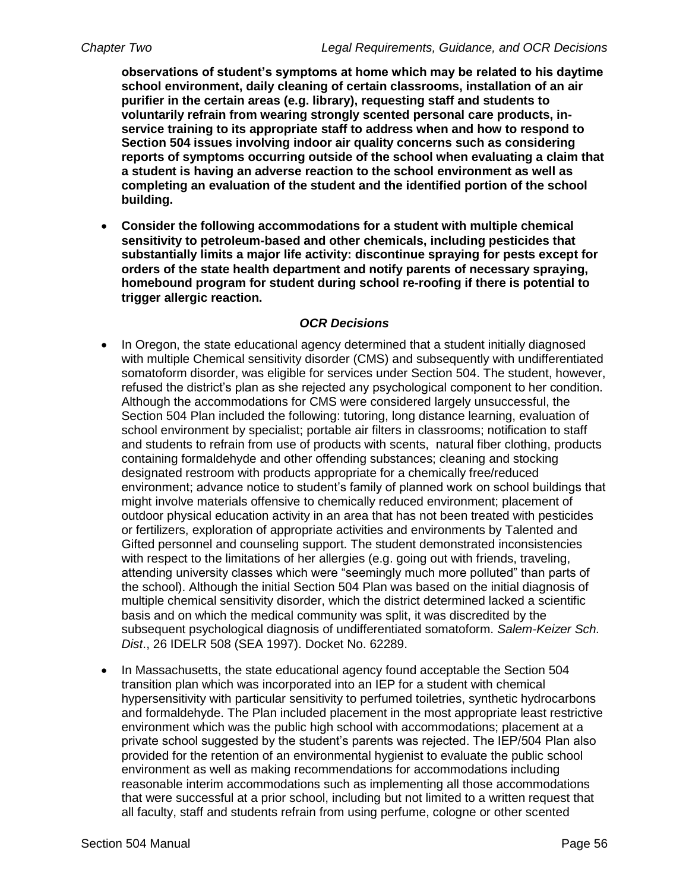**observations of student's symptoms at home which may be related to his daytime school environment, daily cleaning of certain classrooms, installation of an air purifier in the certain areas (e.g. library), requesting staff and students to voluntarily refrain from wearing strongly scented personal care products, inservice training to its appropriate staff to address when and how to respond to Section 504 issues involving indoor air quality concerns such as considering reports of symptoms occurring outside of the school when evaluating a claim that a student is having an adverse reaction to the school environment as well as completing an evaluation of the student and the identified portion of the school building.** 

 **Consider the following accommodations for a student with multiple chemical sensitivity to petroleum-based and other chemicals, including pesticides that substantially limits a major life activity: discontinue spraying for pests except for orders of the state health department and notify parents of necessary spraying, homebound program for student during school re-roofing if there is potential to trigger allergic reaction.** 

## *OCR Decisions*

- In Oregon, the state educational agency determined that a student initially diagnosed with multiple Chemical sensitivity disorder (CMS) and subsequently with undifferentiated somatoform disorder, was eligible for services under Section 504. The student, however, refused the district's plan as she rejected any psychological component to her condition. Although the accommodations for CMS were considered largely unsuccessful, the Section 504 Plan included the following: tutoring, long distance learning, evaluation of school environment by specialist; portable air filters in classrooms; notification to staff and students to refrain from use of products with scents, natural fiber clothing, products containing formaldehyde and other offending substances; cleaning and stocking designated restroom with products appropriate for a chemically free/reduced environment; advance notice to student's family of planned work on school buildings that might involve materials offensive to chemically reduced environment; placement of outdoor physical education activity in an area that has not been treated with pesticides or fertilizers, exploration of appropriate activities and environments by Talented and Gifted personnel and counseling support. The student demonstrated inconsistencies with respect to the limitations of her allergies (e.g. going out with friends, traveling, attending university classes which were "seemingly much more polluted" than parts of the school). Although the initial Section 504 Plan was based on the initial diagnosis of multiple chemical sensitivity disorder, which the district determined lacked a scientific basis and on which the medical community was split, it was discredited by the subsequent psychological diagnosis of undifferentiated somatoform. *Salem-Keizer Sch. Dist*., 26 IDELR 508 (SEA 1997). Docket No. 62289.
- In Massachusetts, the state educational agency found acceptable the Section 504 transition plan which was incorporated into an IEP for a student with chemical hypersensitivity with particular sensitivity to perfumed toiletries, synthetic hydrocarbons and formaldehyde. The Plan included placement in the most appropriate least restrictive environment which was the public high school with accommodations; placement at a private school suggested by the student's parents was rejected. The IEP/504 Plan also provided for the retention of an environmental hygienist to evaluate the public school environment as well as making recommendations for accommodations including reasonable interim accommodations such as implementing all those accommodations that were successful at a prior school, including but not limited to a written request that all faculty, staff and students refrain from using perfume, cologne or other scented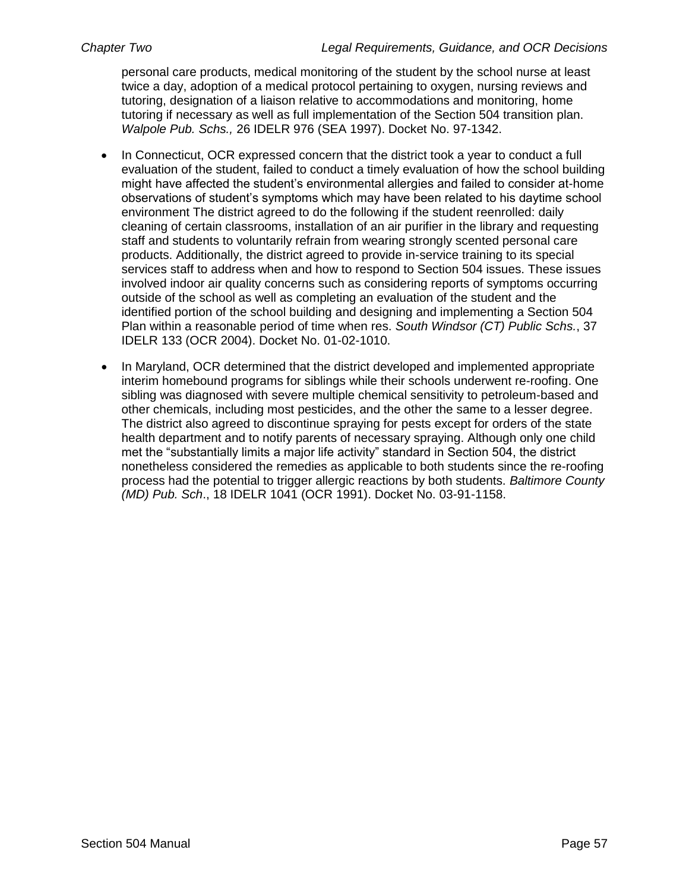personal care products, medical monitoring of the student by the school nurse at least twice a day, adoption of a medical protocol pertaining to oxygen, nursing reviews and tutoring, designation of a liaison relative to accommodations and monitoring, home tutoring if necessary as well as full implementation of the Section 504 transition plan. *Walpole Pub. Schs.,* 26 IDELR 976 (SEA 1997). Docket No. 97-1342.

- In Connecticut, OCR expressed concern that the district took a year to conduct a full evaluation of the student, failed to conduct a timely evaluation of how the school building might have affected the student's environmental allergies and failed to consider at-home observations of student's symptoms which may have been related to his daytime school environment The district agreed to do the following if the student reenrolled: daily cleaning of certain classrooms, installation of an air purifier in the library and requesting staff and students to voluntarily refrain from wearing strongly scented personal care products. Additionally, the district agreed to provide in-service training to its special services staff to address when and how to respond to Section 504 issues. These issues involved indoor air quality concerns such as considering reports of symptoms occurring outside of the school as well as completing an evaluation of the student and the identified portion of the school building and designing and implementing a Section 504 Plan within a reasonable period of time when res. *South Windsor (CT) Public Schs.*, 37 IDELR 133 (OCR 2004). Docket No. 01-02-1010.
- In Maryland, OCR determined that the district developed and implemented appropriate interim homebound programs for siblings while their schools underwent re-roofing. One sibling was diagnosed with severe multiple chemical sensitivity to petroleum-based and other chemicals, including most pesticides, and the other the same to a lesser degree. The district also agreed to discontinue spraying for pests except for orders of the state health department and to notify parents of necessary spraying. Although only one child met the "substantially limits a major life activity" standard in Section 504, the district nonetheless considered the remedies as applicable to both students since the re-roofing process had the potential to trigger allergic reactions by both students. *Baltimore County (MD) Pub. Sch*., 18 IDELR 1041 (OCR 1991). Docket No. 03-91-1158.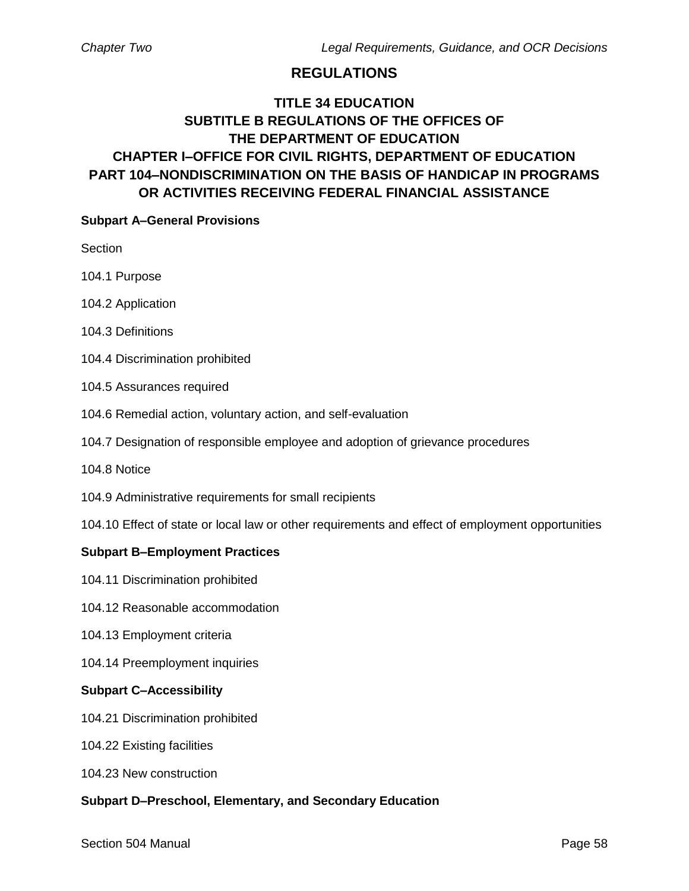## **REGULATIONS**

# **TITLE 34 EDUCATION SUBTITLE B REGULATIONS OF THE OFFICES OF THE DEPARTMENT OF EDUCATION CHAPTER I–OFFICE FOR CIVIL RIGHTS, DEPARTMENT OF EDUCATION PART 104–NONDISCRIMINATION ON THE BASIS OF HANDICAP IN PROGRAMS OR ACTIVITIES RECEIVING FEDERAL FINANCIAL ASSISTANCE**

#### **Subpart A–General Provisions**

**Section** 

- 104.1 Purpose
- 104.2 Application
- 104.3 Definitions
- 104.4 Discrimination prohibited
- 104.5 Assurances required
- 104.6 Remedial action, voluntary action, and self-evaluation
- 104.7 Designation of responsible employee and adoption of grievance procedures
- 104.8 Notice
- 104.9 Administrative requirements for small recipients
- 104.10 Effect of state or local law or other requirements and effect of employment opportunities

#### **Subpart B–Employment Practices**

- 104.11 Discrimination prohibited
- 104.12 Reasonable accommodation
- 104.13 Employment criteria
- 104.14 Preemployment inquiries

#### **Subpart C–Accessibility**

- 104.21 Discrimination prohibited
- 104.22 Existing facilities
- 104.23 New construction

#### **Subpart D–Preschool, Elementary, and Secondary Education**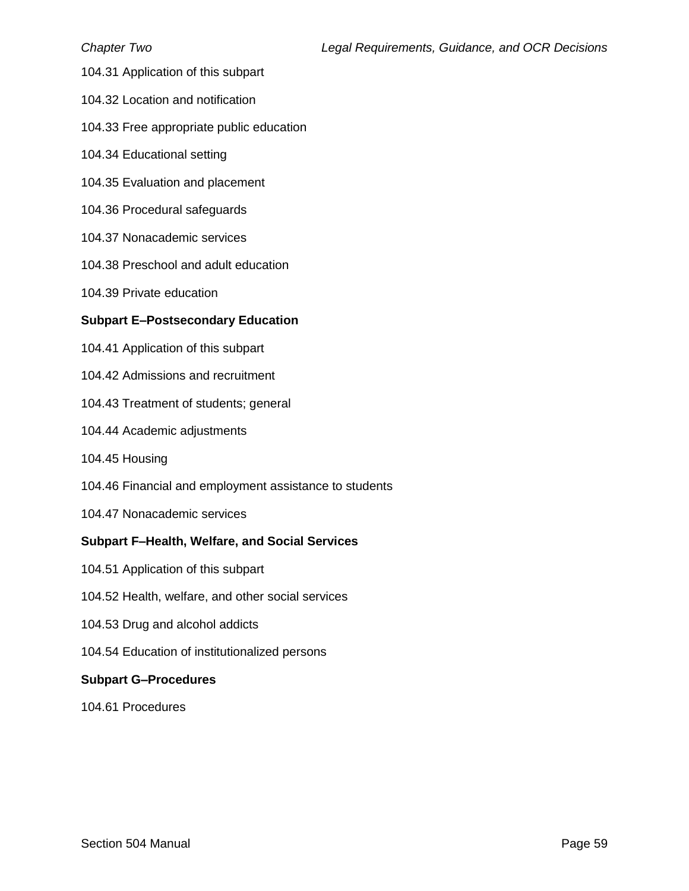- 104.31 Application of this subpart
- 104.32 Location and notification
- 104.33 Free appropriate public education
- 104.34 Educational setting
- 104.35 Evaluation and placement
- 104.36 Procedural safeguards
- 104.37 Nonacademic services
- 104.38 Preschool and adult education
- 104.39 Private education

#### **Subpart E–Postsecondary Education**

- 104.41 Application of this subpart
- 104.42 Admissions and recruitment
- 104.43 Treatment of students; general
- 104.44 Academic adjustments
- 104.45 Housing
- 104.46 Financial and employment assistance to students
- 104.47 Nonacademic services

#### **Subpart F–Health, Welfare, and Social Services**

- 104.51 Application of this subpart
- 104.52 Health, welfare, and other social services
- 104.53 Drug and alcohol addicts
- 104.54 Education of institutionalized persons

#### **Subpart G–Procedures**

104.61 Procedures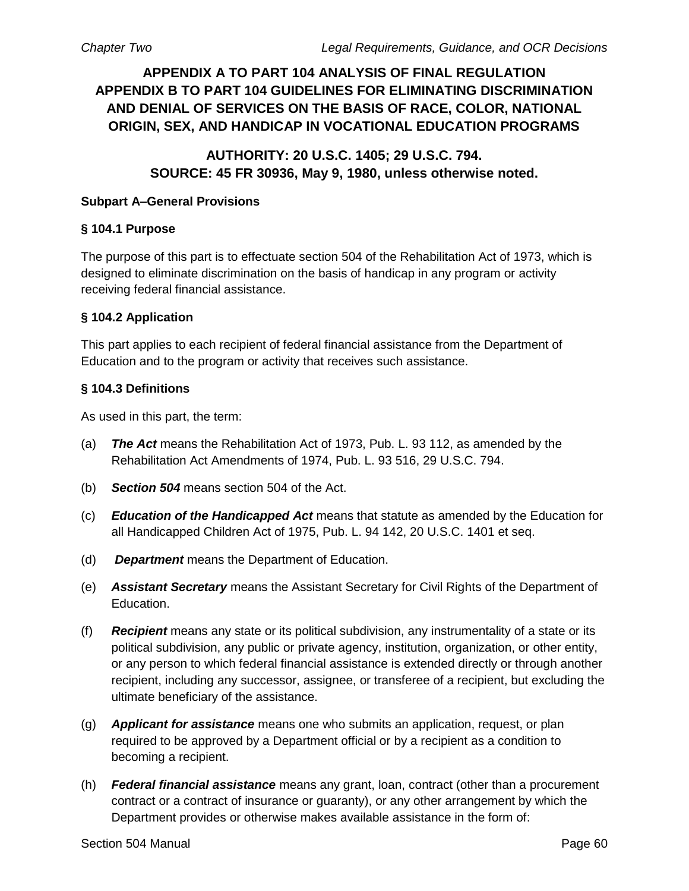# **APPENDIX A TO PART 104 ANALYSIS OF FINAL REGULATION APPENDIX B TO PART 104 GUIDELINES FOR ELIMINATING DISCRIMINATION AND DENIAL OF SERVICES ON THE BASIS OF RACE, COLOR, NATIONAL ORIGIN, SEX, AND HANDICAP IN VOCATIONAL EDUCATION PROGRAMS**

## **AUTHORITY: 20 U.S.C. 1405; 29 U.S.C. 794. SOURCE: 45 FR 30936, May 9, 1980, unless otherwise noted.**

#### **Subpart A–General Provisions**

## **§ 104.1 Purpose**

The purpose of this part is to effectuate section 504 of the Rehabilitation Act of 1973, which is designed to eliminate discrimination on the basis of handicap in any program or activity receiving federal financial assistance.

## **§ 104.2 Application**

This part applies to each recipient of federal financial assistance from the Department of Education and to the program or activity that receives such assistance.

#### **§ 104.3 Definitions**

As used in this part, the term:

- (a) *The Act* means the Rehabilitation Act of 1973, Pub. L. 93 112, as amended by the Rehabilitation Act Amendments of 1974, Pub. L. 93 516, 29 U.S.C. 794.
- (b) *Section 504* means section 504 of the Act.
- (c) *Education of the Handicapped Act* means that statute as amended by the Education for all Handicapped Children Act of 1975, Pub. L. 94 142, 20 U.S.C. 1401 et seq.
- (d) *Department* means the Department of Education.
- (e) *Assistant Secretary* means the Assistant Secretary for Civil Rights of the Department of Education.
- (f) *Recipient* means any state or its political subdivision, any instrumentality of a state or its political subdivision, any public or private agency, institution, organization, or other entity, or any person to which federal financial assistance is extended directly or through another recipient, including any successor, assignee, or transferee of a recipient, but excluding the ultimate beneficiary of the assistance.
- (g) *Applicant for assistance* means one who submits an application, request, or plan required to be approved by a Department official or by a recipient as a condition to becoming a recipient.
- (h) *Federal financial assistance* means any grant, loan, contract (other than a procurement contract or a contract of insurance or guaranty), or any other arrangement by which the Department provides or otherwise makes available assistance in the form of: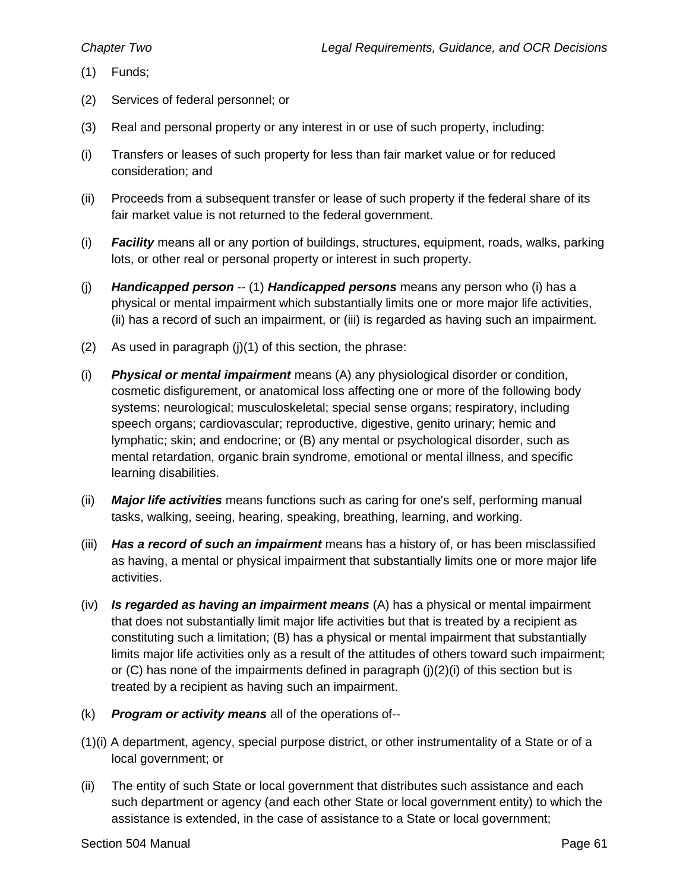- (1) Funds;
- (2) Services of federal personnel; or
- (3) Real and personal property or any interest in or use of such property, including:
- (i) Transfers or leases of such property for less than fair market value or for reduced consideration; and
- (ii) Proceeds from a subsequent transfer or lease of such property if the federal share of its fair market value is not returned to the federal government.
- (i) *Facility* means all or any portion of buildings, structures, equipment, roads, walks, parking lots, or other real or personal property or interest in such property.
- (j) *Handicapped person* -- (1) *Handicapped persons* means any person who (i) has a physical or mental impairment which substantially limits one or more major life activities, (ii) has a record of such an impairment, or (iii) is regarded as having such an impairment.
- (2) As used in paragraph  $(i)(1)$  of this section, the phrase:
- (i) *Physical or mental impairment* means (A) any physiological disorder or condition, cosmetic disfigurement, or anatomical loss affecting one or more of the following body systems: neurological; musculoskeletal; special sense organs; respiratory, including speech organs; cardiovascular; reproductive, digestive, genito urinary; hemic and lymphatic; skin; and endocrine; or (B) any mental or psychological disorder, such as mental retardation, organic brain syndrome, emotional or mental illness, and specific learning disabilities.
- (ii) *Major life activities* means functions such as caring for one's self, performing manual tasks, walking, seeing, hearing, speaking, breathing, learning, and working.
- (iii) *Has a record of such an impairment* means has a history of, or has been misclassified as having, a mental or physical impairment that substantially limits one or more major life activities.
- (iv) *Is regarded as having an impairment means* (A) has a physical or mental impairment that does not substantially limit major life activities but that is treated by a recipient as constituting such a limitation; (B) has a physical or mental impairment that substantially limits major life activities only as a result of the attitudes of others toward such impairment; or  $(C)$  has none of the impairments defined in paragraph  $(j)(2)(i)$  of this section but is treated by a recipient as having such an impairment.
- (k) *Program or activity means* all of the operations of--
- (1)(i) A department, agency, special purpose district, or other instrumentality of a State or of a local government; or
- (ii) The entity of such State or local government that distributes such assistance and each such department or agency (and each other State or local government entity) to which the assistance is extended, in the case of assistance to a State or local government;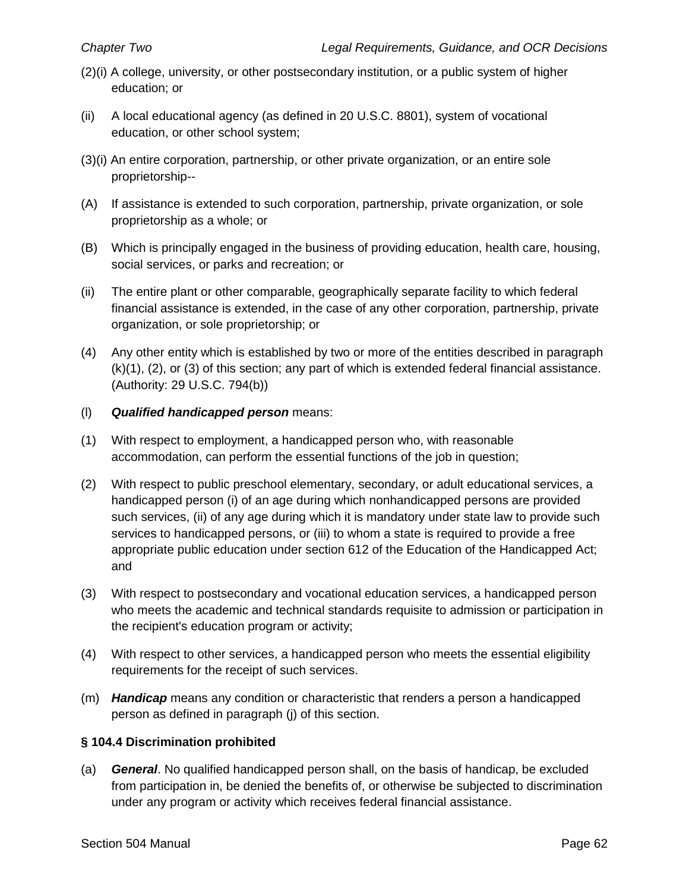- (2)(i) A college, university, or other postsecondary institution, or a public system of higher education; or
- (ii) A local educational agency (as defined in 20 U.S.C. 8801), system of vocational education, or other school system;
- (3)(i) An entire corporation, partnership, or other private organization, or an entire sole proprietorship--
- (A) If assistance is extended to such corporation, partnership, private organization, or sole proprietorship as a whole; or
- (B) Which is principally engaged in the business of providing education, health care, housing, social services, or parks and recreation; or
- (ii) The entire plant or other comparable, geographically separate facility to which federal financial assistance is extended, in the case of any other corporation, partnership, private organization, or sole proprietorship; or
- (4) Any other entity which is established by two or more of the entities described in paragraph (k)(1), (2), or (3) of this section; any part of which is extended federal financial assistance. (Authority: 29 U.S.C. 794(b))
- (l) *Qualified handicapped person* means:
- (1) With respect to employment, a handicapped person who, with reasonable accommodation, can perform the essential functions of the job in question;
- (2) With respect to public preschool elementary, secondary, or adult educational services, a handicapped person (i) of an age during which nonhandicapped persons are provided such services, (ii) of any age during which it is mandatory under state law to provide such services to handicapped persons, or (iii) to whom a state is required to provide a free appropriate public education under section 612 of the Education of the Handicapped Act; and
- (3) With respect to postsecondary and vocational education services, a handicapped person who meets the academic and technical standards requisite to admission or participation in the recipient's education program or activity;
- (4) With respect to other services, a handicapped person who meets the essential eligibility requirements for the receipt of such services.
- (m) *Handicap* means any condition or characteristic that renders a person a handicapped person as defined in paragraph (j) of this section.

## **§ 104.4 Discrimination prohibited**

(a) *General*. No qualified handicapped person shall, on the basis of handicap, be excluded from participation in, be denied the benefits of, or otherwise be subjected to discrimination under any program or activity which receives federal financial assistance.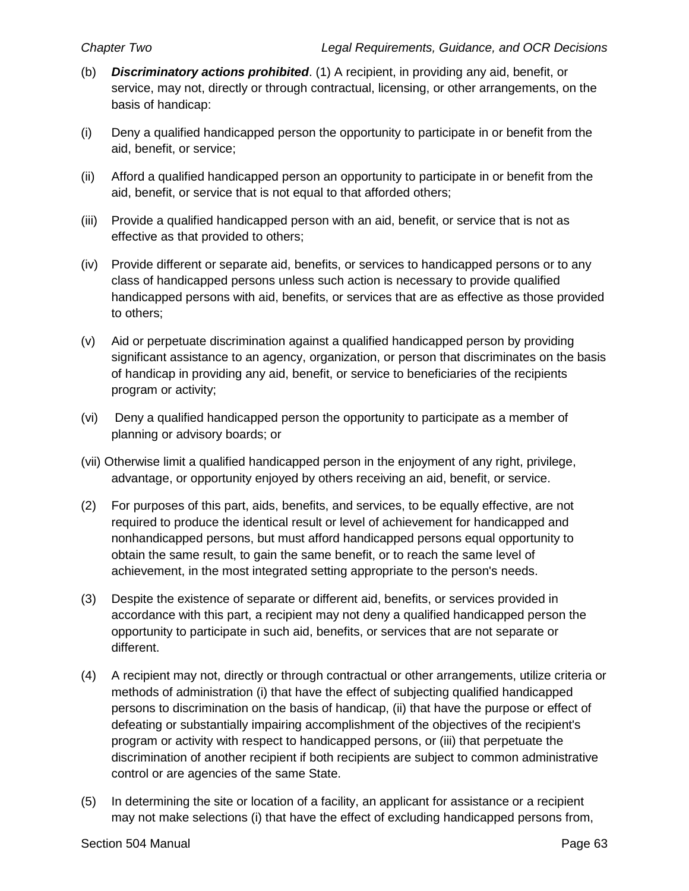- (b) *Discriminatory actions prohibited*. (1) A recipient, in providing any aid, benefit, or service, may not, directly or through contractual, licensing, or other arrangements, on the basis of handicap:
- (i) Deny a qualified handicapped person the opportunity to participate in or benefit from the aid, benefit, or service;
- (ii) Afford a qualified handicapped person an opportunity to participate in or benefit from the aid, benefit, or service that is not equal to that afforded others;
- (iii) Provide a qualified handicapped person with an aid, benefit, or service that is not as effective as that provided to others;
- (iv) Provide different or separate aid, benefits, or services to handicapped persons or to any class of handicapped persons unless such action is necessary to provide qualified handicapped persons with aid, benefits, or services that are as effective as those provided to others;
- (v) Aid or perpetuate discrimination against a qualified handicapped person by providing significant assistance to an agency, organization, or person that discriminates on the basis of handicap in providing any aid, benefit, or service to beneficiaries of the recipients program or activity;
- (vi) Deny a qualified handicapped person the opportunity to participate as a member of planning or advisory boards; or
- (vii) Otherwise limit a qualified handicapped person in the enjoyment of any right, privilege, advantage, or opportunity enjoyed by others receiving an aid, benefit, or service.
- (2) For purposes of this part, aids, benefits, and services, to be equally effective, are not required to produce the identical result or level of achievement for handicapped and nonhandicapped persons, but must afford handicapped persons equal opportunity to obtain the same result, to gain the same benefit, or to reach the same level of achievement, in the most integrated setting appropriate to the person's needs.
- (3) Despite the existence of separate or different aid, benefits, or services provided in accordance with this part, a recipient may not deny a qualified handicapped person the opportunity to participate in such aid, benefits, or services that are not separate or different.
- (4) A recipient may not, directly or through contractual or other arrangements, utilize criteria or methods of administration (i) that have the effect of subjecting qualified handicapped persons to discrimination on the basis of handicap, (ii) that have the purpose or effect of defeating or substantially impairing accomplishment of the objectives of the recipient's program or activity with respect to handicapped persons, or (iii) that perpetuate the discrimination of another recipient if both recipients are subject to common administrative control or are agencies of the same State.
- (5) In determining the site or location of a facility, an applicant for assistance or a recipient may not make selections (i) that have the effect of excluding handicapped persons from,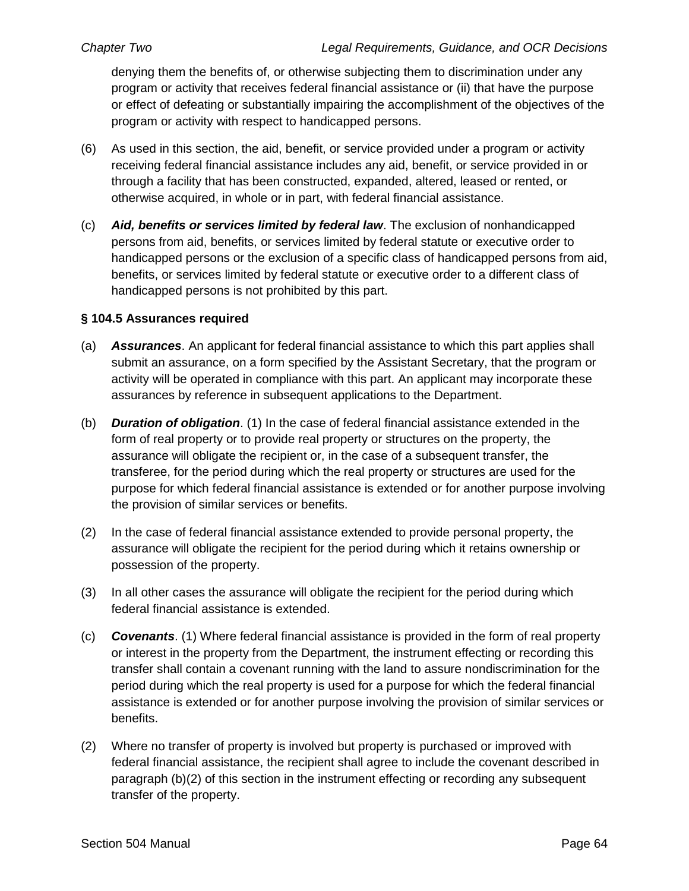denying them the benefits of, or otherwise subjecting them to discrimination under any program or activity that receives federal financial assistance or (ii) that have the purpose or effect of defeating or substantially impairing the accomplishment of the objectives of the program or activity with respect to handicapped persons.

- (6) As used in this section, the aid, benefit, or service provided under a program or activity receiving federal financial assistance includes any aid, benefit, or service provided in or through a facility that has been constructed, expanded, altered, leased or rented, or otherwise acquired, in whole or in part, with federal financial assistance.
- (c) *Aid, benefits or services limited by federal law*. The exclusion of nonhandicapped persons from aid, benefits, or services limited by federal statute or executive order to handicapped persons or the exclusion of a specific class of handicapped persons from aid, benefits, or services limited by federal statute or executive order to a different class of handicapped persons is not prohibited by this part.

## **§ 104.5 Assurances required**

- (a) *Assurances*. An applicant for federal financial assistance to which this part applies shall submit an assurance, on a form specified by the Assistant Secretary, that the program or activity will be operated in compliance with this part. An applicant may incorporate these assurances by reference in subsequent applications to the Department.
- (b) *Duration of obligation*. (1) In the case of federal financial assistance extended in the form of real property or to provide real property or structures on the property, the assurance will obligate the recipient or, in the case of a subsequent transfer, the transferee, for the period during which the real property or structures are used for the purpose for which federal financial assistance is extended or for another purpose involving the provision of similar services or benefits.
- (2) In the case of federal financial assistance extended to provide personal property, the assurance will obligate the recipient for the period during which it retains ownership or possession of the property.
- (3) In all other cases the assurance will obligate the recipient for the period during which federal financial assistance is extended.
- (c) *Covenants*. (1) Where federal financial assistance is provided in the form of real property or interest in the property from the Department, the instrument effecting or recording this transfer shall contain a covenant running with the land to assure nondiscrimination for the period during which the real property is used for a purpose for which the federal financial assistance is extended or for another purpose involving the provision of similar services or benefits.
- (2) Where no transfer of property is involved but property is purchased or improved with federal financial assistance, the recipient shall agree to include the covenant described in paragraph (b)(2) of this section in the instrument effecting or recording any subsequent transfer of the property.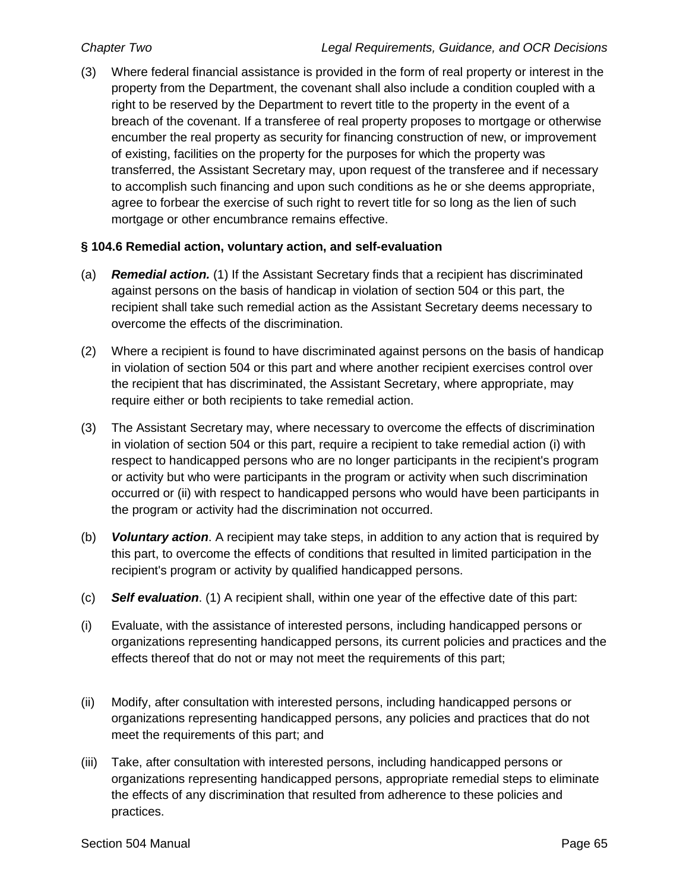(3) Where federal financial assistance is provided in the form of real property or interest in the property from the Department, the covenant shall also include a condition coupled with a right to be reserved by the Department to revert title to the property in the event of a breach of the covenant. If a transferee of real property proposes to mortgage or otherwise encumber the real property as security for financing construction of new, or improvement of existing, facilities on the property for the purposes for which the property was transferred, the Assistant Secretary may, upon request of the transferee and if necessary to accomplish such financing and upon such conditions as he or she deems appropriate, agree to forbear the exercise of such right to revert title for so long as the lien of such mortgage or other encumbrance remains effective.

## **§ 104.6 Remedial action, voluntary action, and self-evaluation**

- (a) *Remedial action.* (1) If the Assistant Secretary finds that a recipient has discriminated against persons on the basis of handicap in violation of section 504 or this part, the recipient shall take such remedial action as the Assistant Secretary deems necessary to overcome the effects of the discrimination.
- (2) Where a recipient is found to have discriminated against persons on the basis of handicap in violation of section 504 or this part and where another recipient exercises control over the recipient that has discriminated, the Assistant Secretary, where appropriate, may require either or both recipients to take remedial action.
- (3) The Assistant Secretary may, where necessary to overcome the effects of discrimination in violation of section 504 or this part, require a recipient to take remedial action (i) with respect to handicapped persons who are no longer participants in the recipient's program or activity but who were participants in the program or activity when such discrimination occurred or (ii) with respect to handicapped persons who would have been participants in the program or activity had the discrimination not occurred.
- (b) *Voluntary action*. A recipient may take steps, in addition to any action that is required by this part, to overcome the effects of conditions that resulted in limited participation in the recipient's program or activity by qualified handicapped persons.
- (c) *Self evaluation*. (1) A recipient shall, within one year of the effective date of this part:
- (i) Evaluate, with the assistance of interested persons, including handicapped persons or organizations representing handicapped persons, its current policies and practices and the effects thereof that do not or may not meet the requirements of this part;
- (ii) Modify, after consultation with interested persons, including handicapped persons or organizations representing handicapped persons, any policies and practices that do not meet the requirements of this part; and
- (iii) Take, after consultation with interested persons, including handicapped persons or organizations representing handicapped persons, appropriate remedial steps to eliminate the effects of any discrimination that resulted from adherence to these policies and practices.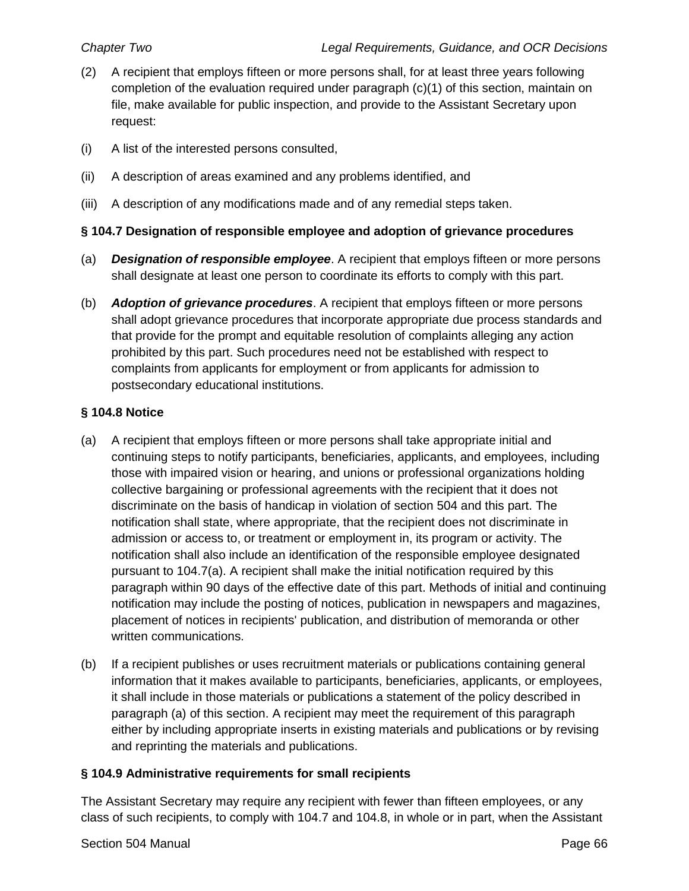- (2) A recipient that employs fifteen or more persons shall, for at least three years following completion of the evaluation required under paragraph (c)(1) of this section, maintain on file, make available for public inspection, and provide to the Assistant Secretary upon request:
- (i) A list of the interested persons consulted,
- (ii) A description of areas examined and any problems identified, and
- (iii) A description of any modifications made and of any remedial steps taken.

## **§ 104.7 Designation of responsible employee and adoption of grievance procedures**

- (a) *Designation of responsible employee*. A recipient that employs fifteen or more persons shall designate at least one person to coordinate its efforts to comply with this part.
- (b) *Adoption of grievance procedures*. A recipient that employs fifteen or more persons shall adopt grievance procedures that incorporate appropriate due process standards and that provide for the prompt and equitable resolution of complaints alleging any action prohibited by this part. Such procedures need not be established with respect to complaints from applicants for employment or from applicants for admission to postsecondary educational institutions.

## **§ 104.8 Notice**

- (a) A recipient that employs fifteen or more persons shall take appropriate initial and continuing steps to notify participants, beneficiaries, applicants, and employees, including those with impaired vision or hearing, and unions or professional organizations holding collective bargaining or professional agreements with the recipient that it does not discriminate on the basis of handicap in violation of section 504 and this part. The notification shall state, where appropriate, that the recipient does not discriminate in admission or access to, or treatment or employment in, its program or activity. The notification shall also include an identification of the responsible employee designated pursuant to 104.7(a). A recipient shall make the initial notification required by this paragraph within 90 days of the effective date of this part. Methods of initial and continuing notification may include the posting of notices, publication in newspapers and magazines, placement of notices in recipients' publication, and distribution of memoranda or other written communications.
- (b) If a recipient publishes or uses recruitment materials or publications containing general information that it makes available to participants, beneficiaries, applicants, or employees, it shall include in those materials or publications a statement of the policy described in paragraph (a) of this section. A recipient may meet the requirement of this paragraph either by including appropriate inserts in existing materials and publications or by revising and reprinting the materials and publications.

## **§ 104.9 Administrative requirements for small recipients**

The Assistant Secretary may require any recipient with fewer than fifteen employees, or any class of such recipients, to comply with 104.7 and 104.8, in whole or in part, when the Assistant

#### Section 504 Manual Page 66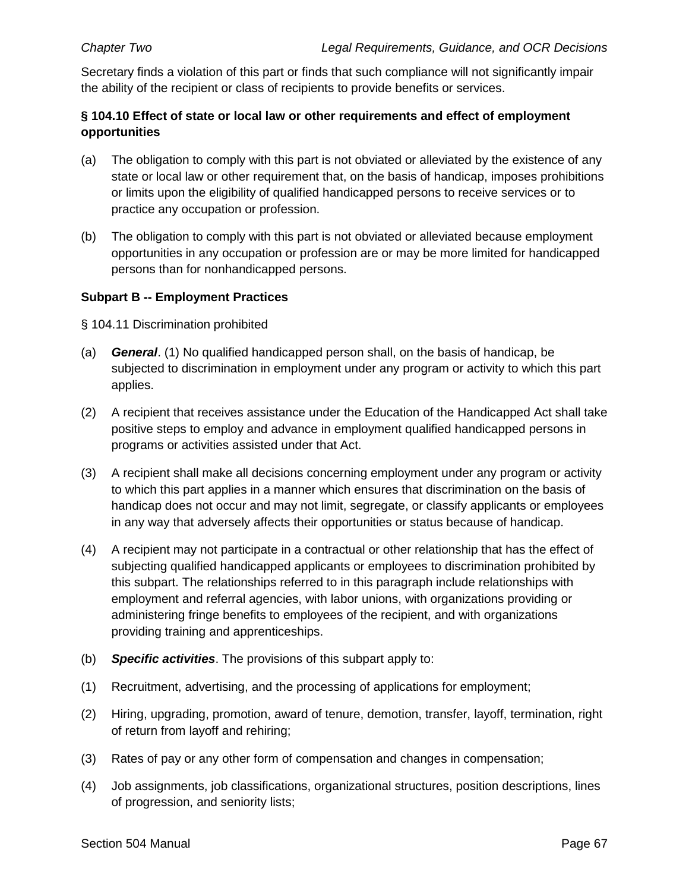Secretary finds a violation of this part or finds that such compliance will not significantly impair the ability of the recipient or class of recipients to provide benefits or services.

## **§ 104.10 Effect of state or local law or other requirements and effect of employment opportunities**

- (a) The obligation to comply with this part is not obviated or alleviated by the existence of any state or local law or other requirement that, on the basis of handicap, imposes prohibitions or limits upon the eligibility of qualified handicapped persons to receive services or to practice any occupation or profession.
- (b) The obligation to comply with this part is not obviated or alleviated because employment opportunities in any occupation or profession are or may be more limited for handicapped persons than for nonhandicapped persons.

#### **Subpart B -- Employment Practices**

§ 104.11 Discrimination prohibited

- (a) *General*. (1) No qualified handicapped person shall, on the basis of handicap, be subjected to discrimination in employment under any program or activity to which this part applies.
- (2) A recipient that receives assistance under the Education of the Handicapped Act shall take positive steps to employ and advance in employment qualified handicapped persons in programs or activities assisted under that Act.
- (3) A recipient shall make all decisions concerning employment under any program or activity to which this part applies in a manner which ensures that discrimination on the basis of handicap does not occur and may not limit, segregate, or classify applicants or employees in any way that adversely affects their opportunities or status because of handicap.
- (4) A recipient may not participate in a contractual or other relationship that has the effect of subjecting qualified handicapped applicants or employees to discrimination prohibited by this subpart. The relationships referred to in this paragraph include relationships with employment and referral agencies, with labor unions, with organizations providing or administering fringe benefits to employees of the recipient, and with organizations providing training and apprenticeships.
- (b) *Specific activities*. The provisions of this subpart apply to:
- (1) Recruitment, advertising, and the processing of applications for employment;
- (2) Hiring, upgrading, promotion, award of tenure, demotion, transfer, layoff, termination, right of return from layoff and rehiring;
- (3) Rates of pay or any other form of compensation and changes in compensation;
- (4) Job assignments, job classifications, organizational structures, position descriptions, lines of progression, and seniority lists;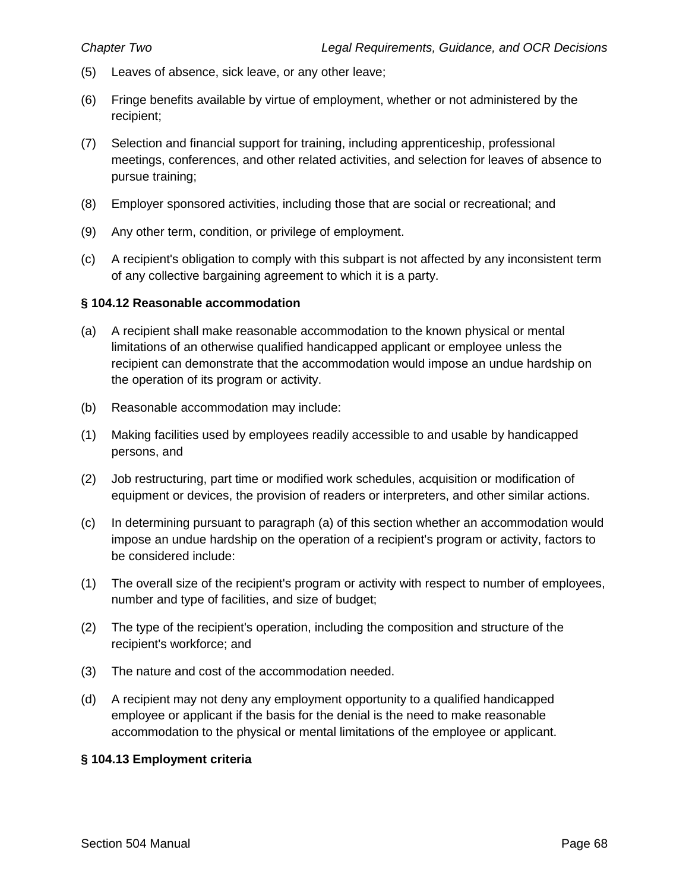- (5) Leaves of absence, sick leave, or any other leave;
- (6) Fringe benefits available by virtue of employment, whether or not administered by the recipient;
- (7) Selection and financial support for training, including apprenticeship, professional meetings, conferences, and other related activities, and selection for leaves of absence to pursue training;
- (8) Employer sponsored activities, including those that are social or recreational; and
- (9) Any other term, condition, or privilege of employment.
- (c) A recipient's obligation to comply with this subpart is not affected by any inconsistent term of any collective bargaining agreement to which it is a party.

#### **§ 104.12 Reasonable accommodation**

- (a) A recipient shall make reasonable accommodation to the known physical or mental limitations of an otherwise qualified handicapped applicant or employee unless the recipient can demonstrate that the accommodation would impose an undue hardship on the operation of its program or activity.
- (b) Reasonable accommodation may include:
- (1) Making facilities used by employees readily accessible to and usable by handicapped persons, and
- (2) Job restructuring, part time or modified work schedules, acquisition or modification of equipment or devices, the provision of readers or interpreters, and other similar actions.
- (c) In determining pursuant to paragraph (a) of this section whether an accommodation would impose an undue hardship on the operation of a recipient's program or activity, factors to be considered include:
- (1) The overall size of the recipient's program or activity with respect to number of employees, number and type of facilities, and size of budget;
- (2) The type of the recipient's operation, including the composition and structure of the recipient's workforce; and
- (3) The nature and cost of the accommodation needed.
- (d) A recipient may not deny any employment opportunity to a qualified handicapped employee or applicant if the basis for the denial is the need to make reasonable accommodation to the physical or mental limitations of the employee or applicant.

#### **§ 104.13 Employment criteria**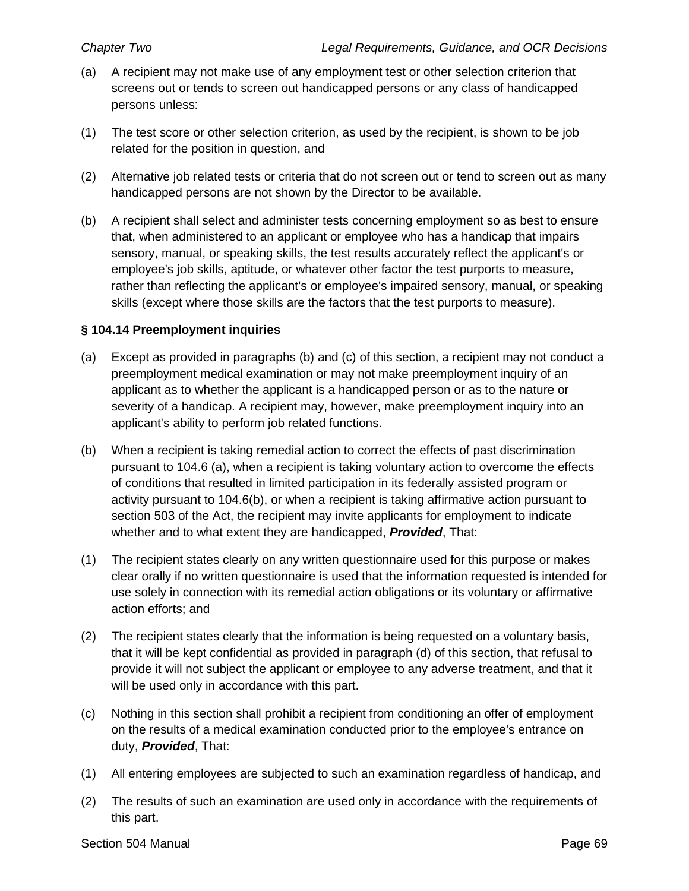- (a) A recipient may not make use of any employment test or other selection criterion that screens out or tends to screen out handicapped persons or any class of handicapped persons unless:
- (1) The test score or other selection criterion, as used by the recipient, is shown to be job related for the position in question, and
- (2) Alternative job related tests or criteria that do not screen out or tend to screen out as many handicapped persons are not shown by the Director to be available.
- (b) A recipient shall select and administer tests concerning employment so as best to ensure that, when administered to an applicant or employee who has a handicap that impairs sensory, manual, or speaking skills, the test results accurately reflect the applicant's or employee's job skills, aptitude, or whatever other factor the test purports to measure, rather than reflecting the applicant's or employee's impaired sensory, manual, or speaking skills (except where those skills are the factors that the test purports to measure).

## **§ 104.14 Preemployment inquiries**

- (a) Except as provided in paragraphs (b) and (c) of this section, a recipient may not conduct a preemployment medical examination or may not make preemployment inquiry of an applicant as to whether the applicant is a handicapped person or as to the nature or severity of a handicap. A recipient may, however, make preemployment inquiry into an applicant's ability to perform job related functions.
- (b) When a recipient is taking remedial action to correct the effects of past discrimination pursuant to 104.6 (a), when a recipient is taking voluntary action to overcome the effects of conditions that resulted in limited participation in its federally assisted program or activity pursuant to 104.6(b), or when a recipient is taking affirmative action pursuant to section 503 of the Act, the recipient may invite applicants for employment to indicate whether and to what extent they are handicapped, *Provided*, That:
- (1) The recipient states clearly on any written questionnaire used for this purpose or makes clear orally if no written questionnaire is used that the information requested is intended for use solely in connection with its remedial action obligations or its voluntary or affirmative action efforts; and
- (2) The recipient states clearly that the information is being requested on a voluntary basis, that it will be kept confidential as provided in paragraph (d) of this section, that refusal to provide it will not subject the applicant or employee to any adverse treatment, and that it will be used only in accordance with this part.
- (c) Nothing in this section shall prohibit a recipient from conditioning an offer of employment on the results of a medical examination conducted prior to the employee's entrance on duty, *Provided*, That:
- (1) All entering employees are subjected to such an examination regardless of handicap, and
- (2) The results of such an examination are used only in accordance with the requirements of this part.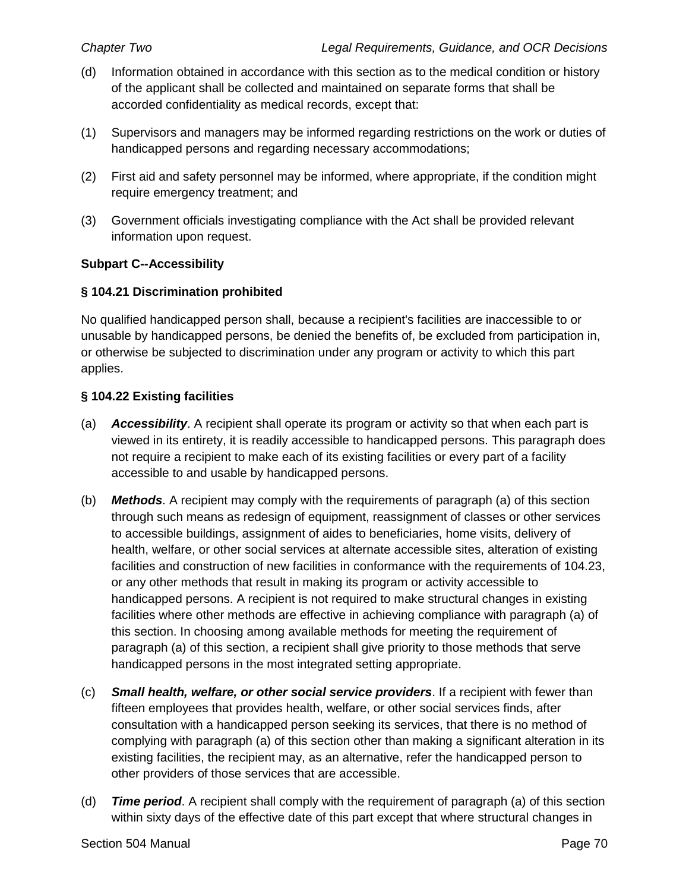- (d) Information obtained in accordance with this section as to the medical condition or history of the applicant shall be collected and maintained on separate forms that shall be accorded confidentiality as medical records, except that:
- (1) Supervisors and managers may be informed regarding restrictions on the work or duties of handicapped persons and regarding necessary accommodations;
- (2) First aid and safety personnel may be informed, where appropriate, if the condition might require emergency treatment; and
- (3) Government officials investigating compliance with the Act shall be provided relevant information upon request.

## **Subpart C--Accessibility**

## **§ 104.21 Discrimination prohibited**

No qualified handicapped person shall, because a recipient's facilities are inaccessible to or unusable by handicapped persons, be denied the benefits of, be excluded from participation in, or otherwise be subjected to discrimination under any program or activity to which this part applies.

## **§ 104.22 Existing facilities**

- (a) *Accessibility*. A recipient shall operate its program or activity so that when each part is viewed in its entirety, it is readily accessible to handicapped persons. This paragraph does not require a recipient to make each of its existing facilities or every part of a facility accessible to and usable by handicapped persons.
- (b) *Methods*. A recipient may comply with the requirements of paragraph (a) of this section through such means as redesign of equipment, reassignment of classes or other services to accessible buildings, assignment of aides to beneficiaries, home visits, delivery of health, welfare, or other social services at alternate accessible sites, alteration of existing facilities and construction of new facilities in conformance with the requirements of 104.23, or any other methods that result in making its program or activity accessible to handicapped persons. A recipient is not required to make structural changes in existing facilities where other methods are effective in achieving compliance with paragraph (a) of this section. In choosing among available methods for meeting the requirement of paragraph (a) of this section, a recipient shall give priority to those methods that serve handicapped persons in the most integrated setting appropriate.
- (c) *Small health, welfare, or other social service providers*. If a recipient with fewer than fifteen employees that provides health, welfare, or other social services finds, after consultation with a handicapped person seeking its services, that there is no method of complying with paragraph (a) of this section other than making a significant alteration in its existing facilities, the recipient may, as an alternative, refer the handicapped person to other providers of those services that are accessible.
- (d) *Time period*. A recipient shall comply with the requirement of paragraph (a) of this section within sixty days of the effective date of this part except that where structural changes in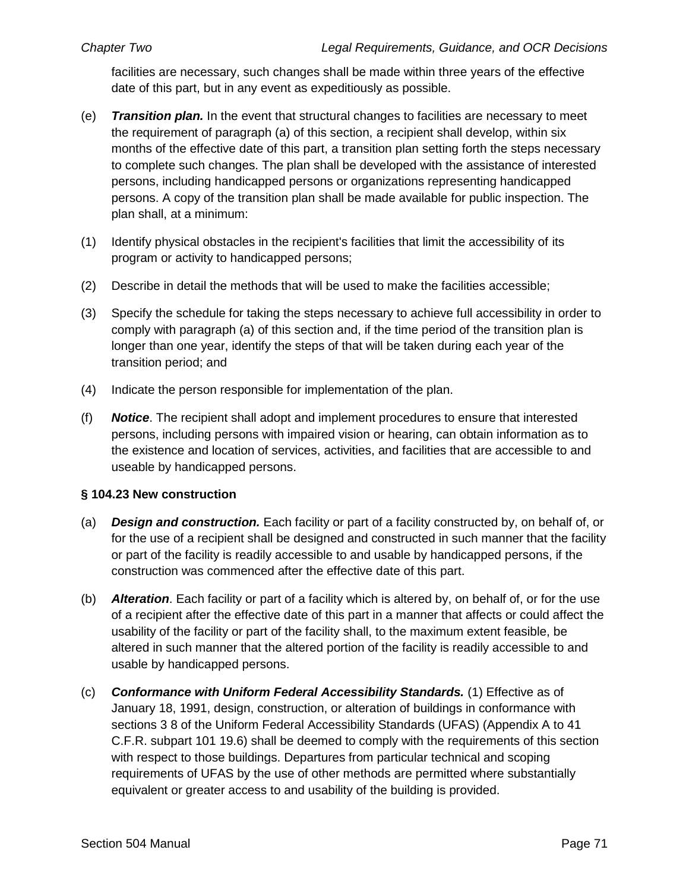facilities are necessary, such changes shall be made within three years of the effective date of this part, but in any event as expeditiously as possible.

- (e) *Transition plan.* In the event that structural changes to facilities are necessary to meet the requirement of paragraph (a) of this section, a recipient shall develop, within six months of the effective date of this part, a transition plan setting forth the steps necessary to complete such changes. The plan shall be developed with the assistance of interested persons, including handicapped persons or organizations representing handicapped persons. A copy of the transition plan shall be made available for public inspection. The plan shall, at a minimum:
- (1) Identify physical obstacles in the recipient's facilities that limit the accessibility of its program or activity to handicapped persons;
- (2) Describe in detail the methods that will be used to make the facilities accessible;
- (3) Specify the schedule for taking the steps necessary to achieve full accessibility in order to comply with paragraph (a) of this section and, if the time period of the transition plan is longer than one year, identify the steps of that will be taken during each year of the transition period; and
- (4) Indicate the person responsible for implementation of the plan.
- (f) *Notice*. The recipient shall adopt and implement procedures to ensure that interested persons, including persons with impaired vision or hearing, can obtain information as to the existence and location of services, activities, and facilities that are accessible to and useable by handicapped persons.

#### **§ 104.23 New construction**

- (a) *Design and construction.* Each facility or part of a facility constructed by, on behalf of, or for the use of a recipient shall be designed and constructed in such manner that the facility or part of the facility is readily accessible to and usable by handicapped persons, if the construction was commenced after the effective date of this part.
- (b) *Alteration*. Each facility or part of a facility which is altered by, on behalf of, or for the use of a recipient after the effective date of this part in a manner that affects or could affect the usability of the facility or part of the facility shall, to the maximum extent feasible, be altered in such manner that the altered portion of the facility is readily accessible to and usable by handicapped persons.
- (c) *Conformance with Uniform Federal Accessibility Standards.* (1) Effective as of January 18, 1991, design, construction, or alteration of buildings in conformance with sections 3 8 of the Uniform Federal Accessibility Standards (UFAS) (Appendix A to 41 C.F.R. subpart 101 19.6) shall be deemed to comply with the requirements of this section with respect to those buildings. Departures from particular technical and scoping requirements of UFAS by the use of other methods are permitted where substantially equivalent or greater access to and usability of the building is provided.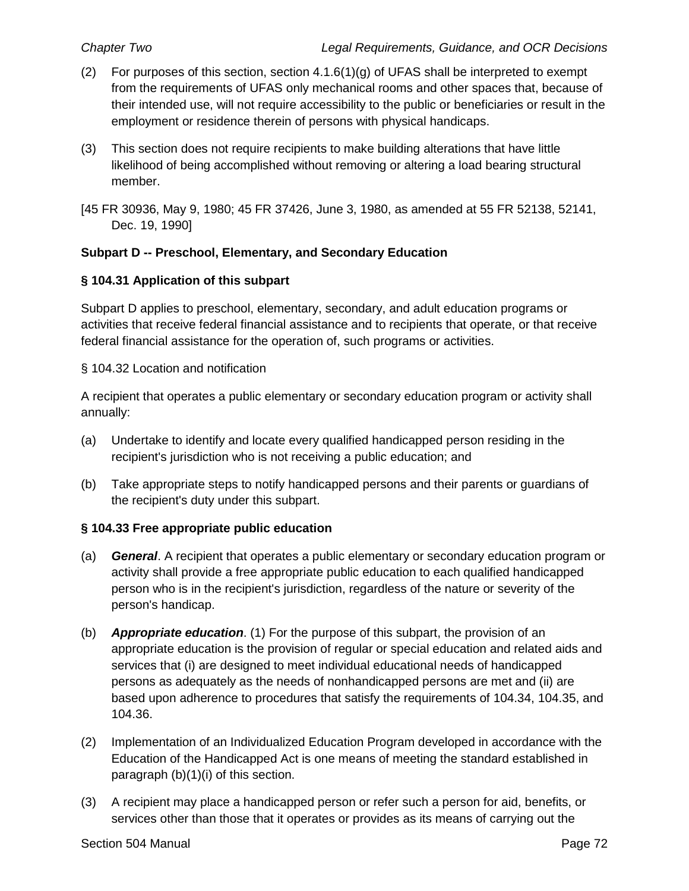- (2) For purposes of this section, section  $4.1.6(1)(g)$  of UFAS shall be interpreted to exempt from the requirements of UFAS only mechanical rooms and other spaces that, because of their intended use, will not require accessibility to the public or beneficiaries or result in the employment or residence therein of persons with physical handicaps.
- (3) This section does not require recipients to make building alterations that have little likelihood of being accomplished without removing or altering a load bearing structural member.
- [45 FR 30936, May 9, 1980; 45 FR 37426, June 3, 1980, as amended at 55 FR 52138, 52141, Dec. 19, 1990]

## **Subpart D -- Preschool, Elementary, and Secondary Education**

## **§ 104.31 Application of this subpart**

Subpart D applies to preschool, elementary, secondary, and adult education programs or activities that receive federal financial assistance and to recipients that operate, or that receive federal financial assistance for the operation of, such programs or activities.

§ 104.32 Location and notification

A recipient that operates a public elementary or secondary education program or activity shall annually:

- (a) Undertake to identify and locate every qualified handicapped person residing in the recipient's jurisdiction who is not receiving a public education; and
- (b) Take appropriate steps to notify handicapped persons and their parents or guardians of the recipient's duty under this subpart.

#### **§ 104.33 Free appropriate public education**

- (a) *General*. A recipient that operates a public elementary or secondary education program or activity shall provide a free appropriate public education to each qualified handicapped person who is in the recipient's jurisdiction, regardless of the nature or severity of the person's handicap.
- (b) *Appropriate education*. (1) For the purpose of this subpart, the provision of an appropriate education is the provision of regular or special education and related aids and services that (i) are designed to meet individual educational needs of handicapped persons as adequately as the needs of nonhandicapped persons are met and (ii) are based upon adherence to procedures that satisfy the requirements of 104.34, 104.35, and 104.36.
- (2) Implementation of an Individualized Education Program developed in accordance with the Education of the Handicapped Act is one means of meeting the standard established in paragraph (b)(1)(i) of this section.
- (3) A recipient may place a handicapped person or refer such a person for aid, benefits, or services other than those that it operates or provides as its means of carrying out the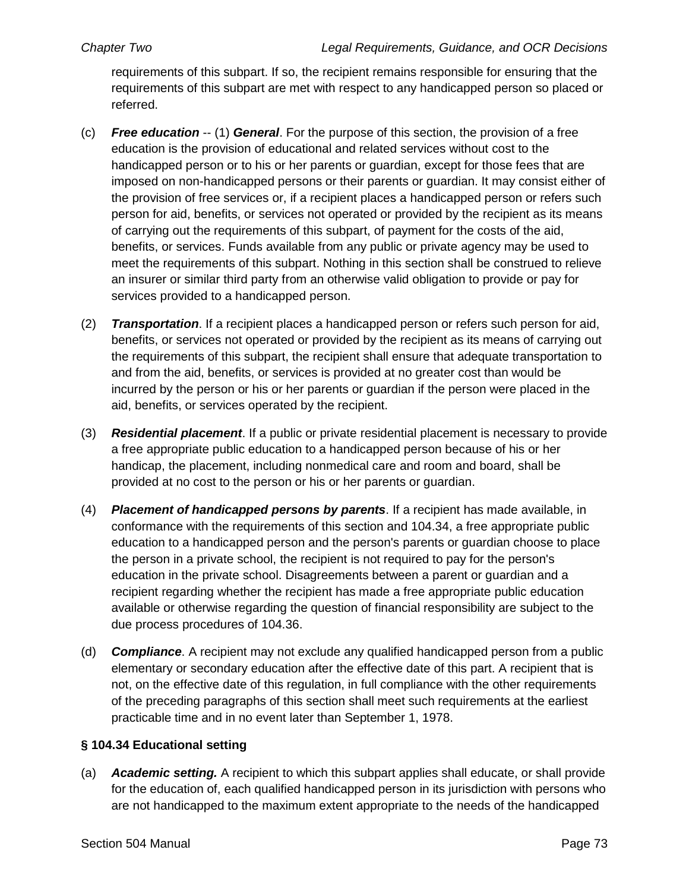requirements of this subpart. If so, the recipient remains responsible for ensuring that the requirements of this subpart are met with respect to any handicapped person so placed or referred.

- (c) *Free education* -- (1) *General*. For the purpose of this section, the provision of a free education is the provision of educational and related services without cost to the handicapped person or to his or her parents or guardian, except for those fees that are imposed on non-handicapped persons or their parents or guardian. It may consist either of the provision of free services or, if a recipient places a handicapped person or refers such person for aid, benefits, or services not operated or provided by the recipient as its means of carrying out the requirements of this subpart, of payment for the costs of the aid, benefits, or services. Funds available from any public or private agency may be used to meet the requirements of this subpart. Nothing in this section shall be construed to relieve an insurer or similar third party from an otherwise valid obligation to provide or pay for services provided to a handicapped person.
- (2) *Transportation*. If a recipient places a handicapped person or refers such person for aid, benefits, or services not operated or provided by the recipient as its means of carrying out the requirements of this subpart, the recipient shall ensure that adequate transportation to and from the aid, benefits, or services is provided at no greater cost than would be incurred by the person or his or her parents or guardian if the person were placed in the aid, benefits, or services operated by the recipient.
- (3) *Residential placement*. If a public or private residential placement is necessary to provide a free appropriate public education to a handicapped person because of his or her handicap, the placement, including nonmedical care and room and board, shall be provided at no cost to the person or his or her parents or guardian.
- (4) *Placement of handicapped persons by parents*. If a recipient has made available, in conformance with the requirements of this section and 104.34, a free appropriate public education to a handicapped person and the person's parents or guardian choose to place the person in a private school, the recipient is not required to pay for the person's education in the private school. Disagreements between a parent or guardian and a recipient regarding whether the recipient has made a free appropriate public education available or otherwise regarding the question of financial responsibility are subject to the due process procedures of 104.36.
- (d) *Compliance*. A recipient may not exclude any qualified handicapped person from a public elementary or secondary education after the effective date of this part. A recipient that is not, on the effective date of this regulation, in full compliance with the other requirements of the preceding paragraphs of this section shall meet such requirements at the earliest practicable time and in no event later than September 1, 1978.

## **§ 104.34 Educational setting**

(a) *Academic setting.* A recipient to which this subpart applies shall educate, or shall provide for the education of, each qualified handicapped person in its jurisdiction with persons who are not handicapped to the maximum extent appropriate to the needs of the handicapped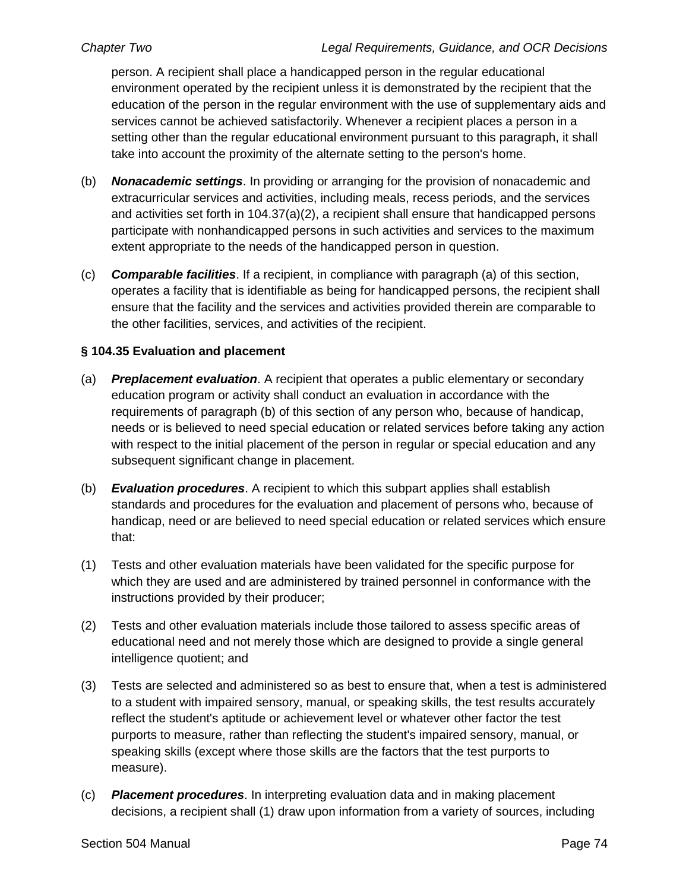person. A recipient shall place a handicapped person in the regular educational environment operated by the recipient unless it is demonstrated by the recipient that the education of the person in the regular environment with the use of supplementary aids and services cannot be achieved satisfactorily. Whenever a recipient places a person in a setting other than the regular educational environment pursuant to this paragraph, it shall take into account the proximity of the alternate setting to the person's home.

- (b) *Nonacademic settings*. In providing or arranging for the provision of nonacademic and extracurricular services and activities, including meals, recess periods, and the services and activities set forth in  $104.37(a)(2)$ , a recipient shall ensure that handicapped persons participate with nonhandicapped persons in such activities and services to the maximum extent appropriate to the needs of the handicapped person in question.
- (c) *Comparable facilities*. If a recipient, in compliance with paragraph (a) of this section, operates a facility that is identifiable as being for handicapped persons, the recipient shall ensure that the facility and the services and activities provided therein are comparable to the other facilities, services, and activities of the recipient.

## **§ 104.35 Evaluation and placement**

- (a) *Preplacement evaluation*. A recipient that operates a public elementary or secondary education program or activity shall conduct an evaluation in accordance with the requirements of paragraph (b) of this section of any person who, because of handicap, needs or is believed to need special education or related services before taking any action with respect to the initial placement of the person in regular or special education and any subsequent significant change in placement.
- (b) *Evaluation procedures*. A recipient to which this subpart applies shall establish standards and procedures for the evaluation and placement of persons who, because of handicap, need or are believed to need special education or related services which ensure that:
- (1) Tests and other evaluation materials have been validated for the specific purpose for which they are used and are administered by trained personnel in conformance with the instructions provided by their producer;
- (2) Tests and other evaluation materials include those tailored to assess specific areas of educational need and not merely those which are designed to provide a single general intelligence quotient; and
- (3) Tests are selected and administered so as best to ensure that, when a test is administered to a student with impaired sensory, manual, or speaking skills, the test results accurately reflect the student's aptitude or achievement level or whatever other factor the test purports to measure, rather than reflecting the student's impaired sensory, manual, or speaking skills (except where those skills are the factors that the test purports to measure).
- (c) *Placement procedures*. In interpreting evaluation data and in making placement decisions, a recipient shall (1) draw upon information from a variety of sources, including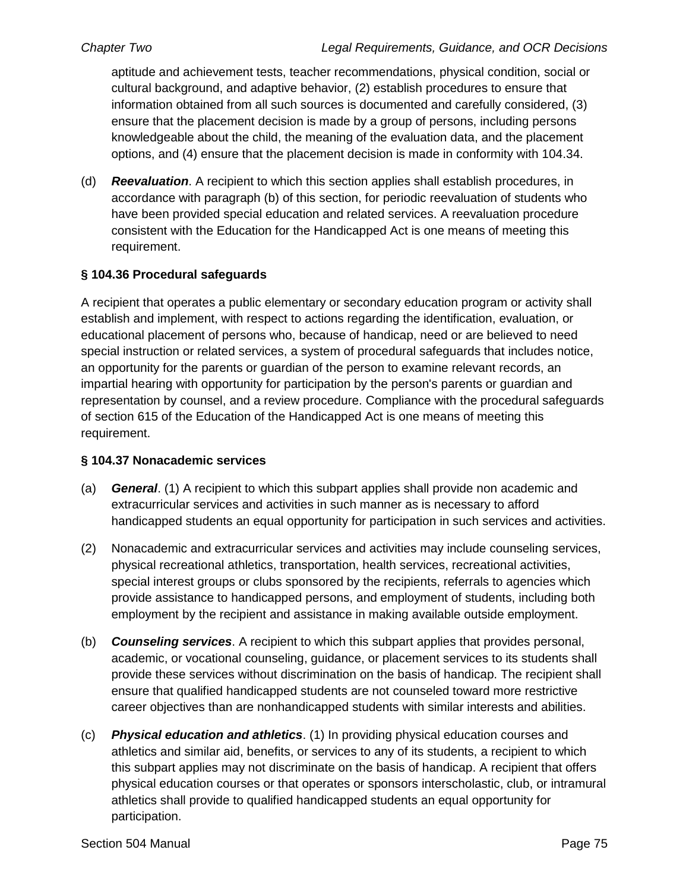aptitude and achievement tests, teacher recommendations, physical condition, social or cultural background, and adaptive behavior, (2) establish procedures to ensure that information obtained from all such sources is documented and carefully considered, (3) ensure that the placement decision is made by a group of persons, including persons knowledgeable about the child, the meaning of the evaluation data, and the placement options, and (4) ensure that the placement decision is made in conformity with 104.34.

(d) *Reevaluation*. A recipient to which this section applies shall establish procedures, in accordance with paragraph (b) of this section, for periodic reevaluation of students who have been provided special education and related services. A reevaluation procedure consistent with the Education for the Handicapped Act is one means of meeting this requirement.

## **§ 104.36 Procedural safeguards**

A recipient that operates a public elementary or secondary education program or activity shall establish and implement, with respect to actions regarding the identification, evaluation, or educational placement of persons who, because of handicap, need or are believed to need special instruction or related services, a system of procedural safeguards that includes notice, an opportunity for the parents or guardian of the person to examine relevant records, an impartial hearing with opportunity for participation by the person's parents or guardian and representation by counsel, and a review procedure. Compliance with the procedural safeguards of section 615 of the Education of the Handicapped Act is one means of meeting this requirement.

## **§ 104.37 Nonacademic services**

- (a) *General*. (1) A recipient to which this subpart applies shall provide non academic and extracurricular services and activities in such manner as is necessary to afford handicapped students an equal opportunity for participation in such services and activities.
- (2) Nonacademic and extracurricular services and activities may include counseling services, physical recreational athletics, transportation, health services, recreational activities, special interest groups or clubs sponsored by the recipients, referrals to agencies which provide assistance to handicapped persons, and employment of students, including both employment by the recipient and assistance in making available outside employment.
- (b) *Counseling services*. A recipient to which this subpart applies that provides personal, academic, or vocational counseling, guidance, or placement services to its students shall provide these services without discrimination on the basis of handicap. The recipient shall ensure that qualified handicapped students are not counseled toward more restrictive career objectives than are nonhandicapped students with similar interests and abilities.
- (c) *Physical education and athletics*. (1) In providing physical education courses and athletics and similar aid, benefits, or services to any of its students, a recipient to which this subpart applies may not discriminate on the basis of handicap. A recipient that offers physical education courses or that operates or sponsors interscholastic, club, or intramural athletics shall provide to qualified handicapped students an equal opportunity for participation.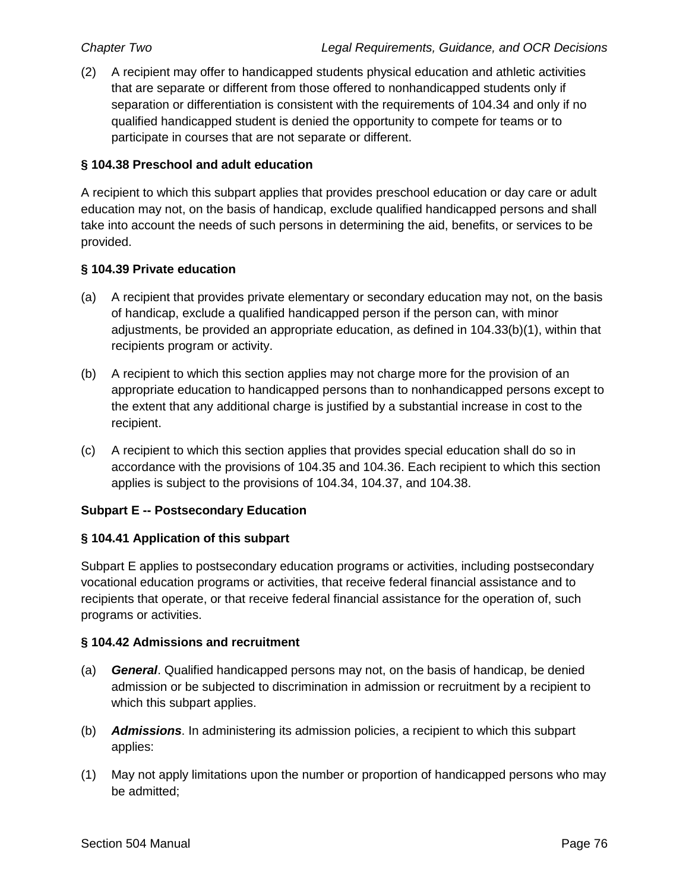(2) A recipient may offer to handicapped students physical education and athletic activities that are separate or different from those offered to nonhandicapped students only if separation or differentiation is consistent with the requirements of 104.34 and only if no qualified handicapped student is denied the opportunity to compete for teams or to participate in courses that are not separate or different.

## **§ 104.38 Preschool and adult education**

A recipient to which this subpart applies that provides preschool education or day care or adult education may not, on the basis of handicap, exclude qualified handicapped persons and shall take into account the needs of such persons in determining the aid, benefits, or services to be provided.

## **§ 104.39 Private education**

- (a) A recipient that provides private elementary or secondary education may not, on the basis of handicap, exclude a qualified handicapped person if the person can, with minor adjustments, be provided an appropriate education, as defined in 104.33(b)(1), within that recipients program or activity.
- (b) A recipient to which this section applies may not charge more for the provision of an appropriate education to handicapped persons than to nonhandicapped persons except to the extent that any additional charge is justified by a substantial increase in cost to the recipient.
- (c) A recipient to which this section applies that provides special education shall do so in accordance with the provisions of 104.35 and 104.36. Each recipient to which this section applies is subject to the provisions of 104.34, 104.37, and 104.38.

## **Subpart E -- Postsecondary Education**

#### **§ 104.41 Application of this subpart**

Subpart E applies to postsecondary education programs or activities, including postsecondary vocational education programs or activities, that receive federal financial assistance and to recipients that operate, or that receive federal financial assistance for the operation of, such programs or activities.

#### **§ 104.42 Admissions and recruitment**

- (a) *General*. Qualified handicapped persons may not, on the basis of handicap, be denied admission or be subjected to discrimination in admission or recruitment by a recipient to which this subpart applies.
- (b) *Admissions*. In administering its admission policies, a recipient to which this subpart applies:
- (1) May not apply limitations upon the number or proportion of handicapped persons who may be admitted;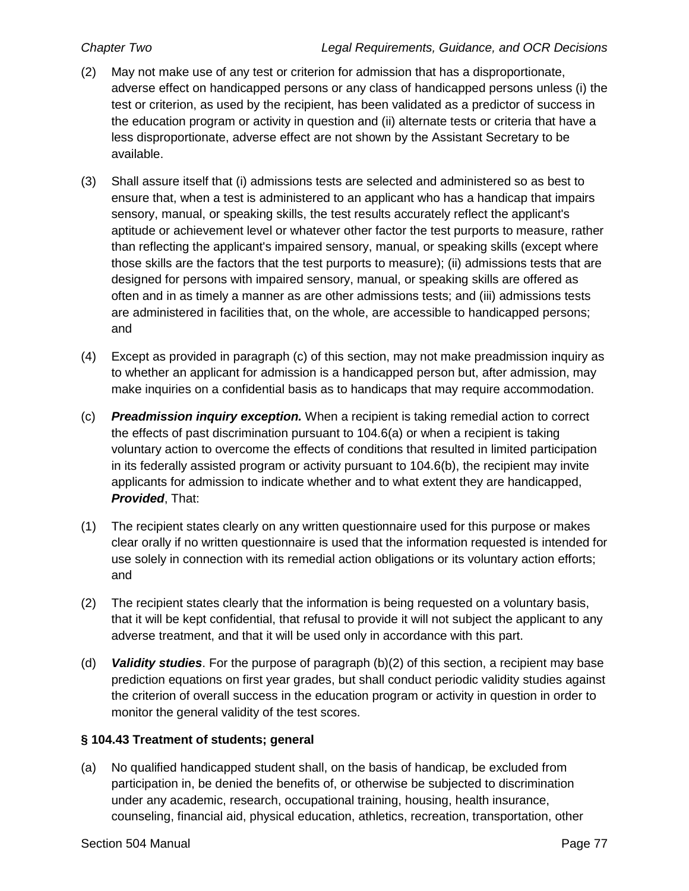- (2) May not make use of any test or criterion for admission that has a disproportionate, adverse effect on handicapped persons or any class of handicapped persons unless (i) the test or criterion, as used by the recipient, has been validated as a predictor of success in the education program or activity in question and (ii) alternate tests or criteria that have a less disproportionate, adverse effect are not shown by the Assistant Secretary to be available.
- (3) Shall assure itself that (i) admissions tests are selected and administered so as best to ensure that, when a test is administered to an applicant who has a handicap that impairs sensory, manual, or speaking skills, the test results accurately reflect the applicant's aptitude or achievement level or whatever other factor the test purports to measure, rather than reflecting the applicant's impaired sensory, manual, or speaking skills (except where those skills are the factors that the test purports to measure); (ii) admissions tests that are designed for persons with impaired sensory, manual, or speaking skills are offered as often and in as timely a manner as are other admissions tests; and (iii) admissions tests are administered in facilities that, on the whole, are accessible to handicapped persons; and
- (4) Except as provided in paragraph (c) of this section, may not make preadmission inquiry as to whether an applicant for admission is a handicapped person but, after admission, may make inquiries on a confidential basis as to handicaps that may require accommodation.
- (c) *Preadmission inquiry exception.* When a recipient is taking remedial action to correct the effects of past discrimination pursuant to 104.6(a) or when a recipient is taking voluntary action to overcome the effects of conditions that resulted in limited participation in its federally assisted program or activity pursuant to 104.6(b), the recipient may invite applicants for admission to indicate whether and to what extent they are handicapped, *Provided*, That:
- (1) The recipient states clearly on any written questionnaire used for this purpose or makes clear orally if no written questionnaire is used that the information requested is intended for use solely in connection with its remedial action obligations or its voluntary action efforts; and
- (2) The recipient states clearly that the information is being requested on a voluntary basis, that it will be kept confidential, that refusal to provide it will not subject the applicant to any adverse treatment, and that it will be used only in accordance with this part.
- (d) *Validity studies*. For the purpose of paragraph (b)(2) of this section, a recipient may base prediction equations on first year grades, but shall conduct periodic validity studies against the criterion of overall success in the education program or activity in question in order to monitor the general validity of the test scores.

## **§ 104.43 Treatment of students; general**

(a) No qualified handicapped student shall, on the basis of handicap, be excluded from participation in, be denied the benefits of, or otherwise be subjected to discrimination under any academic, research, occupational training, housing, health insurance, counseling, financial aid, physical education, athletics, recreation, transportation, other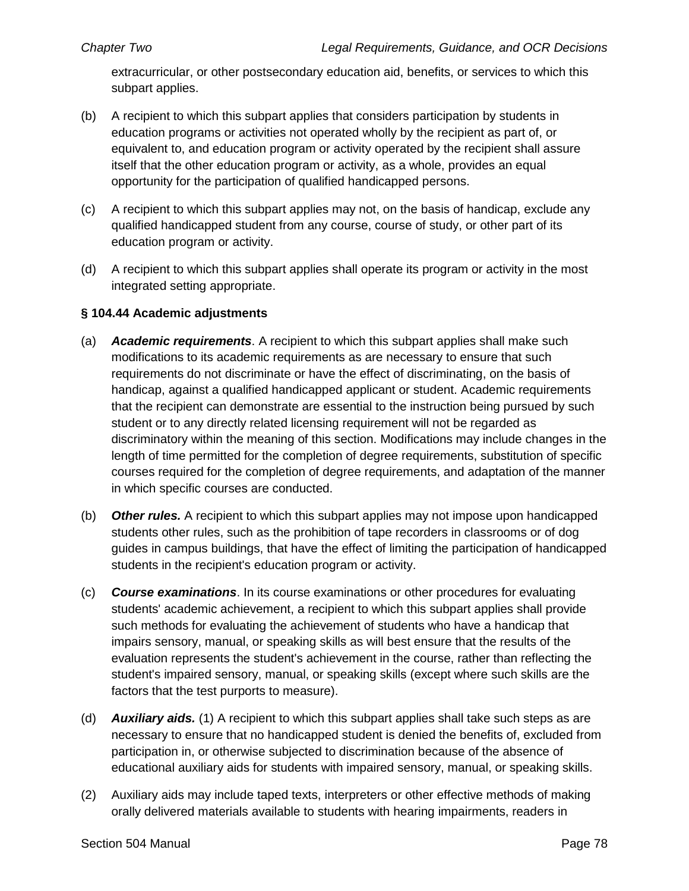extracurricular, or other postsecondary education aid, benefits, or services to which this subpart applies.

- (b) A recipient to which this subpart applies that considers participation by students in education programs or activities not operated wholly by the recipient as part of, or equivalent to, and education program or activity operated by the recipient shall assure itself that the other education program or activity, as a whole, provides an equal opportunity for the participation of qualified handicapped persons.
- (c) A recipient to which this subpart applies may not, on the basis of handicap, exclude any qualified handicapped student from any course, course of study, or other part of its education program or activity.
- (d) A recipient to which this subpart applies shall operate its program or activity in the most integrated setting appropriate.

#### **§ 104.44 Academic adjustments**

- (a) *Academic requirements*. A recipient to which this subpart applies shall make such modifications to its academic requirements as are necessary to ensure that such requirements do not discriminate or have the effect of discriminating, on the basis of handicap, against a qualified handicapped applicant or student. Academic requirements that the recipient can demonstrate are essential to the instruction being pursued by such student or to any directly related licensing requirement will not be regarded as discriminatory within the meaning of this section. Modifications may include changes in the length of time permitted for the completion of degree requirements, substitution of specific courses required for the completion of degree requirements, and adaptation of the manner in which specific courses are conducted.
- (b) *Other rules.* A recipient to which this subpart applies may not impose upon handicapped students other rules, such as the prohibition of tape recorders in classrooms or of dog guides in campus buildings, that have the effect of limiting the participation of handicapped students in the recipient's education program or activity.
- (c) *Course examinations*. In its course examinations or other procedures for evaluating students' academic achievement, a recipient to which this subpart applies shall provide such methods for evaluating the achievement of students who have a handicap that impairs sensory, manual, or speaking skills as will best ensure that the results of the evaluation represents the student's achievement in the course, rather than reflecting the student's impaired sensory, manual, or speaking skills (except where such skills are the factors that the test purports to measure).
- (d) *Auxiliary aids.* (1) A recipient to which this subpart applies shall take such steps as are necessary to ensure that no handicapped student is denied the benefits of, excluded from participation in, or otherwise subjected to discrimination because of the absence of educational auxiliary aids for students with impaired sensory, manual, or speaking skills.
- (2) Auxiliary aids may include taped texts, interpreters or other effective methods of making orally delivered materials available to students with hearing impairments, readers in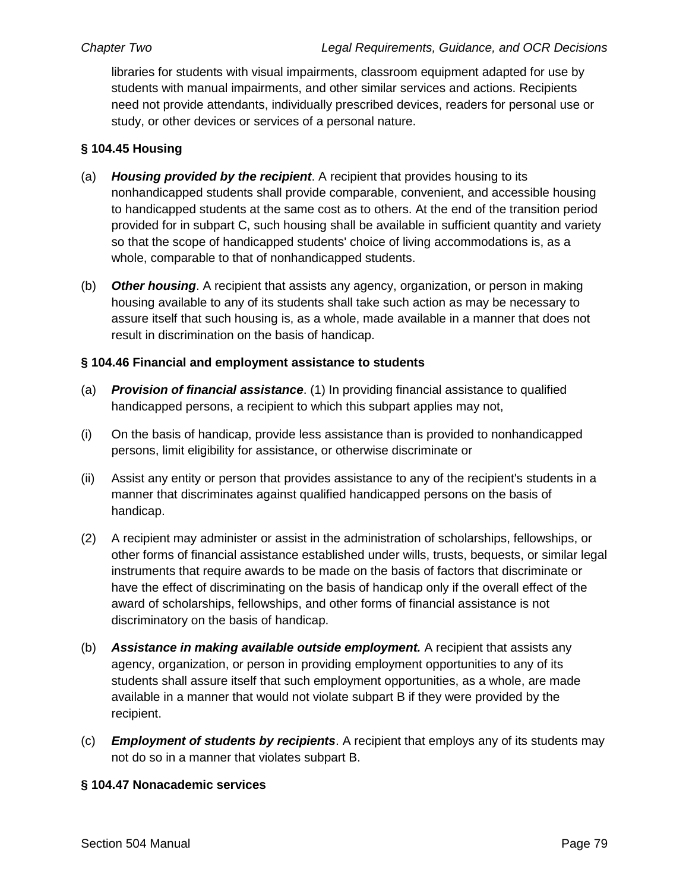libraries for students with visual impairments, classroom equipment adapted for use by students with manual impairments, and other similar services and actions. Recipients need not provide attendants, individually prescribed devices, readers for personal use or study, or other devices or services of a personal nature.

#### **§ 104.45 Housing**

- (a) *Housing provided by the recipient*. A recipient that provides housing to its nonhandicapped students shall provide comparable, convenient, and accessible housing to handicapped students at the same cost as to others. At the end of the transition period provided for in subpart C, such housing shall be available in sufficient quantity and variety so that the scope of handicapped students' choice of living accommodations is, as a whole, comparable to that of nonhandicapped students.
- (b) *Other housing*. A recipient that assists any agency, organization, or person in making housing available to any of its students shall take such action as may be necessary to assure itself that such housing is, as a whole, made available in a manner that does not result in discrimination on the basis of handicap.

#### **§ 104.46 Financial and employment assistance to students**

- (a) *Provision of financial assistance*. (1) In providing financial assistance to qualified handicapped persons, a recipient to which this subpart applies may not,
- (i) On the basis of handicap, provide less assistance than is provided to nonhandicapped persons, limit eligibility for assistance, or otherwise discriminate or
- (ii) Assist any entity or person that provides assistance to any of the recipient's students in a manner that discriminates against qualified handicapped persons on the basis of handicap.
- (2) A recipient may administer or assist in the administration of scholarships, fellowships, or other forms of financial assistance established under wills, trusts, bequests, or similar legal instruments that require awards to be made on the basis of factors that discriminate or have the effect of discriminating on the basis of handicap only if the overall effect of the award of scholarships, fellowships, and other forms of financial assistance is not discriminatory on the basis of handicap.
- (b) *Assistance in making available outside employment.* A recipient that assists any agency, organization, or person in providing employment opportunities to any of its students shall assure itself that such employment opportunities, as a whole, are made available in a manner that would not violate subpart B if they were provided by the recipient.
- (c) *Employment of students by recipients*. A recipient that employs any of its students may not do so in a manner that violates subpart B.

#### **§ 104.47 Nonacademic services**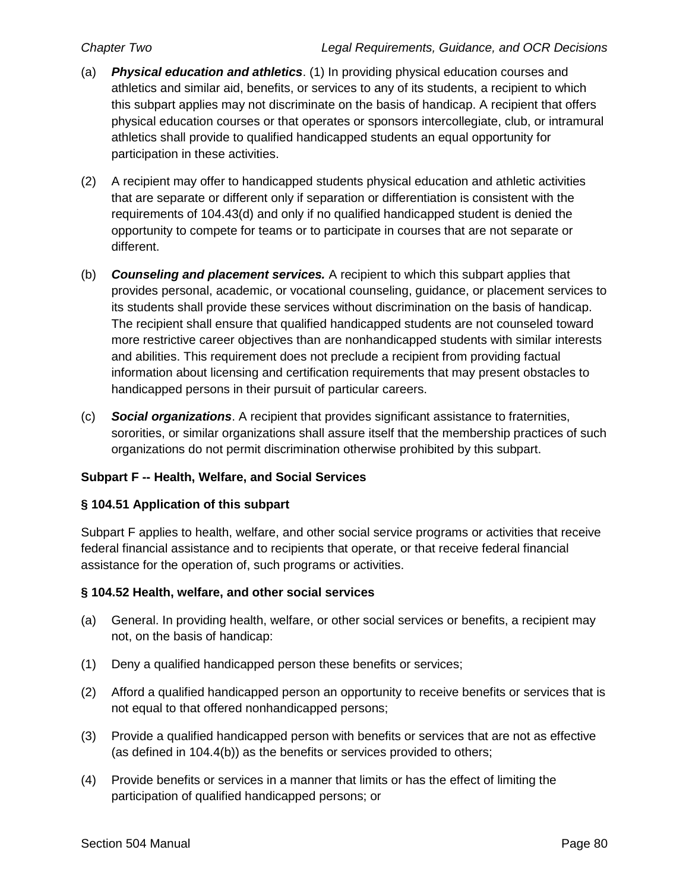- (a) *Physical education and athletics*. (1) In providing physical education courses and athletics and similar aid, benefits, or services to any of its students, a recipient to which this subpart applies may not discriminate on the basis of handicap. A recipient that offers physical education courses or that operates or sponsors intercollegiate, club, or intramural athletics shall provide to qualified handicapped students an equal opportunity for participation in these activities.
- (2) A recipient may offer to handicapped students physical education and athletic activities that are separate or different only if separation or differentiation is consistent with the requirements of 104.43(d) and only if no qualified handicapped student is denied the opportunity to compete for teams or to participate in courses that are not separate or different.
- (b) *Counseling and placement services.* A recipient to which this subpart applies that provides personal, academic, or vocational counseling, guidance, or placement services to its students shall provide these services without discrimination on the basis of handicap. The recipient shall ensure that qualified handicapped students are not counseled toward more restrictive career objectives than are nonhandicapped students with similar interests and abilities. This requirement does not preclude a recipient from providing factual information about licensing and certification requirements that may present obstacles to handicapped persons in their pursuit of particular careers.
- (c) *Social organizations*. A recipient that provides significant assistance to fraternities, sororities, or similar organizations shall assure itself that the membership practices of such organizations do not permit discrimination otherwise prohibited by this subpart.

## **Subpart F -- Health, Welfare, and Social Services**

## **§ 104.51 Application of this subpart**

Subpart F applies to health, welfare, and other social service programs or activities that receive federal financial assistance and to recipients that operate, or that receive federal financial assistance for the operation of, such programs or activities.

## **§ 104.52 Health, welfare, and other social services**

- (a) General. In providing health, welfare, or other social services or benefits, a recipient may not, on the basis of handicap:
- (1) Deny a qualified handicapped person these benefits or services;
- (2) Afford a qualified handicapped person an opportunity to receive benefits or services that is not equal to that offered nonhandicapped persons;
- (3) Provide a qualified handicapped person with benefits or services that are not as effective (as defined in 104.4(b)) as the benefits or services provided to others;
- (4) Provide benefits or services in a manner that limits or has the effect of limiting the participation of qualified handicapped persons; or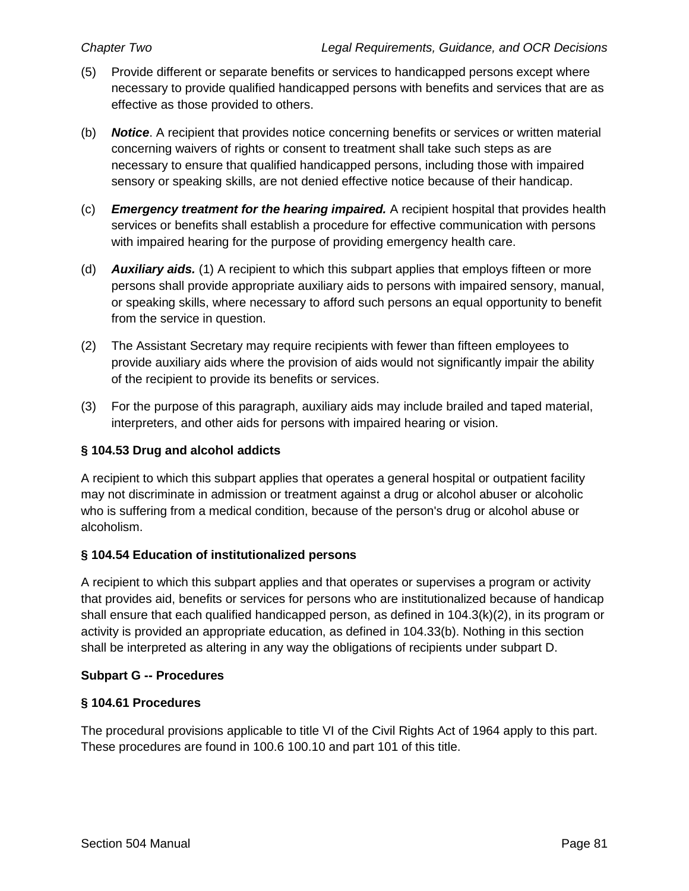- (5) Provide different or separate benefits or services to handicapped persons except where necessary to provide qualified handicapped persons with benefits and services that are as effective as those provided to others.
- (b) *Notice*. A recipient that provides notice concerning benefits or services or written material concerning waivers of rights or consent to treatment shall take such steps as are necessary to ensure that qualified handicapped persons, including those with impaired sensory or speaking skills, are not denied effective notice because of their handicap.
- (c) *Emergency treatment for the hearing impaired.* A recipient hospital that provides health services or benefits shall establish a procedure for effective communication with persons with impaired hearing for the purpose of providing emergency health care.
- (d) *Auxiliary aids.* (1) A recipient to which this subpart applies that employs fifteen or more persons shall provide appropriate auxiliary aids to persons with impaired sensory, manual, or speaking skills, where necessary to afford such persons an equal opportunity to benefit from the service in question.
- (2) The Assistant Secretary may require recipients with fewer than fifteen employees to provide auxiliary aids where the provision of aids would not significantly impair the ability of the recipient to provide its benefits or services.
- (3) For the purpose of this paragraph, auxiliary aids may include brailed and taped material, interpreters, and other aids for persons with impaired hearing or vision.

# **§ 104.53 Drug and alcohol addicts**

A recipient to which this subpart applies that operates a general hospital or outpatient facility may not discriminate in admission or treatment against a drug or alcohol abuser or alcoholic who is suffering from a medical condition, because of the person's drug or alcohol abuse or alcoholism.

## **§ 104.54 Education of institutionalized persons**

A recipient to which this subpart applies and that operates or supervises a program or activity that provides aid, benefits or services for persons who are institutionalized because of handicap shall ensure that each qualified handicapped person, as defined in 104.3(k)(2), in its program or activity is provided an appropriate education, as defined in 104.33(b). Nothing in this section shall be interpreted as altering in any way the obligations of recipients under subpart D.

## **Subpart G -- Procedures**

## **§ 104.61 Procedures**

The procedural provisions applicable to title VI of the Civil Rights Act of 1964 apply to this part. These procedures are found in 100.6 100.10 and part 101 of this title.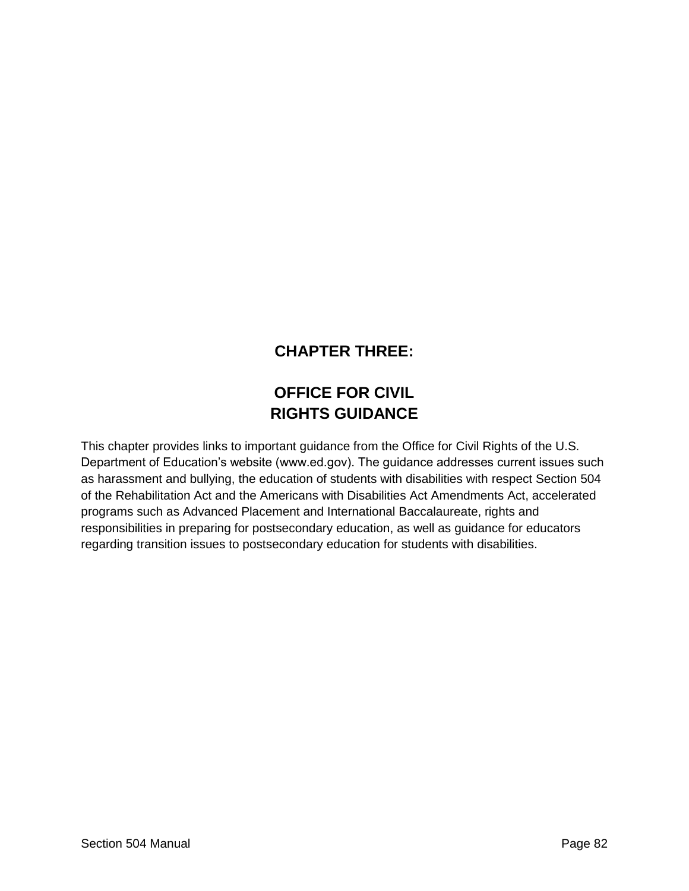# **CHAPTER THREE:**

# **OFFICE FOR CIVIL RIGHTS GUIDANCE**

This chapter provides links to important guidance from the Office for Civil Rights of the U.S. Department of Education's website (www.ed.gov). The guidance addresses current issues such as harassment and bullying, the education of students with disabilities with respect Section 504 of the Rehabilitation Act and the Americans with Disabilities Act Amendments Act, accelerated programs such as Advanced Placement and International Baccalaureate, rights and responsibilities in preparing for postsecondary education, as well as guidance for educators regarding transition issues to postsecondary education for students with disabilities.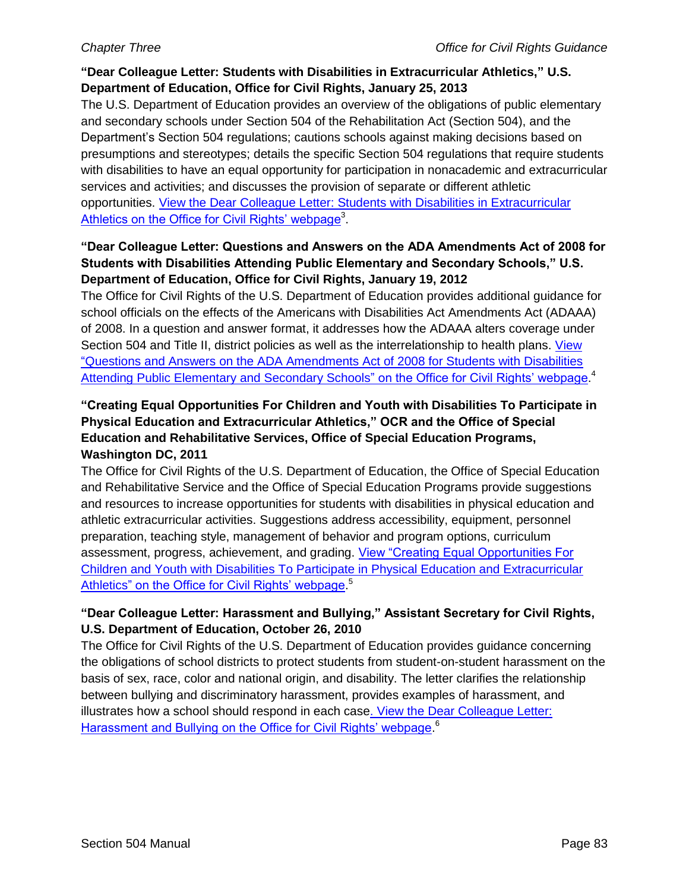# **"Dear Colleague Letter: Students with Disabilities in Extracurricular Athletics," U.S. Department of Education, Office for Civil Rights, January 25, 2013**

The U.S. Department of Education provides an overview of the obligations of public elementary and secondary schools under Section 504 of the Rehabilitation Act (Section 504), and the Department's Section 504 regulations; cautions schools against making decisions based on presumptions and stereotypes; details the specific Section 504 regulations that require students with disabilities to have an equal opportunity for participation in nonacademic and extracurricular services and activities; and discusses the provision of separate or different athletic opportunities. [View the Dear Colleague Letter: Students with Disabilities in Extracurricular](http://www2.ed.gov/about/offices/list/ocr/letters/colleague-201301-504.html)  [Athletics on the Office for Civil Rights' webpage](http://www2.ed.gov/about/offices/list/ocr/letters/colleague-201301-504.html)<sup>3</sup>.

## **"Dear Colleague Letter: Questions and Answers on the ADA Amendments Act of 2008 for Students with Disabilities Attending Public Elementary and Secondary Schools," U.S. Department of Education, Office for Civil Rights, January 19, 2012**

The Office for Civil Rights of the U.S. Department of Education provides additional guidance for school officials on the effects of the Americans with Disabilities Act Amendments Act (ADAAA) of 2008. In a question and answer format, it addresses how the ADAAA alters coverage under Section 504 and Title II, district policies as well as the interrelationship to health plans. [View](http://www2.ed.gov/about/offices/list/ocr/docs/dcl-504faq-201109.html)  ["Questions and Answers on the ADA Amendments Act of 2008 for Students with Disabilities](http://www2.ed.gov/about/offices/list/ocr/docs/dcl-504faq-201109.html)  [Attending Public Elementary and Secondary Schools"](http://www2.ed.gov/about/offices/list/ocr/docs/dcl-504faq-201109.html) on the Office for Civil Rights' webpage.<sup>4</sup>

# **"Creating Equal Opportunities For Children and Youth with Disabilities To Participate in Physical Education and Extracurricular Athletics," OCR and the Office of Special Education and Rehabilitative Services, Office of Special Education Programs, Washington DC, 2011**

The Office for Civil Rights of the U.S. Department of Education, the Office of Special Education and Rehabilitative Service and the Office of Special Education Programs provide suggestions and resources to increase opportunities for students with disabilities in physical education and athletic extracurricular activities. Suggestions address accessibility, equipment, personnel preparation, teaching style, management of behavior and program options, curriculum assessment, progress, achievement, and grading. [View "Creating Equal Opportunities For](http://www2.ed.gov/policy/speced/guid/idea/equal-pe.pdf)  [Children and Youth with Disabilities To Participate in Physical Education and Extracurricular](http://www2.ed.gov/policy/speced/guid/idea/equal-pe.pdf)  [Athletics" on the Office for Civil Rights' webpage.](http://www2.ed.gov/policy/speced/guid/idea/equal-pe.pdf)<sup>5</sup>

# **"Dear Colleague Letter: Harassment and Bullying," Assistant Secretary for Civil Rights, U.S. Department of Education, October 26, 2010**

The Office for Civil Rights of the U.S. Department of Education provides guidance concerning the obligations of school districts to protect students from student-on-student harassment on the basis of sex, race, color and national origin, and disability. The letter clarifies the relationship between bullying and discriminatory harassment, provides examples of harassment, and illustrates how a school should respond in each case. View the Dear Colleague Letter: [Harassment and Bullying on the Office for Civil Rights' webpage.](http://www2.ed.gov/about/offices/list/ocr/letters/colleague-201010.pdf)<sup>6</sup>